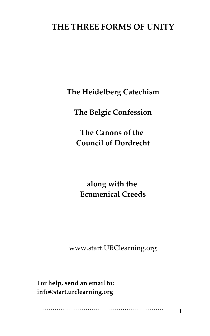# **THE THREE FORMS OF UNITY**

**The Heidelberg Catechism**

**The Belgic Confession**

**The Canons of the Council of Dordrecht**

**along with the Ecumenical Creeds**

www.start.URClearning.org

**For help, send an email to: info@start.urclearning.org**

````````````````````````````````````````````````````````````````` **1**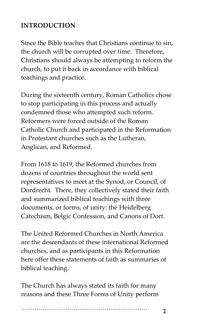### **INTRODUCTION**

Since the Bible teaches that Christians continue to sin, the church will be corrupted over time. Therefore, Christians should always be attempting to reform the church, to put it back in accordance with biblical teachings and practice.

During the sixteenth century, Roman Catholics chose to stop participating in this process and actually condemned those who attempted such reform. Reformers were forced outside of the Roman Catholic Church and participated in the Reformation in Protestant churches such as the Lutheran, Anglican, and Reformed.

From 1618 to 1619, the Reformed churches from dozens of countries throughout the world sent representatives to meet at the Synod, or Council, of Dordrecht. There, they collectively stated their faith and summarized biblical teachings with three documents, or forms, of unity: the Heidelberg Catechism, Belgic Confession, and Canons of Dort.

The United Reformed Churches in North America are the descendants of these international Reformed churches, and as participants in this Reformation here offer these statements of faith as summaries of biblical teaching.

The Church has always stated its faith for many reasons and these Three Forms of Unity perform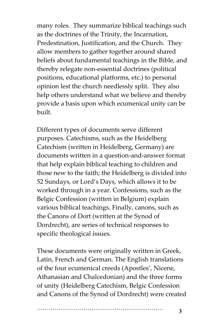many roles. They summarize biblical teachings such as the doctrines of the Trinity, the Incarnation, Predestination, Justification, and the Church. They allow members to gather together around shared beliefs about fundamental teachings in the Bible, and thereby relegate non-essential doctrines (political positions, educational platforms, etc.) to personal opinion lest the church needlessly split. They also help others understand what we believe and thereby provide a basis upon which ecumenical unity can be built.

Different types of documents serve different purposes. Catechisms, such as the Heidelberg Catechism (written in Heidelberg, Germany) are documents written in a question-and-answer format that help explain biblical teaching to children and those new to the faith; the Heidelberg is divided into 52 Sundays, or Lord's Days, which allows it to be worked through in a year. Confessions, such as the Belgic Confession (written in Belgium) explain various biblical teachings. Finally, canons, such as the Canons of Dort (written at the Synod of Dordrecht), are series of technical responses to specific theological issues.

These documents were originally written in Greek, Latin, French and German. The English translations of the four ecumenical creeds (Apostles', Nicene, Athanasian and Chalcedonian) and the three forms of unity (Heidelberg Catechism, Belgic Confession and Canons of the Synod of Dordrecht) were created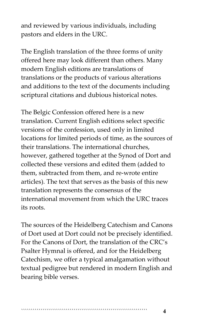and reviewed by various individuals, including pastors and elders in the URC.

The English translation of the three forms of unity offered here may look different than others. Many modern English editions are translations of translations or the products of various alterations and additions to the text of the documents including scriptural citations and dubious historical notes.

The Belgic Confession offered here is a new translation. Current English editions select specific versions of the confession, used only in limited locations for limited periods of time, as the sources of their translations. The international churches, however, gathered together at the Synod of Dort and collected these versions and edited them (added to them, subtracted from them, and re-wrote entire articles). The text that serves as the basis of this new translation represents the consensus of the international movement from which the URC traces its roots.

The sources of the Heidelberg Catechism and Canons of Dort used at Dort could not be precisely identified. For the Canons of Dort, the translation of the CRC's Psalter Hymnal is offered, and for the Heidelberg Catechism, we offer a typical amalgamation without textual pedigree but rendered in modern English and bearing bible verses.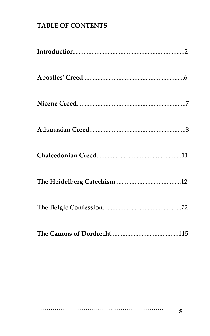## **TABLE OF CONTENTS**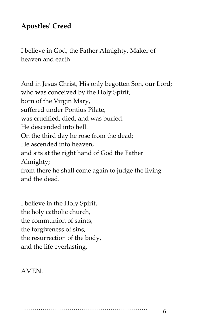## **Apostles' Creed**

I believe in God, the Father Almighty, Maker of heaven and earth.

And in Jesus Christ, His only begotten Son, our Lord; who was conceived by the Holy Spirit, born of the Virgin Mary, suffered under Pontius Pilate, was crucified, died, and was buried. He descended into hell. On the third day he rose from the dead; He ascended into heaven, and sits at the right hand of God the Father Almighty; from there he shall come again to judge the living and the dead.

I believe in the Holy Spirit, the holy catholic church, the communion of saints, the forgiveness of sins, the resurrection of the body, and the life everlasting.

**AMEN**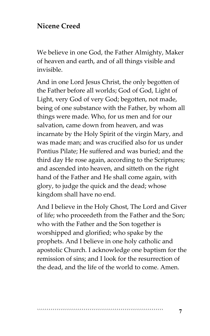## **Nicene Creed**

We believe in one God, the Father Almighty, Maker of heaven and earth, and of all things visible and invisible.

And in one Lord Jesus Christ, the only begotten of the Father before all worlds; God of God, Light of Light, very God of very God; begotten, not made, being of one substance with the Father, by whom all things were made. Who, for us men and for our salvation, came down from heaven, and was incarnate by the Holy Spirit of the virgin Mary, and was made man; and was crucified also for us under Pontius Pilate; He suffered and was buried; and the third day He rose again, according to the Scriptures; and ascended into heaven, and sitteth on the right hand of the Father and He shall come again, with glory, to judge the quick and the dead; whose kingdom shall have no end.

And I believe in the Holy Ghost, The Lord and Giver of life; who proceedeth from the Father and the Son; who with the Father and the Son together is worshipped and glorified; who spake by the prophets. And I believe in one holy catholic and apostolic Church. I acknowledge one baptism for the remission of sins; and I look for the resurrection of the dead, and the life of the world to come. Amen.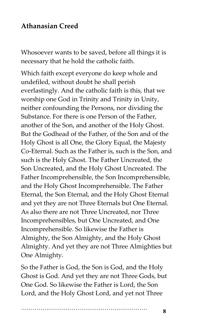## **Athanasian Creed**

Whosoever wants to be saved, before all things it is necessary that he hold the catholic faith.

Which faith except everyone do keep whole and undefiled, without doubt he shall perish everlastingly. And the catholic faith is this, that we worship one God in Trinity and Trinity in Unity, neither confounding the Persons, nor dividing the Substance. For there is one Person of the Father, another of the Son, and another of the Holy Ghost. But the Godhead of the Father, of the Son and of the Holy Ghost is all One, the Glory Equal, the Majesty Co-Eternal. Such as the Father is, such is the Son, and such is the Holy Ghost. The Father Uncreated, the Son Uncreated, and the Holy Ghost Uncreated. The Father Incomprehensible, the Son Incomprehensible, and the Holy Ghost Incomprehensible. The Father Eternal, the Son Eternal, and the Holy Ghost Eternal and yet they are not Three Eternals but One Eternal. As also there are not Three Uncreated, nor Three Incomprehensibles, but One Uncreated, and One Incomprehensible. So likewise the Father is Almighty, the Son Almighty, and the Holy Ghost Almighty. And yet they are not Three Almighties but One Almighty.

So the Father is God, the Son is God, and the Holy Ghost is God. And yet they are not Three Gods, but One God. So likewise the Father is Lord, the Son Lord, and the Holy Ghost Lord, and yet not Three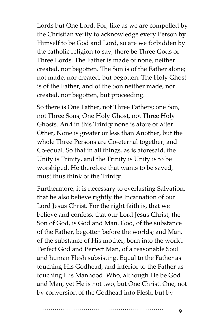Lords but One Lord. For, like as we are compelled by the Christian verity to acknowledge every Person by Himself to be God and Lord, so are we forbidden by the catholic religion to say, there be Three Gods or Three Lords. The Father is made of none, neither created, nor begotten. The Son is of the Father alone; not made, nor created, but begotten. The Holy Ghost is of the Father, and of the Son neither made, nor created, nor begotten, but proceeding.

So there is One Father, not Three Fathers; one Son, not Three Sons; One Holy Ghost, not Three Holy Ghosts. And in this Trinity none is afore or after Other, None is greater or less than Another, but the whole Three Persons are Co-eternal together, and Co-equal. So that in all things, as is aforesaid, the Unity is Trinity, and the Trinity is Unity is to be worshiped. He therefore that wants to be saved, must thus think of the Trinity.

Furthermore, it is necessary to everlasting Salvation, that he also believe rightly the Incarnation of our Lord Jesus Christ. For the right faith is, that we believe and confess, that our Lord Jesus Christ, the Son of God, is God and Man. God, of the substance of the Father, begotten before the worlds; and Man, of the substance of His mother, born into the world. Perfect God and Perfect Man, of a reasonable Soul and human Flesh subsisting. Equal to the Father as touching His Godhead, and inferior to the Father as touching His Manhood. Who, although He be God and Man, yet He is not two, but One Christ. One, not by conversion of the Godhead into Flesh, but by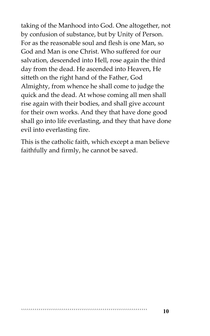taking of the Manhood into God. One altogether, not by confusion of substance, but by Unity of Person. For as the reasonable soul and flesh is one Man, so God and Man is one Christ. Who suffered for our salvation, descended into Hell, rose again the third day from the dead. He ascended into Heaven, He sitteth on the right hand of the Father, God Almighty, from whence he shall come to judge the quick and the dead. At whose coming all men shall rise again with their bodies, and shall give account for their own works. And they that have done good shall go into life everlasting, and they that have done evil into everlasting fire.

This is the catholic faith, which except a man believe faithfully and firmly, he cannot be saved.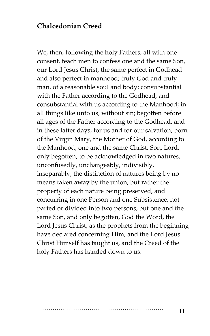#### **Chalcedonian Creed**

We, then, following the holy Fathers, all with one consent, teach men to confess one and the same Son, our Lord Jesus Christ, the same perfect in Godhead and also perfect in manhood; truly God and truly man, of a reasonable soul and body; consubstantial with the Father according to the Godhead, and consubstantial with us according to the Manhood; in all things like unto us, without sin; begotten before all ages of the Father according to the Godhead, and in these latter days, for us and for our salvation, born of the Virgin Mary, the Mother of God, according to the Manhood; one and the same Christ, Son, Lord, only begotten, to be acknowledged in two natures, unconfusedly, unchangeably, indivisibly, inseparably; the distinction of natures being by no means taken away by the union, but rather the property of each nature being preserved, and concurring in one Person and one Subsistence, not parted or divided into two persons, but one and the same Son, and only begotten, God the Word, the Lord Jesus Christ; as the prophets from the beginning have declared concerning Him, and the Lord Jesus Christ Himself has taught us, and the Creed of the holy Fathers has handed down to us.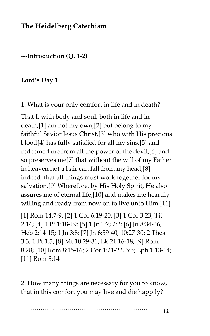## **The Heidelberg Catechism**

**~~Introduction (Q. 1-2)**

### **Lord's Day 1**

1. What is your only comfort in life and in death?

That I, with body and soul, both in life and in death,[1] am not my own,[2] but belong to my faithful Savior Jesus Christ,[3] who with His precious blood[4] has fully satisfied for all my sins,[5] and redeemed me from all the power of the devil;[6] and so preserves me[7] that without the will of my Father in heaven not a hair can fall from my head;[8] indeed, that all things must work together for my salvation.[9] Wherefore, by His Holy Spirit, He also assures me of eternal life,[10] and makes me heartily willing and ready from now on to live unto Him.[11]

[1] Rom 14:7-9; [2] 1 Cor 6:19-20; [3] 1 Cor 3:23; Tit 2:14; [4] 1 Pt 1:18-19; [5] 1 Jn 1:7; 2:2; [6] Jn 8:34-36; Heb 2:14-15; 1 Jn 3:8; [7] Jn 6:39-40, 10:27-30; 2 Thes 3:3; 1 Pt 1:5; [8] Mt 10:29-31; Lk 21:16-18; [9] Rom 8:28; [10] Rom 8:15-16; 2 Cor 1:21-22, 5:5; Eph 1:13-14; [11] Rom 8:14

2. How many things are necessary for you to know, that in this comfort you may live and die happily?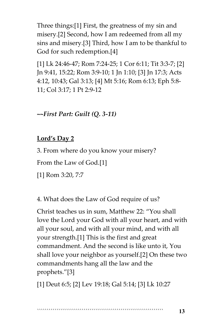Three things:[1] First, the greatness of my sin and misery.[2] Second, how I am redeemed from all my sins and misery.[3] Third, how I am to be thankful to God for such redemption.[4]

[1] Lk 24:46-47; Rom 7:24-25; 1 Cor 6:11; Tit 3:3-7; [2] Jn 9:41, 15:22; Rom 3:9-10; 1 Jn 1:10; [3] Jn 17:3; Acts 4:12, 10:43; Gal 3:13; [4] Mt 5:16; Rom 6:13; Eph 5:8- 11; Col 3:17; 1 Pt 2:9-12

*~~First Part: Guilt (Q. 3-11)*

## **Lord's Day 2**

3. From where do you know your misery?

From the Law of God.[1]

[1] Rom 3:20, 7:7

4. What does the Law of God require of us?

Christ teaches us in sum, Matthew 22: "You shall love the Lord your God with all your heart, and with all your soul, and with all your mind, and with all your strength.[1] This is the first and great commandment. And the second is like unto it, You shall love your neighbor as yourself.[2] On these two commandments hang all the law and the prophets."[3]

[1] Deut 6:5; [2] Lev 19:18; Gal 5:14; [3] Lk 10:27

 $\cdots$   $\cdots$   $\cdots$   $\cdots$   $\cdots$   $\cdots$   $\cdots$   $\cdots$   $\cdots$   $\cdots$   $\cdots$   $\cdots$   $\cdots$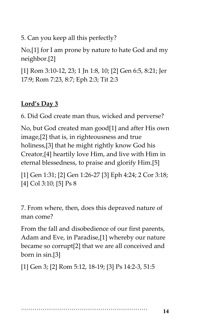5. Can you keep all this perfectly?

No,[1] for I am prone by nature to hate God and my neighbor.[2]

[1] Rom 3:10-12, 23; 1 Jn 1:8, 10; [2] Gen 6:5, 8:21; Jer 17:9; Rom 7:23, 8:7; Eph 2:3; Tit 2:3

## **Lord's Day 3**

6. Did God create man thus, wicked and perverse?

No, but God created man good[1] and after His own image,[2] that is, in righteousness and true holiness,[3] that he might rightly know God his Creator,[4] heartily love Him, and live with Him in eternal blessedness, to praise and glorify Him.[5]

[1] Gen 1:31; [2] Gen 1:26-27 [3] Eph 4:24; 2 Cor 3:18; [4] Col 3:10; [5] Ps 8

7. From where, then, does this depraved nature of man come?

From the fall and disobedience of our first parents, Adam and Eve, in Paradise,[1] whereby our nature became so corrupt[2] that we are all conceived and born in sin.[3]

[1] Gen 3; [2] Rom 5:12, 18-19; [3] Ps 14:2-3, 51:5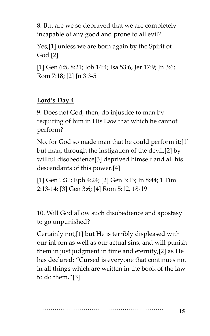8. But are we so depraved that we are completely incapable of any good and prone to all evil?

Yes,[1] unless we are born again by the Spirit of God.[2]

[1] Gen 6:5, 8:21; Job 14:4; Isa 53:6; Jer 17:9; Jn 3:6; Rom 7:18; [2] Jn 3:3-5

## **Lord's Day 4**

9. Does not God, then, do injustice to man by requiring of him in His Law that which he cannot perform?

No, for God so made man that he could perform it;[1] but man, through the instigation of the devil,[2] by willful disobedience[3] deprived himself and all his descendants of this power.[4]

[1] Gen 1:31; Eph 4:24; [2] Gen 3:13; Jn 8:44; 1 Tim 2:13-14; [3] Gen 3:6; [4] Rom 5:12, 18-19

10. Will God allow such disobedience and apostasy to go unpunished?

Certainly not,[1] but He is terribly displeased with our inborn as well as our actual sins, and will punish them in just judgment in time and eternity,[2] as He has declared: "Cursed is everyone that continues not in all things which are written in the book of the law to do them."[3]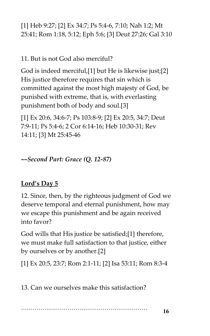## [1] Heb 9:27; [2] Ex 34:7; Ps 5:4-6, 7:10; Nah 1:2; Mt 25:41; Rom 1:18, 5:12; Eph 5:6; [3] Deut 27:26; Gal 3:10

## 11. But is not God also merciful?

God is indeed merciful,[1] but He is likewise just;[2] His justice therefore requires that sin which is committed against the most high majesty of God, be punished with extreme, that is, with everlasting punishment both of body and soul.[3]

[1] Ex 20:6, 34:6-7; Ps 103:8-9; [2] Ex 20:5, 34:7; Deut 7:9-11; Ps 5:4-6; 2 Cor 6:14-16; Heb 10:30-31; Rev 14:11; [3] Mt 25:45-46

*~~Second Part: Grace (Q. 12-87)*

## **Lord's Day 5**

12. Since, then, by the righteous judgment of God we deserve temporal and eternal punishment, how may we escape this punishment and be again received into favor?

God wills that His justice be satisfied;[1] therefore, we must make full satisfaction to that justice, either by ourselves or by another.[2]

[1] Ex 20:5, 23:7; Rom 2:1-11; [2] Isa 53:11; Rom 8:3-4

13. Can we ourselves make this satisfaction?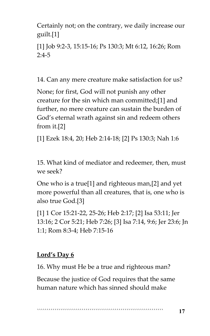Certainly not; on the contrary, we daily increase our guilt.[1]

[1] Job 9:2-3, 15:15-16; Ps 130:3; Mt 6:12, 16:26; Rom  $2:4-5$ 

14. Can any mere creature make satisfaction for us?

None; for first, God will not punish any other creature for the sin which man committed;[1] and further, no mere creature can sustain the burden of God's eternal wrath against sin and redeem others from it.[2]

[1] Ezek 18:4, 20; Heb 2:14-18; [2] Ps 130:3; Nah 1:6

15. What kind of mediator and redeemer, then, must we seek?

One who is a true[1] and righteous man,[2] and yet more powerful than all creatures, that is, one who is also true God.[3]

[1] 1 Cor 15:21-22, 25-26; Heb 2:17; [2] Isa 53:11; Jer 13:16; 2 Cor 5:21; Heb 7:26; [3] Isa 7:14, 9:6; Jer 23:6; Jn 1:1; Rom 8:3-4; Heb 7:15-16

#### **Lord's Day 6**

16. Why must He be a true and righteous man?

Because the justice of God requires that the same human nature which has sinned should make

 $\frac{17}{17}$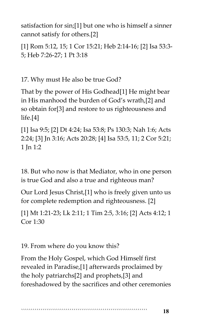satisfaction for sin;[1] but one who is himself a sinner cannot satisfy for others.[2]

[1] Rom 5:12, 15; 1 Cor 15:21; Heb 2:14-16; [2] Isa 53:3- 5; Heb 7:26-27; 1 Pt 3:18

17. Why must He also be true God?

That by the power of His Godhead[1] He might bear in His manhood the burden of God's wrath,[2] and so obtain for[3] and restore to us righteousness and life.[4]

[1] Isa 9:5; [2] Dt 4:24; Isa 53:8; Ps 130:3; Nah 1:6; Acts 2:24; [3] Jn 3:16; Acts 20:28; [4] Isa 53:5, 11; 2 Cor 5:21; 1 Jn 1:2

18. But who now is that Mediator, who in one person is true God and also a true and righteous man?

Our Lord Jesus Christ,[1] who is freely given unto us for complete redemption and righteousness. [2]

[1] Mt 1:21-23; Lk 2:11; 1 Tim 2:5, 3:16; [2] Acts 4:12; 1 Cor 1:30

19. From where do you know this?

From the Holy Gospel, which God Himself first revealed in Paradise,[1] afterwards proclaimed by the holy patriarchs[2] and prophets,[3] and foreshadowed by the sacrifices and other ceremonies

````````````````````````````````````````````````````````````````` **18**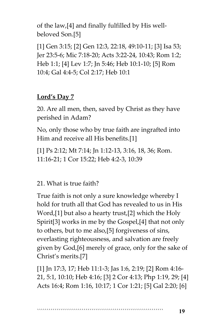of the law,[4] and finally fulfilled by His wellbeloved Son.[5]

[1] Gen 3:15; [2] Gen 12:3, 22:18, 49:10-11; [3] Isa 53; Jer 23:5-6; Mic 7:18-20; Acts 3:22-24, 10:43; Rom 1:2; Heb 1:1; [4] Lev 1:7; Jn 5:46; Heb 10:1-10; [5] Rom 10:4; Gal 4:4-5; Col 2:17; Heb 10:1

## **Lord's Day 7**

20. Are all men, then, saved by Christ as they have perished in Adam?

No, only those who by true faith are ingrafted into Him and receive all His benefits.[1]

[1] Ps 2:12; Mt 7:14; Jn 1:12-13, 3:16, 18, 36; Rom. 11:16-21; 1 Cor 15:22; Heb 4:2-3, 10:39

#### 21. What is true faith?

True faith is not only a sure knowledge whereby I hold for truth all that God has revealed to us in His Word,[1] but also a hearty trust,[2] which the Holy Spirit[3] works in me by the Gospel,[4] that not only to others, but to me also,[5] forgiveness of sins, everlasting righteousness, and salvation are freely given by God,[6] merely of grace, only for the sake of Christ's merits.[7]

[1] Jn 17:3, 17; Heb 11:1-3; Jas 1:6, 2:19; [2] Rom 4:16- 21, 5:1, 10:10; Heb 4:16; [3] 2 Cor 4:13; Php 1:19, 29; [4] Acts 16:4; Rom 1:16, 10:17; 1 Cor 1:21; [5] Gal 2:20; [6]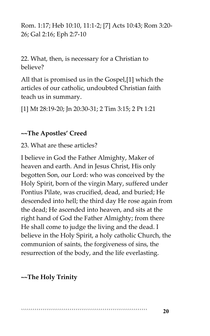Rom. 1:17; Heb 10:10, 11:1-2; [7] Acts 10:43; Rom 3:20- 26; Gal 2:16; Eph 2:7-10

22. What, then, is necessary for a Christian to believe?

All that is promised us in the Gospel,[1] which the articles of our catholic, undoubted Christian faith teach us in summary.

[1] Mt 28:19-20; Jn 20:30-31; 2 Tim 3:15; 2 Pt 1:21

### **~~The Apostles' Creed**

23. What are these articles?

I believe in God the Father Almighty, Maker of heaven and earth. And in Jesus Christ, His only begotten Son, our Lord: who was conceived by the Holy Spirit, born of the virgin Mary, suffered under Pontius Pilate, was crucified, dead, and buried; He descended into hell; the third day He rose again from the dead; He ascended into heaven, and sits at the right hand of God the Father Almighty; from there He shall come to judge the living and the dead. I believe in the Holy Spirit, a holy catholic Church, the communion of saints, the forgiveness of sins, the resurrection of the body, and the life everlasting.

## **~~The Holy Trinity**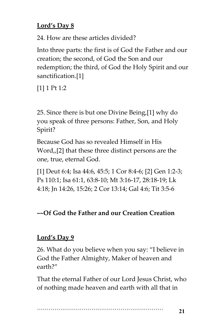### **Lord's Day 8**

24. How are these articles divided?

Into three parts: the first is of God the Father and our creation; the second, of God the Son and our redemption; the third, of God the Holy Spirit and our sanctification.[1]

[1] 1 Pt 1:2

25. Since there is but one Divine Being,[1] why do you speak of three persons: Father, Son, and Holy Spirit?

Because God has so revealed Himself in His Word,,[2] that these three distinct persons are the one, true, eternal God.

[1] Deut 6:4; Isa 44:6, 45:5; 1 Cor 8:4-6; [2] Gen 1:2-3; Ps 110:1; Isa 61:1, 63:8-10; Mt 3:16-17, 28:18-19; Lk 4:18; Jn 14:26, 15:26; 2 Cor 13:14; Gal 4:6; Tit 3:5-6

## **~~Of God the Father and our Creation Creation**

## **Lord's Day 9**

26. What do you believe when you say: "I believe in God the Father Almighty, Maker of heaven and earth?"

That the eternal Father of our Lord Jesus Christ, who of nothing made heaven and earth with all that in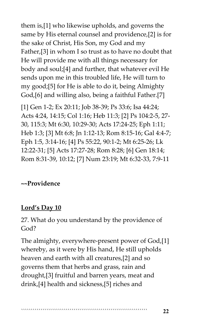them is,[1] who likewise upholds, and governs the same by His eternal counsel and providence,[2] is for the sake of Christ, His Son, my God and my Father,[3] in whom I so trust as to have no doubt that He will provide me with all things necessary for body and soul;[4] and further, that whatever evil He sends upon me in this troubled life, He will turn to my good;[5] for He is able to do it, being Almighty God,[6] and willing also, being a faithful Father.[7]

[1] Gen 1-2; Ex 20:11; Job 38-39; Ps 33:6; Isa 44:24; Acts 4:24, 14:15; Col 1:16; Heb 11:3; [2] Ps 104:2-5, 27- 30, 115:3; Mt 6:30, 10:29-30; Acts 17:24-25; Eph 1:11; Heb 1:3; [3] Mt 6:8; Jn 1:12-13; Rom 8:15-16; Gal 4:4-7; Eph 1:5, 3:14-16; [4] Ps 55:22, 90:1-2; Mt 6:25-26; Lk 12:22-31; [5] Acts 17:27-28; Rom 8:28; [6] Gen 18:14; Rom 8:31-39, 10:12; [7] Num 23:19; Mt 6:32-33, 7:9-11

#### **~~Providence**

#### **Lord's Day 10**

27. What do you understand by the providence of God?

The almighty, everywhere-present power of God,[1] whereby, as it were by His hand, He still upholds heaven and earth with all creatures,[2] and so governs them that herbs and grass, rain and drought,[3] fruitful and barren years, meat and drink,[4] health and sickness,[5] riches and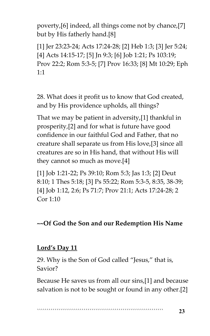poverty,[6] indeed, all things come not by chance,[7] but by His fatherly hand.[8]

[1] Jer 23:23-24; Acts 17:24-28; [2] Heb 1:3; [3] Jer 5:24; [4] Acts 14:15-17; [5] Jn 9:3; [6] Job 1:21; Ps 103:19; Prov 22:2; Rom 5:3-5; [7] Prov 16:33; [8] Mt 10:29; Eph 1:1

28. What does it profit us to know that God created, and by His providence upholds, all things?

That we may be patient in adversity,[1] thankful in prosperity,[2] and for what is future have good confidence in our faithful God and Father, that no creature shall separate us from His love,[3] since all creatures are so in His hand, that without His will they cannot so much as move.[4]

[1] Job 1:21-22; Ps 39:10; Rom 5:3; Jas 1:3; [2] Deut 8:10; 1 Thes 5:18; [3] Ps 55:22; Rom 5:3-5, 8:35, 38-39; [4] Job 1:12, 2:6; Ps 71:7; Prov 21:1; Acts 17:24-28; 2 Cor 1:10

**~~Of God the Son and our Redemption His Name**

#### **Lord's Day 11**

29. Why is the Son of God called "Jesus," that is, Savior?

Because He saves us from all our sins,[1] and because salvation is not to be sought or found in any other.[2]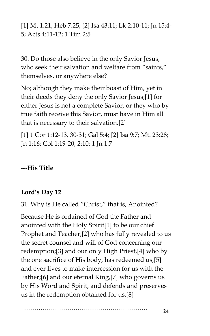[1] Mt 1:21; Heb 7:25; [2] Isa 43:11; Lk 2:10-11; Jn 15:4- 5; Acts 4:11-12; 1 Tim 2:5

30. Do those also believe in the only Savior Jesus, who seek their salvation and welfare from "saints," themselves, or anywhere else?

No; although they make their boast of Him, yet in their deeds they deny the only Savior Jesus;[1] for either Jesus is not a complete Savior, or they who by true faith receive this Savior, must have in Him all that is necessary to their salvation.[2]

[1] 1 Cor 1:12-13, 30-31; Gal 5:4; [2] Isa 9:7; Mt. 23:28; Jn 1:16; Col 1:19-20, 2:10; 1 Jn 1:7

#### **~~His Title**

#### **Lord's Day 12**

31. Why is He called "Christ," that is, Anointed?

Because He is ordained of God the Father and anointed with the Holy Spirit[1] to be our chief Prophet and Teacher,[2] who has fully revealed to us the secret counsel and will of God concerning our redemption;[3] and our only High Priest,[4] who by the one sacrifice of His body, has redeemed us,[5] and ever lives to make intercession for us with the Father;[6] and our eternal King,[7] who governs us by His Word and Spirit, and defends and preserves us in the redemption obtained for us.[8]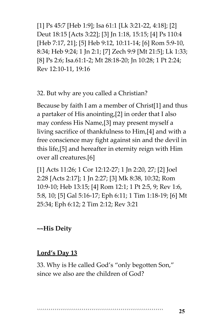[1] Ps 45:7 [Heb 1:9]; Isa 61:1 [Lk 3:21-22, 4:18]; [2] Deut 18:15 [Acts 3:22]; [3] Jn 1:18, 15:15; [4] Ps 110:4 [Heb 7:17, 21]; [5] Heb 9:12, 10:11-14; [6] Rom 5:9-10, 8:34; Heb 9:24; 1 Jn 2:1; [7] Zech 9:9 [Mt 21:5]; Lk 1:33; [8] Ps 2:6; Isa.61:1-2; Mt 28:18-20; Jn 10:28; 1 Pt 2:24; Rev 12:10-11, 19:16

32. But why are you called a Christian?

Because by faith I am a member of Christ[1] and thus a partaker of His anointing,[2] in order that I also may confess His Name,[3] may present myself a living sacrifice of thankfulness to Him,[4] and with a free conscience may fight against sin and the devil in this life,[5] and hereafter in eternity reign with Him over all creatures.[6]

[1] Acts 11:26; 1 Cor 12:12-27; 1 Jn 2:20, 27; [2] Joel 2:28 [Acts 2:17]; 1 Jn 2:27; [3] Mk 8:38, 10:32; Rom 10:9-10; Heb 13:15; [4] Rom 12:1; 1 Pt 2:5, 9; Rev 1:6, 5:8, 10; [5] Gal 5:16-17; Eph 6:11; 1 Tim 1:18-19; [6] Mt 25:34; Eph 6:12; 2 Tim 2:12; Rev 3:21

#### **~~His Deity**

#### **Lord's Day 13**

33. Why is He called God's "only begotten Son," since we also are the children of God?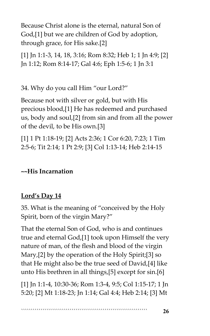Because Christ alone is the eternal, natural Son of God,[1] but we are children of God by adoption, through grace, for His sake.[2]

[1] Jn 1:1-3, 14, 18, 3:16; Rom 8:32; Heb 1; 1 Jn 4:9; [2] Jn 1:12; Rom 8:14-17; Gal 4:6; Eph 1:5-6; 1 Jn 3:1

34. Why do you call Him "our Lord?"

Because not with silver or gold, but with His precious blood,[1] He has redeemed and purchased us, body and soul,[2] from sin and from all the power of the devil, to be His own.[3]

[1] 1 Pt 1:18-19; [2] Acts 2:36; 1 Cor 6:20, 7:23; 1 Tim 2:5-6; Tit 2:14; 1 Pt 2:9; [3] Col 1:13-14; Heb 2:14-15

## **~~His Incarnation**

# **Lord's Day 14**

35. What is the meaning of "conceived by the Holy Spirit, born of the virgin Mary?"

That the eternal Son of God, who is and continues true and eternal God,[1] took upon Himself the very nature of man, of the flesh and blood of the virgin Mary,[2] by the operation of the Holy Spirit;[3] so that He might also be the true seed of David,[4] like unto His brethren in all things,[5] except for sin.[6]

[1] Jn 1:1-4, 10:30-36; Rom 1:3-4, 9:5; Col 1:15-17; 1 Jn 5:20; [2] Mt 1:18-23; Jn 1:14; Gal 4:4; Heb 2:14; [3] Mt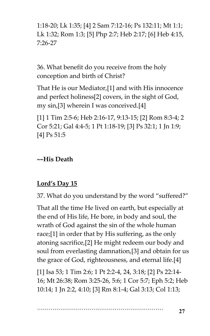1:18-20; Lk 1:35; [4] 2 Sam 7:12-16; Ps 132:11; Mt 1:1; Lk 1:32; Rom 1:3; [5] Php 2:7; Heb 2:17; [6] Heb 4:15, 7:26-27

36. What benefit do you receive from the holy conception and birth of Christ?

That He is our Mediator,[1] and with His innocence and perfect holiness[2] covers, in the sight of God, my sin,[3] wherein I was conceived.[4]

[1] 1 Tim 2:5-6; Heb 2:16-17, 9:13-15; [2] Rom 8:3-4; 2 Cor 5:21; Gal 4:4-5; 1 Pt 1:18-19; [3] Ps 32:1; 1 Jn 1:9; [4] Ps 51:5

#### **~~His Death**

#### **Lord's Day 15**

37. What do you understand by the word "suffered?"

That all the time He lived on earth, but especially at the end of His life, He bore, in body and soul, the wrath of God against the sin of the whole human race;[1] in order that by His suffering, as the only atoning sacrifice,[2] He might redeem our body and soul from everlasting damnation,[3] and obtain for us the grace of God, righteousness, and eternal life.[4]

[1] Isa 53; 1 Tim 2:6; 1 Pt 2:2-4, 24, 3:18; [2] Ps 22:14- 16; Mt 26:38; Rom 3:25-26, 5:6; 1 Cor 5:7; Eph 5:2; Heb 10:14; 1 Jn 2:2, 4:10; [3] Rm 8:1-4; Gal 3:13; Col 1:13;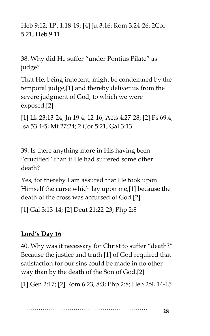Heb 9:12; 1Pt 1:18-19; [4] Jn 3:16; Rom 3:24-26; 2Cor 5:21; Heb 9:11

38. Why did He suffer "under Pontius Pilate" as judge?

That He, being innocent, might be condemned by the temporal judge,[1] and thereby deliver us from the severe judgment of God, to which we were exposed.[2]

[1] Lk 23:13-24; Jn 19:4, 12-16; Acts 4:27-28; [2] Ps 69:4; Isa 53:4-5; Mt 27:24; 2 Cor 5:21; Gal 3:13

39. Is there anything more in His having been "crucified" than if He had suffered some other death?

Yes, for thereby I am assured that He took upon Himself the curse which lay upon me,[1] because the death of the cross was accursed of God.[2]

[1] Gal 3:13-14; [2] Deut 21:22-23; Php 2:8

## **Lord's Day 16**

40. Why was it necessary for Christ to suffer "death?" Because the justice and truth [1] of God required that satisfaction for our sins could be made in no other way than by the death of the Son of God.[2]

[1] Gen 2:17; [2] Rom 6:23, 8:3; Php 2:8; Heb 2:9, 14-15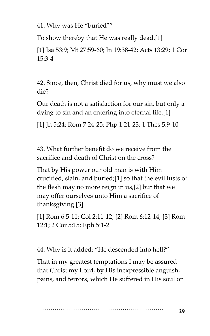41. Why was He "buried?"

To show thereby that He was really dead.[1]

[1] Isa 53:9; Mt 27:59-60; Jn 19:38-42; Acts 13:29; 1 Cor 15:3-4

42. Since, then, Christ died for us, why must we also die?

Our death is not a satisfaction for our sin, but only a dying to sin and an entering into eternal life.[1]

[1] Jn 5:24; Rom 7:24-25; Php 1:21-23; 1 Thes 5:9-10

43. What further benefit do we receive from the sacrifice and death of Christ on the cross?

That by His power our old man is with Him crucified, slain, and buried;[1] so that the evil lusts of the flesh may no more reign in us,[2] but that we may offer ourselves unto Him a sacrifice of thanksgiving.[3]

[1] Rom 6:5-11; Col 2:11-12; [2] Rom 6:12-14; [3] Rom 12:1; 2 Cor 5:15; Eph 5:1-2

44. Why is it added: "He descended into hell?"

That in my greatest temptations I may be assured that Christ my Lord, by His inexpressible anguish, pains, and terrors, which He suffered in His soul on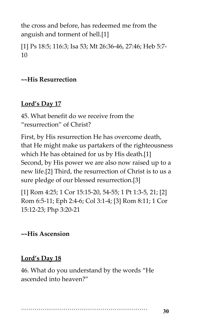the cross and before, has redeemed me from the anguish and torment of hell.[1]

[1] Ps 18:5; 116:3; Isa 53; Mt 26:36-46, 27:46; Heb 5:7- 10

#### **~~His Resurrection**

## **Lord's Day 17**

45. What benefit do we receive from the "resurrection" of Christ?

First, by His resurrection He has overcome death, that He might make us partakers of the righteousness which He has obtained for us by His death.[1] Second, by His power we are also now raised up to a new life.[2] Third, the resurrection of Christ is to us a sure pledge of our blessed resurrection.[3]

[1] Rom 4:25; 1 Cor 15:15-20, 54-55; 1 Pt 1:3-5, 21; [2] Rom 6:5-11; Eph 2:4-6; Col 3:1-4; [3] Rom 8:11; 1 Cor 15:12-23; Php 3:20-21

**~~His Ascension**

## **Lord's Day 18**

46. What do you understand by the words "He ascended into heaven?"

 $\cdots$   $\cdots$   $\cdots$   $\cdots$   $\cdots$   $\cdots$   $\cdots$   $\cdots$   $\cdots$   $\cdots$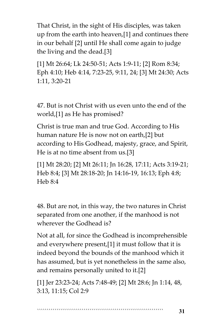That Christ, in the sight of His disciples, was taken up from the earth into heaven,[1] and continues there in our behalf [2] until He shall come again to judge the living and the dead.[3]

[1] Mt 26:64; Lk 24:50-51; Acts 1:9-11; [2] Rom 8:34; Eph 4:10; Heb 4:14, 7:23-25, 9:11, 24; [3] Mt 24:30; Acts 1:11, 3:20-21

47. But is not Christ with us even unto the end of the world,[1] as He has promised?

Christ is true man and true God. According to His human nature He is now not on earth,[2] but according to His Godhead, majesty, grace, and Spirit, He is at no time absent from us.[3]

[1] Mt 28:20; [2] Mt 26:11; Jn 16:28, 17:11; Acts 3:19-21; Heb 8:4; [3] Mt 28:18-20; Jn 14:16-19, 16:13; Eph 4:8; Heb 8:4

48. But are not, in this way, the two natures in Christ separated from one another, if the manhood is not wherever the Godhead is?

Not at all, for since the Godhead is incomprehensible and everywhere present,[1] it must follow that it is indeed beyond the bounds of the manhood which it has assumed, but is yet nonetheless in the same also, and remains personally united to it.[2]

[1] Jer 23:23-24; Acts 7:48-49; [2] Mt 28:6; Jn 1:14, 48, 3:13, 11:15; Col 2:9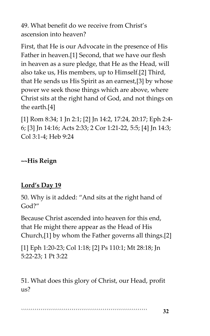49. What benefit do we receive from Christ's ascension into heaven?

First, that He is our Advocate in the presence of His Father in heaven.[1] Second, that we have our flesh in heaven as a sure pledge, that He as the Head, will also take us, His members, up to Himself.[2] Third, that He sends us His Spirit as an earnest,[3] by whose power we seek those things which are above, where Christ sits at the right hand of God, and not things on the earth.[4]

[1] Rom 8:34; 1 Jn 2:1; [2] Jn 14:2, 17:24, 20:17; Eph 2:4- 6; [3] Jn 14:16; Acts 2:33; 2 Cor 1:21-22, 5:5; [4] Jn 14:3; Col 3:1-4; Heb 9:24

### **~~His Reign**

#### **Lord's Day 19**

50. Why is it added: "And sits at the right hand of God?"

Because Christ ascended into heaven for this end, that He might there appear as the Head of His Church,[1] by whom the Father governs all things.[2]

[1] Eph 1:20-23; Col 1:18; [2] Ps 110:1; Mt 28:18; Jn 5:22-23; 1 Pt 3:22

51. What does this glory of Christ, our Head, profit  $11s<sup>2</sup>$ 

 $\frac{32}{1}$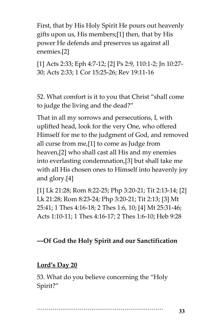First, that by His Holy Spirit He pours out heavenly gifts upon us, His members;[1] then, that by His power He defends and preserves us against all enemies.[2]

[1] Acts 2:33; Eph 4:7-12; [2] Ps 2:9, 110:1-2; Jn 10:27- 30; Acts 2:33; 1 Cor 15:25-26; Rev 19:11-16

52. What comfort is it to you that Christ "shall come to judge the living and the dead?"

That in all my sorrows and persecutions, I, with uplifted head, look for the very One, who offered Himself for me to the judgment of God, and removed all curse from me,[1] to come as Judge from heaven,[2] who shall cast all His and my enemies into everlasting condemnation,[3] but shall take me with all His chosen ones to Himself into heavenly joy and glory.[4]

[1] Lk 21:28; Rom 8:22-25; Php 3:20-21; Tit 2:13-14; [2] Lk 21:28; Rom 8:23-24; Php 3:20-21; Tit 2:13; [3] Mt 25:41; 1 Thes 4:16-18; 2 Thes 1:6, 10; [4] Mt 25:31-46; Acts 1:10-11; 1 Thes 4:16-17; 2 Thes 1:6-10; Heb 9:28

## **~~Of God the Holy Spirit and our Sanctification**

#### **Lord's Day 20**

53. What do you believe concerning the "Holy Spirit?"

 $\cdots$   $\cdots$   $\cdots$   $\cdots$   $\cdots$   $\cdots$   $\cdots$   $\cdots$   $\cdots$   $\cdots$   $\cdots$   $\cdots$   $\cdots$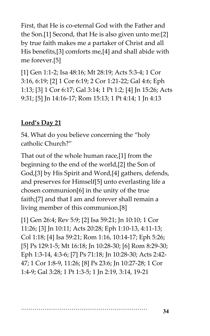First, that He is co-eternal God with the Father and the Son.[1] Second, that He is also given unto me:[2] by true faith makes me a partaker of Christ and all His benefits,[3] comforts me,[4] and shall abide with me forever.[5]

[1] Gen 1:1-2; Isa 48:16; Mt 28:19; Acts 5:3-4; 1 Cor 3:16, 6:19; [2] 1 Cor 6:19; 2 Cor 1:21-22; Gal 4:6; Eph 1:13; [3] 1 Cor 6:17; Gal 3:14; 1 Pt 1:2; [4] Jn 15:26; Acts 9:31; [5] Jn 14:16-17; Rom 15:13; 1 Pt 4:14; 1 Jn 4:13

## **Lord's Day 21**

54. What do you believe concerning the "holy catholic Church?"

That out of the whole human race,[1] from the beginning to the end of the world,[2] the Son of God,[3] by His Spirit and Word,[4] gathers, defends, and preserves for Himself[5] unto everlasting life a chosen communion[6] in the unity of the true faith;[7] and that I am and forever shall remain a living member of this communion.[8]

[1] Gen 26:4; Rev 5:9; [2] Isa 59:21; Jn 10:10; 1 Cor 11:26; [3] Jn 10:11; Acts 20:28; Eph 1:10-13, 4:11-13; Col 1:18; [4] Isa 59:21; Rom 1:16, 10:14-17; Eph 5:26; [5] Ps 129:1-5; Mt 16:18; Jn 10:28-30; [6] Rom 8:29-30; Eph 1:3-14, 4:3-6; [7] Ps 71:18; Jn 10:28-30; Acts 2:42- 47; 1 Cor 1:8-9, 11:26; [8] Ps 23:6; Jn 10:27-28; 1 Cor 1:4-9; Gal 3:28; 1 Pt 1:3-5; 1 Jn 2:19, 3:14, 19-21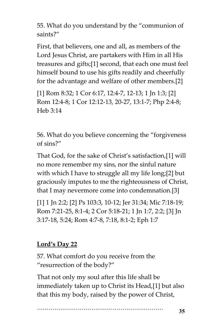55. What do you understand by the "communion of saints?"

First, that believers, one and all, as members of the Lord Jesus Christ, are partakers with Him in all His treasures and gifts;[1] second, that each one must feel himself bound to use his gifts readily and cheerfully for the advantage and welfare of other members.[2]

[1] Rom 8:32; 1 Cor 6:17, 12:4-7, 12-13; 1 Jn 1:3; [2] Rom 12:4-8; 1 Cor 12:12-13, 20-27, 13:1-7; Php 2:4-8; Heb 3:14

56. What do you believe concerning the "forgiveness of sins?"

That God, for the sake of Christ's satisfaction,[1] will no more remember my sins, nor the sinful nature with which I have to struggle all my life long;[2] but graciously imputes to me the righteousness of Christ, that I may nevermore come into condemnation.[3]

[1] 1 Jn 2:2; [2] Ps 103:3, 10-12; Jer 31:34; Mic 7:18-19; Rom 7:21-25, 8:1-4; 2 Cor 5:18-21; 1 Jn 1:7, 2:2; [3] Jn 3:17-18, 5:24; Rom 4:7-8, 7:18, 8:1-2; Eph 1:7

## **Lord's Day 22**

57. What comfort do you receive from the "resurrection of the body?"

That not only my soul after this life shall be immediately taken up to Christ its Head,[1] but also that this my body, raised by the power of Christ,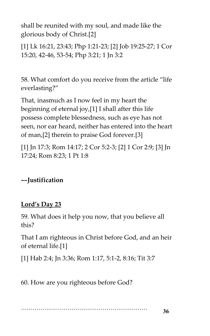shall be reunited with my soul, and made like the glorious body of Christ.[2]

[1] Lk 16:21, 23:43; Php 1:21-23; [2] Job 19:25-27; 1 Cor 15:20, 42-46, 53-54; Php 3:21; 1 Jn 3:2

58. What comfort do you receive from the article "life everlasting?"

That, inasmuch as I now feel in my heart the beginning of eternal joy,[1] I shall after this life possess complete blessedness, such as eye has not seen, nor ear heard, neither has entered into the heart of man,[2] therein to praise God forever.[3]

[1] Jn 17:3; Rom 14:17; 2 Cor 5:2-3; [2] 1 Cor 2:9; [3] Jn 17:24; Rom 8:23; 1 Pt 1:8

# **~~Justification**

## **Lord's Day 23**

59. What does it help you now, that you believe all this?

That I am righteous in Christ before God, and an heir of eternal life.[1]

[1] Hab 2:4; Jn 3:36; Rom 1:17, 5:1-2, 8:16; Tit 3:7

60. How are you righteous before God?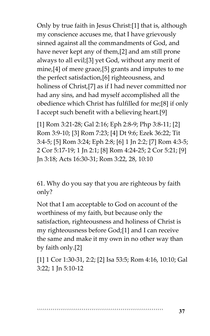Only by true faith in Jesus Christ:[1] that is, although my conscience accuses me, that I have grievously sinned against all the commandments of God, and have never kept any of them,[2] and am still prone always to all evil;[3] yet God, without any merit of mine,[4] of mere grace,[5] grants and imputes to me the perfect satisfaction,[6] righteousness, and holiness of Christ,[7] as if I had never committed nor had any sins, and had myself accomplished all the obedience which Christ has fulfilled for me;[8] if only I accept such benefit with a believing heart.[9]

[1] Rom 3:21-28; Gal 2:16; Eph 2:8-9; Php 3:8-11; [2] Rom 3:9-10; [3] Rom 7:23; [4] Dt 9:6; Ezek 36:22; Tit 3:4-5; [5] Rom 3:24; Eph 2:8; [6] 1 Jn 2:2; [7] Rom 4:3-5; 2 Cor 5:17-19; 1 Jn 2:1; [8] Rom 4:24-25; 2 Cor 5:21; [9] Jn 3:18; Acts 16:30-31; Rom 3:22, 28, 10:10

61. Why do you say that you are righteous by faith only?

Not that I am acceptable to God on account of the worthiness of my faith, but because only the satisfaction, righteousness and holiness of Christ is my righteousness before God;[1] and I can receive the same and make it my own in no other way than by faith only.[2]

[1] 1 Cor 1:30-31, 2:2; [2] Isa 53:5; Rom 4:16, 10:10; Gal 3:22; 1 Jn 5:10-12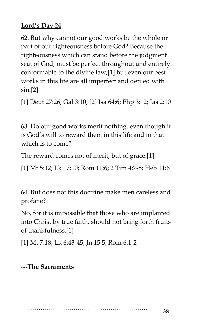### **Lord's Day 24**

62. But why cannot our good works be the whole or part of our righteousness before God? Because the righteousness which can stand before the judgment seat of God, must be perfect throughout and entirely conformable to the divine law,[1] but even our best works in this life are all imperfect and defiled with sin.[2]

[1] Deut 27:26; Gal 3:10; [2] Isa 64:6; Php 3:12; Jas 2:10

63. Do our good works merit nothing, even though it is God's will to reward them in this life and in that which is to come?

The reward comes not of merit, but of grace.[1]

[1] Mt 5:12; Lk 17:10; Rom 11:6; 2 Tim 4:7-8; Heb 11:6

64. But does not this doctrine make men careless and profane?

No, for it is impossible that those who are implanted into Christ by true faith, should not bring forth fruits of thankfulness.[1]

[1] Mt 7:18; Lk 6:43-45; Jn 15:5; Rom 6:1-2

**~~The Sacraments**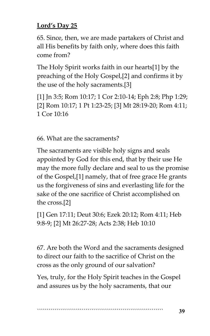# **Lord's Day 25**

65. Since, then, we are made partakers of Christ and all His benefits by faith only, where does this faith come from?

The Holy Spirit works faith in our hearts[1] by the preaching of the Holy Gospel,[2] and confirms it by the use of the holy sacraments.[3]

[1] Jn 3:5; Rom 10:17; 1 Cor 2:10-14; Eph 2:8; Php 1:29; [2] Rom 10:17; 1 Pt 1:23-25; [3] Mt 28:19-20; Rom 4:11; 1 Cor 10:16

66. What are the sacraments?

The sacraments are visible holy signs and seals appointed by God for this end, that by their use He may the more fully declare and seal to us the promise of the Gospel,[1] namely, that of free grace He grants us the forgiveness of sins and everlasting life for the sake of the one sacrifice of Christ accomplished on the cross.[2]

[1] Gen 17:11; Deut 30:6; Ezek 20:12; Rom 4:11; Heb 9:8-9; [2] Mt 26:27-28; Acts 2:38; Heb 10:10

67. Are both the Word and the sacraments designed to direct our faith to the sacrifice of Christ on the cross as the only ground of our salvation?

Yes, truly, for the Holy Spirit teaches in the Gospel and assures us by the holy sacraments, that our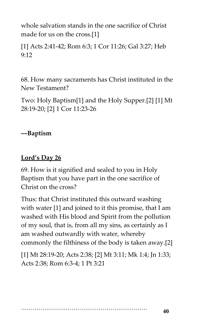whole salvation stands in the one sacrifice of Christ made for us on the cross.[1]

[1] Acts 2:41-42; Rom 6:3; 1 Cor 11:26; Gal 3:27; Heb 9:12

68. How many sacraments has Christ instituted in the New Testament?

Two: Holy Baptism[1] and the Holy Supper.[2] [1] Mt 28:19-20; [2] 1 Cor 11:23-26

#### **~~Baptism**

#### **Lord's Day 26**

69. How is it signified and sealed to you in Holy Baptism that you have part in the one sacrifice of Christ on the cross?

Thus: that Christ instituted this outward washing with water [1] and joined to it this promise, that I am washed with His blood and Spirit from the pollution of my soul, that is, from all my sins, as certainly as I am washed outwardly with water, whereby commonly the filthiness of the body is taken away.[2]

[1] Mt 28:19-20; Acts 2:38; [2] Mt 3:11; Mk 1:4; Jn 1:33; Acts 2:38; Rom 6:3-4; 1 Pt 3:21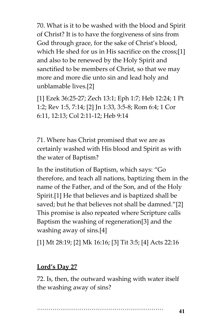70. What is it to be washed with the blood and Spirit of Christ? It is to have the forgiveness of sins from God through grace, for the sake of Christ's blood, which He shed for us in His sacrifice on the cross;[1] and also to be renewed by the Holy Spirit and sanctified to be members of Christ, so that we may more and more die unto sin and lead holy and unblamable lives.[2]

[1] Ezek 36:25-27; Zech 13:1; Eph 1:7; Heb 12:24; 1 Pt 1:2; Rev 1:5, 7:14; [2] Jn 1:33, 3:5-8; Rom 6:4; 1 Cor 6:11, 12:13; Col 2:11-12; Heb 9:14

71. Where has Christ promised that we are as certainly washed with His blood and Spirit as with the water of Baptism?

In the institution of Baptism, which says: "Go therefore, and teach all nations, baptizing them in the name of the Father, and of the Son, and of the Holy Spirit.[1] He that believes and is baptized shall be saved; but he that believes not shall be damned."[2] This promise is also repeated where Scripture calls Baptism the washing of regeneration[3] and the washing away of sins.[4]

[1] Mt 28:19; [2] Mk 16:16; [3] Tit 3:5; [4] Acts 22:16

#### **Lord's Day 27**

72. Is, then, the outward washing with water itself the washing away of sins?

 $\cdots$   $\cdots$   $\cdots$   $\cdots$   $\cdots$   $\cdots$   $\cdots$   $\cdots$   $\cdots$   $\cdots$   $\cdots$   $\cdots$   $\cdots$   $\cdots$   $\cdots$   $\cdots$   $\cdots$   $\cdots$   $\cdots$   $\cdots$   $\cdots$   $\cdots$   $\cdots$   $\cdots$   $\cdots$   $\cdots$   $\cdots$   $\cdots$   $\cdots$   $\cdots$   $\cdots$   $\cdots$   $\cdots$   $\cdots$   $\cdots$   $\cdots$   $\cdots$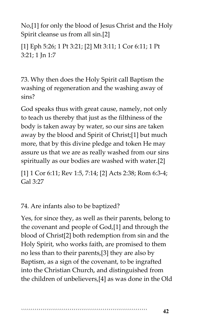No,[1] for only the blood of Jesus Christ and the Holy Spirit cleanse us from all sin.[2]

[1] Eph 5:26; 1 Pt 3:21; [2] Mt 3:11; 1 Cor 6:11; 1 Pt 3:21; 1 Jn 1:7

73. Why then does the Holy Spirit call Baptism the washing of regeneration and the washing away of sins?

God speaks thus with great cause, namely, not only to teach us thereby that just as the filthiness of the body is taken away by water, so our sins are taken away by the blood and Spirit of Christ;[1] but much more, that by this divine pledge and token He may assure us that we are as really washed from our sins spiritually as our bodies are washed with water.[2]

[1] 1 Cor 6:11; Rev 1:5, 7:14; [2] Acts 2:38; Rom 6:3-4;  $Gal 3:27$ 

74. Are infants also to be baptized?

Yes, for since they, as well as their parents, belong to the covenant and people of God,[1] and through the blood of Christ[2] both redemption from sin and the Holy Spirit, who works faith, are promised to them no less than to their parents,[3] they are also by Baptism, as a sign of the covenant, to be ingrafted into the Christian Church, and distinguished from the children of unbelievers,[4] as was done in the Old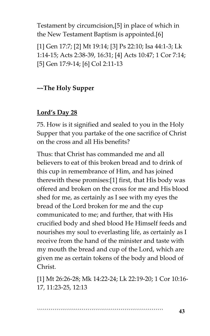Testament by circumcision,[5] in place of which in the New Testament Baptism is appointed.[6]

[1] Gen 17:7; [2] Mt 19:14; [3] Ps 22:10; Isa 44:1-3; Lk 1:14-15; Acts 2:38-39, 16:31; [4] Acts 10:47; 1 Cor 7:14; [5] Gen 17:9-14; [6] Col 2:11-13

#### **~~The Holy Supper**

#### **Lord's Day 28**

75. How is it signified and sealed to you in the Holy Supper that you partake of the one sacrifice of Christ on the cross and all His benefits?

Thus: that Christ has commanded me and all believers to eat of this broken bread and to drink of this cup in remembrance of Him, and has joined therewith these promises:[1] first, that His body was offered and broken on the cross for me and His blood shed for me, as certainly as I see with my eyes the bread of the Lord broken for me and the cup communicated to me; and further, that with His crucified body and shed blood He Himself feeds and nourishes my soul to everlasting life, as certainly as I receive from the hand of the minister and taste with my mouth the bread and cup of the Lord, which are given me as certain tokens of the body and blood of Christ.

[1] Mt 26:26-28; Mk 14:22-24; Lk 22:19-20; 1 Cor 10:16- 17, 11:23-25, 12:13

 $\cdots$   $\cdots$   $\cdots$   $\cdots$   $\cdots$   $\cdots$   $\cdots$   $\cdots$   $\cdots$   $\cdots$   $\cdots$   $\cdots$   $\cdots$   $\cdots$   $\cdots$   $\cdots$   $\cdots$   $\cdots$   $\cdots$   $\cdots$   $\cdots$   $\cdots$   $\cdots$   $\cdots$   $\cdots$   $\cdots$   $\cdots$   $\cdots$   $\cdots$   $\cdots$   $\cdots$   $\cdots$   $\cdots$   $\cdots$   $\cdots$   $\cdots$   $\cdots$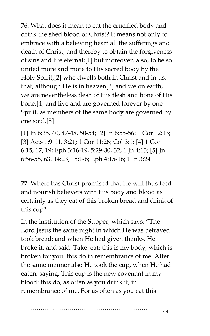76. What does it mean to eat the crucified body and drink the shed blood of Christ? It means not only to embrace with a believing heart all the sufferings and death of Christ, and thereby to obtain the forgiveness of sins and life eternal;[1] but moreover, also, to be so united more and more to His sacred body by the Holy Spirit,[2] who dwells both in Christ and in us, that, although He is in heaven[3] and we on earth, we are nevertheless flesh of His flesh and bone of His bone,[4] and live and are governed forever by one Spirit, as members of the same body are governed by one soul.[5]

[1] Jn 6:35, 40, 47-48, 50-54; [2] Jn 6:55-56; 1 Cor 12:13; [3] Acts 1:9-11, 3:21; 1 Cor 11:26; Col 3:1; [4] 1 Cor 6:15, 17, 19; Eph 3:16-19, 5:29-30, 32; 1 Jn 4:13; [5] Jn 6:56-58, 63, 14:23, 15:1-6; Eph 4:15-16; 1 Jn 3:24

77. Where has Christ promised that He will thus feed and nourish believers with His body and blood as certainly as they eat of this broken bread and drink of this cup?

In the institution of the Supper, which says: "The Lord Jesus the same night in which He was betrayed took bread: and when He had given thanks, He broke it, and said, Take, eat: this is my body, which is broken for you: this do in remembrance of me. After the same manner also He took the cup, when He had eaten, saying, This cup is the new covenant in my blood: this do, as often as you drink it, in remembrance of me. For as often as you eat this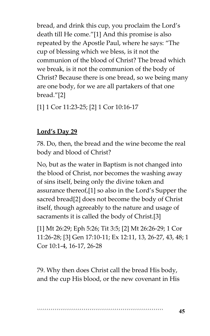bread, and drink this cup, you proclaim the Lord's death till He come."[1] And this promise is also repeated by the Apostle Paul, where he says: "The cup of blessing which we bless, is it not the communion of the blood of Christ? The bread which we break, is it not the communion of the body of Christ? Because there is one bread, so we being many are one body, for we are all partakers of that one bread."[2]

[1] 1 Cor 11:23-25; [2] 1 Cor 10:16-17

#### **Lord's Day 29**

78. Do, then, the bread and the wine become the real body and blood of Christ?

No, but as the water in Baptism is not changed into the blood of Christ, nor becomes the washing away of sins itself, being only the divine token and assurance thereof,[1] so also in the Lord's Supper the sacred bread[2] does not become the body of Christ itself, though agreeably to the nature and usage of sacraments it is called the body of Christ.[3]

[1] Mt 26:29; Eph 5:26; Tit 3:5; [2] Mt 26:26-29; 1 Cor 11:26-28; [3] Gen 17:10-11; Ex 12:11, 13, 26-27, 43, 48; 1 Cor 10:1-4, 16-17, 26-28

79. Why then does Christ call the bread His body, and the cup His blood, or the new covenant in His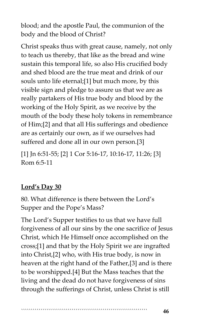blood; and the apostle Paul, the communion of the body and the blood of Christ?

Christ speaks thus with great cause, namely, not only to teach us thereby, that like as the bread and wine sustain this temporal life, so also His crucified body and shed blood are the true meat and drink of our souls unto life eternal;[1] but much more, by this visible sign and pledge to assure us that we are as really partakers of His true body and blood by the working of the Holy Spirit, as we receive by the mouth of the body these holy tokens in remembrance of Him;[2] and that all His sufferings and obedience are as certainly our own, as if we ourselves had suffered and done all in our own person.[3]

[1] Jn 6:51-55; [2] 1 Cor 5:16-17, 10:16-17, 11:26; [3] Rom 6:5-11

### **Lord's Day 30**

80. What difference is there between the Lord's Supper and the Pope's Mass?

The Lord's Supper testifies to us that we have full forgiveness of all our sins by the one sacrifice of Jesus Christ, which He Himself once accomplished on the cross;[1] and that by the Holy Spirit we are ingrafted into Christ,[2] who, with His true body, is now in heaven at the right hand of the Father,[3] and is there to be worshipped.[4] But the Mass teaches that the living and the dead do not have forgiveness of sins through the sufferings of Christ, unless Christ is still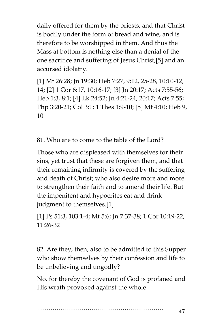daily offered for them by the priests, and that Christ is bodily under the form of bread and wine, and is therefore to be worshipped in them. And thus the Mass at bottom is nothing else than a denial of the one sacrifice and suffering of Jesus Christ,[5] and an accursed idolatry.

[1] Mt 26:28; Jn 19:30; Heb 7:27, 9:12, 25-28, 10:10-12, 14; [2] 1 Cor 6:17, 10:16-17; [3] Jn 20:17; Acts 7:55-56; Heb 1:3, 8:1; [4] Lk 24:52; Jn 4:21-24, 20:17; Acts 7:55; Php 3:20-21; Col 3:1; 1 Thes 1:9-10; [5] Mt 4:10; Heb 9, 10

81. Who are to come to the table of the Lord?

Those who are displeased with themselves for their sins, yet trust that these are forgiven them, and that their remaining infirmity is covered by the suffering and death of Christ; who also desire more and more to strengthen their faith and to amend their life. But the impenitent and hypocrites eat and drink judgment to themselves.[1]

[1] Ps 51:3, 103:1-4; Mt 5:6; Jn 7:37-38; 1 Cor 10:19-22, 11:26-32

82. Are they, then, also to be admitted to this Supper who show themselves by their confession and life to be unbelieving and ungodly?

No, for thereby the covenant of God is profaned and His wrath provoked against the whole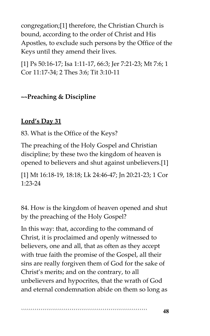congregation;[1] therefore, the Christian Church is bound, according to the order of Christ and His Apostles, to exclude such persons by the Office of the Keys until they amend their lives.

[1] Ps 50:16-17; Isa 1:11-17, 66:3; Jer 7:21-23; Mt 7:6; 1 Cor 11:17-34; 2 Thes 3:6; Tit 3:10-11

### **~~Preaching & Discipline**

### **Lord's Day 31**

83. What is the Office of the Keys?

The preaching of the Holy Gospel and Christian discipline; by these two the kingdom of heaven is opened to believers and shut against unbelievers.[1]

[1] Mt 16:18-19, 18:18; Lk 24:46-47; Jn 20:21-23; 1 Cor  $1:23-24$ 

84. How is the kingdom of heaven opened and shut by the preaching of the Holy Gospel?

In this way: that, according to the command of Christ, it is proclaimed and openly witnessed to believers, one and all, that as often as they accept with true faith the promise of the Gospel, all their sins are really forgiven them of God for the sake of Christ's merits; and on the contrary, to all unbelievers and hypocrites, that the wrath of God and eternal condemnation abide on them so long as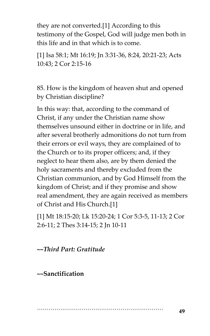they are not converted.[1] According to this testimony of the Gospel, God will judge men both in this life and in that which is to come.

[1] Isa 58:1; Mt 16:19; Jn 3:31-36, 8:24, 20:21-23; Acts 10:43; 2 Cor 2:15-16

85. How is the kingdom of heaven shut and opened by Christian discipline?

In this way: that, according to the command of Christ, if any under the Christian name show themselves unsound either in doctrine or in life, and after several brotherly admonitions do not turn from their errors or evil ways, they are complained of to the Church or to its proper officers; and, if they neglect to hear them also, are by them denied the holy sacraments and thereby excluded from the Christian communion, and by God Himself from the kingdom of Christ; and if they promise and show real amendment, they are again received as members of Christ and His Church.[1]

[1] Mt 18:15-20; Lk 15:20-24; 1 Cor 5:3-5, 11-13; 2 Cor 2:6-11; 2 Thes 3:14-15; 2 Jn 10-11

*~~Third Part: Gratitude*

**~~Sanctification**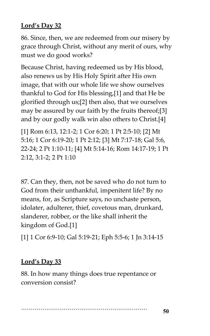### **Lord's Day 32**

86. Since, then, we are redeemed from our misery by grace through Christ, without any merit of ours, why must we do good works?

Because Christ, having redeemed us by His blood, also renews us by His Holy Spirit after His own image, that with our whole life we show ourselves thankful to God for His blessing,[1] and that He be glorified through us;[2] then also, that we ourselves may be assured by our faith by the fruits thereof;[3] and by our godly walk win also others to Christ.[4]

[1] Rom 6:13, 12:1-2; 1 Cor 6:20; 1 Pt 2:5-10; [2] Mt 5:16; 1 Cor 6:19-20; 1 Pt 2:12; [3] Mt 7:17-18; Gal 5:6, 22-24; 2 Pt 1:10-11; [4] Mt 5:14-16; Rom 14:17-19; 1 Pt 2:12, 3:1-2; 2 Pt 1:10

87. Can they, then, not be saved who do not turn to God from their unthankful, impenitent life? By no means, for, as Scripture says, no unchaste person, idolater, adulterer, thief, covetous man, drunkard, slanderer, robber, or the like shall inherit the kingdom of God.[1]

[1] 1 Cor 6:9-10; Gal 5:19-21; Eph 5:5-6; 1 Jn 3:14-15

### **Lord's Day 33**

88. In how many things does true repentance or conversion consist?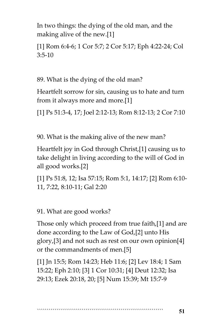In two things: the dying of the old man, and the making alive of the new.[1]

[1] Rom 6:4-6; 1 Cor 5:7; 2 Cor 5:17; Eph 4:22-24; Col 3:5-10

89. What is the dying of the old man?

Heartfelt sorrow for sin, causing us to hate and turn from it always more and more.[1]

[1] Ps 51:3-4, 17; Joel 2:12-13; Rom 8:12-13; 2 Cor 7:10

90. What is the making alive of the new man?

Heartfelt joy in God through Christ,[1] causing us to take delight in living according to the will of God in all good works.[2]

[1] Ps 51:8, 12; Isa 57:15; Rom 5:1, 14:17; [2] Rom 6:10- 11, 7:22, 8:10-11; Gal 2:20

91. What are good works?

Those only which proceed from true faith,[1] and are done according to the Law of God,[2] unto His glory,[3] and not such as rest on our own opinion[4] or the commandments of men.[5]

[1] Jn 15:5; Rom 14:23; Heb 11:6; [2] Lev 18:4; 1 Sam 15:22; Eph 2:10; [3] 1 Cor 10:31; [4] Deut 12:32; Isa 29:13; Ezek 20:18, 20; [5] Num 15:39; Mt 15:7-9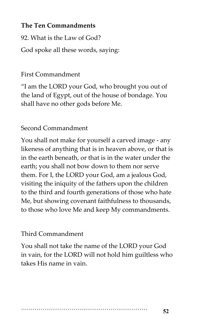#### **The Ten Commandments**

92. What is the Law of God?

God spoke all these words, saying:

### First Commandment

"I am the LORD your God, who brought you out of the land of Egypt, out of the house of bondage. You shall have no other gods before Me.

# Second Commandment

You shall not make for yourself a carved image - any likeness of anything that is in heaven above, or that is in the earth beneath, or that is in the water under the earth; you shall not bow down to them nor serve them. For I, the LORD your God, am a jealous God, visiting the iniquity of the fathers upon the children to the third and fourth generations of those who hate Me, but showing covenant faithfulness to thousands, to those who love Me and keep My commandments.

# Third Commandment

You shall not take the name of the LORD your God in vain, for the LORD will not hold him guiltless who takes His name in vain.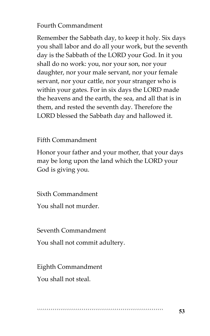#### Fourth Commandment

Remember the Sabbath day, to keep it holy. Six days you shall labor and do all your work, but the seventh day is the Sabbath of the LORD your God. In it you shall do no work: you, nor your son, nor your daughter, nor your male servant, nor your female servant, nor your cattle, nor your stranger who is within your gates. For in six days the LORD made the heavens and the earth, the sea, and all that is in them, and rested the seventh day. Therefore the LORD blessed the Sabbath day and hallowed it.

Fifth Commandment

Honor your father and your mother, that your days may be long upon the land which the LORD your God is giving you.

Sixth Commandment

You shall not murder.

Seventh Commandment

You shall not commit adultery.

Eighth Commandment

You shall not steal.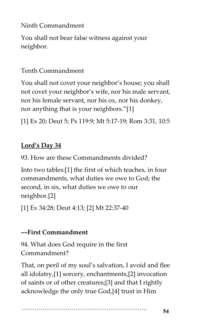Ninth Commandment

You shall not bear false witness against your neighbor.

### Tenth Commandment

You shall not covet your neighbor's house; you shall not covet your neighbor's wife, nor his male servant, nor his female servant, nor his ox, nor his donkey, nor anything that is your neighbors."[1]

[1] Ex 20; Deut 5; Ps 119:9; Mt 5:17-19; Rom 3:31, 10:5

# **Lord's Day 34**

93. How are these Commandments divided?

Into two tables:[1] the first of which teaches, in four commandments, what duties we owe to God; the second, in six, what duties we owe to our neighbor.[2]

[1] Ex 34:28; Deut 4:13; [2] Mt 22:37-40

# **~~First Commandment**

94. What does God require in the first Commandment?

That, on peril of my soul's salvation, I avoid and flee all idolatry,[1] sorcery, enchantments,[2] invocation of saints or of other creatures;[3] and that I rightly acknowledge the only true God,[4] trust in Him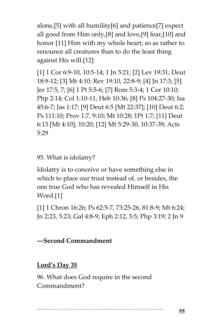alone,[5] with all humility[6] and patience[7] expect all good from Him only,[8] and love,[9] fear,[10] and honor [11] Him with my whole heart; so as rather to renounce all creatures than to do the least thing against His will.[12]

[1] 1 Cor 6:9-10, 10:5-14; 1 In 5:21; [2] Lev 19:31; Deut 18:9-12; [3] Mt 4:10; Rev 19:10, 22:8-9; [4] Jn 17:3; [5] Jer 17:5, 7; [6] 1 Pt 5:5-6; [7] Rom 5:3-4; 1 Cor 10:10; Php 2:14; Col 1:10-11; Heb 10:36; [8] Ps 104:27-30; Isa 45:6-7; Jas 1:17; [9] Deut 6:5 [Mt 22:37]; [10] Deut 6:2; Ps 111:10; Prov 1:7, 9:10; Mt 10:28; 1Pt 1:7; [11] Deut 6:13 [Mt 4:10], 10:20; [12] Mt 5:29-30, 10:37-39; Acts 5:29

95. What is idolatry?

Idolatry is to conceive or have something else in which to place our trust instead of, or besides, the one true God who has revealed Himself in His Word.[1]

[1] 1 Chron 16:26; Ps 62:5-7, 73:25-26, 81:8-9; Mt 6:24; Jn 2:23, 5:23; Gal 4:8-9; Eph 2:12, 5:5; Php 3:19; 2 Jn 9

#### **~~Second Commandment**

#### **Lord's Day 35**

96. What does God require in the second Commandment?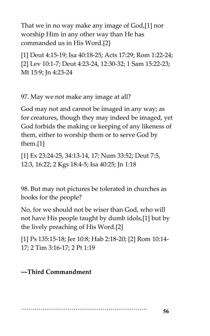That we in no way make any image of God,[1] nor worship Him in any other way than He has commanded us in His Word.[2]

[1] Deut 4:15-19; Isa 40:18-25; Acts 17:29; Rom 1:22-24; [2] Lev 10:1-7; Deut 4:23-24, 12:30-32; 1 Sam 15:22-23; Mt 15:9; Jn 4:23-24

97. May we not make any image at all?

God may not and cannot be imaged in any way; as for creatures, though they may indeed be imaged, yet God forbids the making or keeping of any likeness of them, either to worship them or to serve God by them.[1]

[1] Ex 23:24-25, 34:13-14, 17; Num 33:52; Deut 7:5, 12:3, 16:22; 2 Kgs 18:4-5; Isa 40:25; Jn 1:18

98. But may not pictures be tolerated in churches as books for the people?

No, for we should not be wiser than God, who will not have His people taught by dumb idols,[1] but by the lively preaching of His Word.[2]

[1] Ps 135:15-18; Jer 10:8; Hab 2:18-20; [2] Rom 10:14-17; 2 Tim 3:16-17; 2 Pt 1:19

**~~Third Commandment**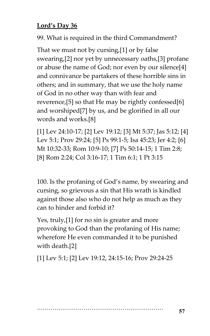### **Lord's Day 36**

99. What is required in the third Commandment?

That we must not by cursing,[1] or by false swearing,[2] nor yet by unnecessary oaths,[3] profane or abuse the name of God; nor even by our silence[4] and connivance be partakers of these horrible sins in others; and in summary, that we use the holy name of God in no other way than with fear and reverence,[5] so that He may be rightly confessed[6] and worshiped[7] by us, and be glorified in all our words and works.[8]

[1] Lev 24:10-17; [2] Lev 19:12; [3] Mt 5:37; Jas 5:12; [4] Lev 5:1; Prov 29:24; [5] Ps 99:1-5; Isa 45:23; Jer 4:2; [6] Mt 10:32-33; Rom 10:9-10; [7] Ps 50:14-15; 1 Tim 2:8; [8] Rom 2:24; Col 3:16-17; 1 Tim 6:1; 1 Pt 3:15

100. Is the profaning of God's name, by swearing and cursing, so grievous a sin that His wrath is kindled against those also who do not help as much as they can to hinder and forbid it?

Yes, truly,[1] for no sin is greater and more provoking to God than the profaning of His name; wherefore He even commanded it to be punished with death.[2]

[1] Lev 5:1; [2] Lev 19:12, 24:15-16; Prov 29:24-25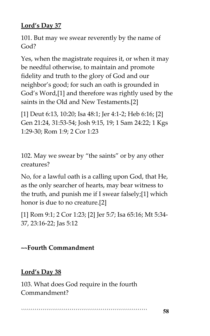### **Lord's Day 37**

101. But may we swear reverently by the name of God?

Yes, when the magistrate requires it, or when it may be needful otherwise, to maintain and promote fidelity and truth to the glory of God and our neighbor's good; for such an oath is grounded in God's Word,[1] and therefore was rightly used by the saints in the Old and New Testaments.[2]

[1] Deut 6:13, 10:20; Isa 48:1; Jer 4:1-2; Heb 6:16; [2] Gen 21:24, 31:53-54; Josh 9:15, 19; 1 Sam 24:22; 1 Kgs 1:29-30; Rom 1:9; 2 Cor 1:23

102. May we swear by "the saints" or by any other creatures?

No, for a lawful oath is a calling upon God, that He, as the only searcher of hearts, may bear witness to the truth, and punish me if I swear falsely;[1] which honor is due to no creature.[2]

[1] Rom 9:1; 2 Cor 1:23; [2] Jer 5:7; Isa 65:16; Mt 5:34- 37, 23:16-22; Jas 5:12

### **~~Fourth Commandment**

### **Lord's Day 38**

103. What does God require in the fourth Commandment?

````````````````````````````````````````````````````````````````` **58**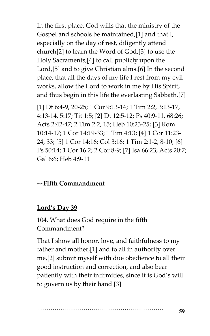In the first place, God wills that the ministry of the Gospel and schools be maintained,[1] and that I, especially on the day of rest, diligently attend church[2] to learn the Word of God,[3] to use the Holy Sacraments,[4] to call publicly upon the Lord,[5] and to give Christian alms.[6] In the second place, that all the days of my life I rest from my evil works, allow the Lord to work in me by His Spirit, and thus begin in this life the everlasting Sabbath.[7]

[1] Dt 6:4-9, 20-25; 1 Cor 9:13-14; 1 Tim 2:2, 3:13-17, 4:13-14, 5:17; Tit 1:5; [2] Dt 12:5-12; Ps 40:9-11, 68:26; Acts 2:42-47; 2 Tim 2:2, 15; Heb 10:23-25; [3] Rom 10:14-17; 1 Cor 14:19-33; 1 Tim 4:13; [4] 1 Cor 11:23- 24, 33; [5] 1 Cor 14:16; Col 3:16; 1 Tim 2:1-2, 8-10; [6] Ps 50:14; 1 Cor 16:2; 2 Cor 8-9; [7] Isa 66:23; Acts 20:7; Gal 6:6; Heb 4:9-11

#### **~~Fifth Commandment**

#### **Lord's Day 39**

104. What does God require in the fifth Commandment?

That I show all honor, love, and faithfulness to my father and mother,[1] and to all in authority over me,[2] submit myself with due obedience to all their good instruction and correction, and also bear patiently with their infirmities, since it is God's will to govern us by their hand.[3]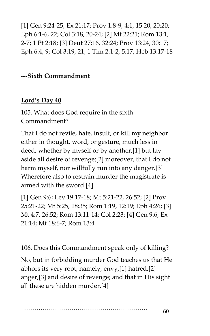[1] Gen 9:24-25; Ex 21:17; Prov 1:8-9, 4:1, 15:20, 20:20; Eph 6:1-6, 22; Col 3:18, 20-24; [2] Mt 22:21; Rom 13:1, 2-7; 1 Pt 2:18; [3] Deut 27:16, 32:24; Prov 13:24, 30:17; Eph 6:4, 9; Col 3:19, 21; 1 Tim 2:1-2, 5:17; Heb 13:17-18

#### **~~Sixth Commandment**

### **Lord's Day 40**

105. What does God require in the sixth Commandment?

That I do not revile, hate, insult, or kill my neighbor either in thought, word, or gesture, much less in deed, whether by myself or by another,[1] but lay aside all desire of revenge;[2] moreover, that I do not harm myself, nor willfully run into any danger.[3] Wherefore also to restrain murder the magistrate is armed with the sword.[4]

[1] Gen 9:6; Lev 19:17-18; Mt 5:21-22, 26:52; [2] Prov 25:21-22; Mt 5:25, 18:35; Rom 1:19, 12:19; Eph 4:26; [3] Mt 4:7, 26:52; Rom 13:11-14; Col 2:23; [4] Gen 9:6; Ex 21:14; Mt 18:6-7; Rom 13:4

106. Does this Commandment speak only of killing?

No, but in forbidding murder God teaches us that He abhors its very root, namely, envy,[1] hatred,[2] anger,[3] and desire of revenge; and that in His sight all these are hidden murder.[4]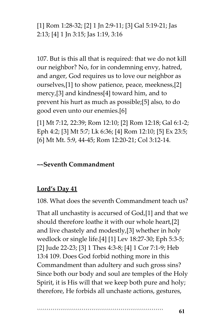[1] Rom 1:28-32; [2] 1 Jn 2:9-11; [3] Gal 5:19-21; Jas 2:13; [4] 1 Jn 3:15; Jas 1:19, 3:16

107. But is this all that is required: that we do not kill our neighbor? No, for in condemning envy, hatred, and anger, God requires us to love our neighbor as ourselves,[1] to show patience, peace, meekness,[2] mercy,[3] and kindness[4] toward him, and to prevent his hurt as much as possible;[5] also, to do good even unto our enemies.[6]

[1] Mt 7:12, 22:39; Rom 12:10; [2] Rom 12:18; Gal 6:1-2; Eph 4:2; [3] Mt 5:7; Lk 6:36; [4] Rom 12:10; [5] Ex 23:5; [6] Mt Mt. 5:9, 44-45; Rom 12:20-21; Col 3:12-14.

#### **~~Seventh Commandment**

### **Lord's Day 41**

108. What does the seventh Commandment teach us?

That all unchastity is accursed of God,[1] and that we should therefore loathe it with our whole heart,[2] and live chastely and modestly,[3] whether in holy wedlock or single life.[4] [1] Lev 18:27-30; Eph 5:3-5; [2] Jude 22-23; [3] 1 Thes 4:3-8; [4] 1 Cor 7:1-9; Heb 13:4 109. Does God forbid nothing more in this Commandment than adultery and such gross sins? Since both our body and soul are temples of the Holy Spirit, it is His will that we keep both pure and holy; therefore, He forbids all unchaste actions, gestures,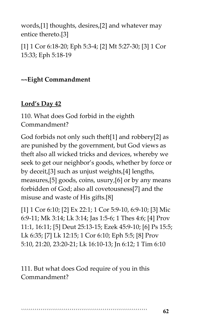words,[1] thoughts, desires,[2] and whatever may entice thereto.[3]

[1] 1 Cor 6:18-20; Eph 5:3-4; [2] Mt 5:27-30; [3] 1 Cor 15:33; Eph 5:18-19

### **~~Eight Commandment**

# **Lord's Day 42**

110. What does God forbid in the eighth Commandment?

God forbids not only such theft[1] and robbery[2] as are punished by the government, but God views as theft also all wicked tricks and devices, whereby we seek to get our neighbor's goods, whether by force or by deceit,[3] such as unjust weights,[4] lengths, measures,[5] goods, coins, usury,[6] or by any means forbidden of God; also all covetousness[7] and the misuse and waste of His gifts.[8]

[1] 1 Cor 6:10; [2] Ex 22:1; 1 Cor 5:9-10, 6:9-10; [3] Mic 6:9-11; Mk 3:14; Lk 3:14; Jas 1:5-6; 1 Thes 4:6; [4] Prov 11:1, 16:11; [5] Deut 25:13-15; Ezek 45:9-10; [6] Ps 15:5; Lk 6:35; [7] Lk 12:15; 1 Cor 6:10; Eph 5:5; [8] Prov 5:10, 21:20, 23:20-21; Lk 16:10-13; Jn 6:12; 1 Tim 6:10

111. But what does God require of you in this Commandment?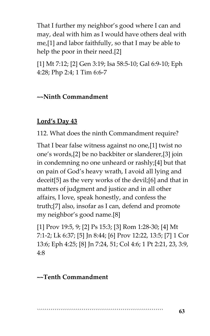That I further my neighbor's good where I can and may, deal with him as I would have others deal with me,[1] and labor faithfully, so that I may be able to help the poor in their need.[2]

[1] Mt 7:12; [2] Gen 3:19; Isa 58:5-10; Gal 6:9-10; Eph 4:28; Php 2:4; 1 Tim 6:6-7

#### **~~Ninth Commandment**

### **Lord's Day 43**

112. What does the ninth Commandment require?

That I bear false witness against no one,[1] twist no one's words,[2] be no backbiter or slanderer,[3] join in condemning no one unheard or rashly;[4] but that on pain of God's heavy wrath, I avoid all lying and deceit[5] as the very works of the devil;[6] and that in matters of judgment and justice and in all other affairs, I love, speak honestly, and confess the truth;[7] also, insofar as I can, defend and promote my neighbor's good name.[8]

[1] Prov 19:5, 9; [2] Ps 15:3; [3] Rom 1:28-30; [4] Mt 7:1-2; Lk 6:37; [5] Jn 8:44; [6] Prov 12:22, 13:5; [7] 1 Cor 13:6; Eph 4:25; [8] Jn 7:24, 51; Col 4:6; 1 Pt 2:21, 23, 3:9, 4:8

#### **~~Tenth Commandment**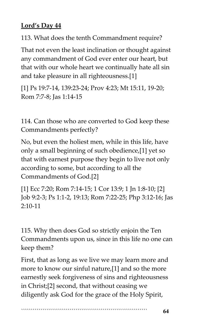### **Lord's Day 44**

113. What does the tenth Commandment require?

That not even the least inclination or thought against any commandment of God ever enter our heart, but that with our whole heart we continually hate all sin and take pleasure in all righteousness.[1]

[1] Ps 19:7-14, 139:23-24; Prov 4:23; Mt 15:11, 19-20; Rom 7:7-8; Jas 1:14-15

114. Can those who are converted to God keep these Commandments perfectly?

No, but even the holiest men, while in this life, have only a small beginning of such obedience,[1] yet so that with earnest purpose they begin to live not only according to some, but according to all the Commandments of God.[2]

[1] Ecc 7:20; Rom 7:14-15; 1 Cor 13:9; 1 Jn 1:8-10; [2] Job 9:2-3; Ps 1:1-2, 19:13; Rom 7:22-25; Php 3:12-16; Jas 2:10-11

115. Why then does God so strictly enjoin the Ten Commandments upon us, since in this life no one can keep them?

First, that as long as we live we may learn more and more to know our sinful nature,[1] and so the more earnestly seek forgiveness of sins and righteousness in Christ;[2] second, that without ceasing we diligently ask God for the grace of the Holy Spirit,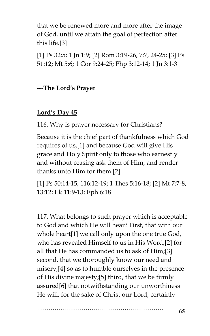that we be renewed more and more after the image of God, until we attain the goal of perfection after this life.[3]

[1] Ps 32:5; 1 Jn 1:9; [2] Rom 3:19-26, 7:7, 24-25; [3] Ps 51:12; Mt 5:6; 1 Cor 9:24-25; Php 3:12-14; 1 Jn 3:1-3

**~~The Lord's Prayer**

### **Lord's Day 45**

116. Why is prayer necessary for Christians?

Because it is the chief part of thankfulness which God requires of us,[1] and because God will give His grace and Holy Spirit only to those who earnestly and without ceasing ask them of Him, and render thanks unto Him for them.[2]

[1] Ps 50:14-15, 116:12-19; 1 Thes 5:16-18; [2] Mt 7:7-8, 13:12; Lk 11:9-13; Eph 6:18

117. What belongs to such prayer which is acceptable to God and which He will hear? First, that with our whole heart[1] we call only upon the one true God, who has revealed Himself to us in His Word,[2] for all that He has commanded us to ask of Him;[3] second, that we thoroughly know our need and misery,[4] so as to humble ourselves in the presence of His divine majesty;[5] third, that we be firmly assured[6] that notwithstanding our unworthiness He will, for the sake of Christ our Lord, certainly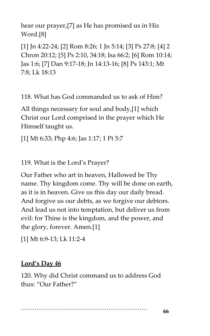hear our prayer,[7] as He has promised us in His Word.[8]

[1] Jn 4:22-24; [2] Rom 8:26; 1 Jn 5:14; [3] Ps 27:8; [4] 2 Chron 20:12; [5] Ps 2:10, 34:18; Isa 66:2; [6] Rom 10:14; Jas 1:6; [7] Dan 9:17-18; Jn 14:13-16; [8] Ps 143:1; Mt 7:8; Lk 18:13

118. What has God commanded us to ask of Him?

All things necessary for soul and body,[1] which Christ our Lord comprised in the prayer which He Himself taught us.

[1] Mt 6:33; Php 4:6; Jas 1:17; 1 Pt 5:7

119. What is the Lord's Prayer?

Our Father who art in heaven, Hallowed be Thy name. Thy kingdom come. Thy will be done on earth, as it is in heaven. Give us this day our daily bread. And forgive us our debts, as we forgive our debtors. And lead us not into temptation, but deliver us from evil: for Thine is the kingdom, and the power, and the glory, forever. Amen.[1]

[1] Mt 6:9-13; Lk 11:2-4

### **Lord's Day 46**

120. Why did Christ command us to address God thus: "Our Father?"

 $\overline{66}$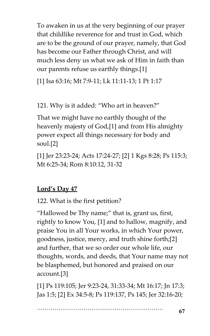To awaken in us at the very beginning of our prayer that childlike reverence for and trust in God, which are to be the ground of our prayer, namely, that God has become our Father through Christ, and will much less deny us what we ask of Him in faith than our parents refuse us earthly things.[1]

[1] Isa 63:16; Mt 7:9-11; Lk 11:11-13; 1 Pt 1:17

121. Why is it added: "Who art in heaven?"

That we might have no earthly thought of the heavenly majesty of God,[1] and from His almighty power expect all things necessary for body and soul.[2]

[1] Jer 23:23-24; Acts 17:24-27; [2] 1 Kgs 8:28; Ps 115:3; Mt 6:25-34; Rom 8:10:12, 31-32

### **Lord's Day 47**

122. What is the first petition?

"Hallowed be Thy name;" that is, grant us, first, rightly to know You, [1] and to hallow, magnify, and praise You in all Your works, in which Your power, goodness, justice, mercy, and truth shine forth;[2] and further, that we so order our whole life, our thoughts, words, and deeds, that Your name may not be blasphemed, but honored and praised on our account.[3]

[1] Ps 119:105; Jer 9:23-24, 31:33-34; Mt 16:17; Jn 17:3; Jas 1:5; [2] Ex 34:5-8; Ps 119:137, Ps 145; Jer 32:16-20;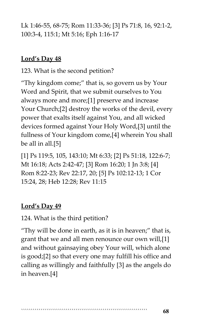Lk 1:46-55, 68-75; Rom 11:33-36; [3] Ps 71:8, 16, 92:1-2, 100:3-4, 115:1; Mt 5:16; Eph 1:16-17

### **Lord's Day 48**

123. What is the second petition?

"Thy kingdom come;" that is, so govern us by Your Word and Spirit, that we submit ourselves to You always more and more;[1] preserve and increase Your Church;[2] destroy the works of the devil, every power that exalts itself against You, and all wicked devices formed against Your Holy Word,[3] until the fullness of Your kingdom come,[4] wherein You shall be all in all.[5]

[1] Ps 119:5, 105, 143:10; Mt 6:33; [2] Ps 51:18, 122:6-7; Mt 16:18; Acts 2:42-47; [3] Rom 16:20; 1 Jn 3:8; [4] Rom 8:22-23; Rev 22:17, 20; [5] Ps 102:12-13; 1 Cor 15:24, 28; Heb 12:28; Rev 11:15

#### **Lord's Day 49**

124. What is the third petition?

"Thy will be done in earth, as it is in heaven;" that is, grant that we and all men renounce our own will,[1] and without gainsaying obey Your will, which alone is good;[2] so that every one may fulfill his office and calling as willingly and faithfully [3] as the angels do in heaven.[4]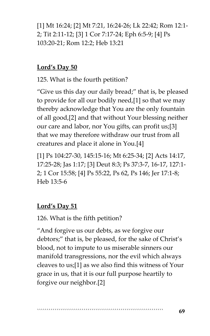[1] Mt 16:24; [2] Mt 7:21, 16:24-26; Lk 22:42; Rom 12:1- 2; Tit 2:11-12; [3] 1 Cor 7:17-24; Eph 6:5-9; [4] Ps 103:20-21; Rom 12:2; Heb 13:21

#### **Lord's Day 50**

125. What is the fourth petition?

"Give us this day our daily bread;" that is, be pleased to provide for all our bodily need,[1] so that we may thereby acknowledge that You are the only fountain of all good,[2] and that without Your blessing neither our care and labor, nor You gifts, can profit us;[3] that we may therefore withdraw our trust from all creatures and place it alone in You.[4]

[1] Ps 104:27-30, 145:15-16; Mt 6:25-34; [2] Acts 14:17, 17:25-28; Jas 1:17; [3] Deut 8:3; Ps 37:3-7, 16-17, 127:1- 2; 1 Cor 15:58; [4] Ps 55:22, Ps 62, Ps 146; Jer 17:1-8; Heb 13:5-6

# **Lord's Day 51**

126. What is the fifth petition?

"And forgive us our debts, as we forgive our debtors;" that is, be pleased, for the sake of Christ's blood, not to impute to us miserable sinners our manifold transgressions, nor the evil which always cleaves to us;[1] as we also find this witness of Your grace in us, that it is our full purpose heartily to forgive our neighbor.[2]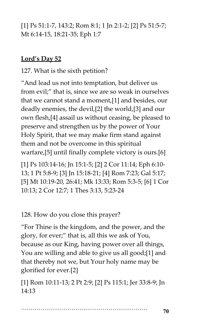[1] Ps 51:1-7, 143:2; Rom 8:1; 1 Jn 2:1-2; [2] Ps 51:5-7; Mt 6:14-15, 18:21-35; Eph 1:7

# **Lord's Day 52**

127. What is the sixth petition?

"And lead us not into temptation, but deliver us from evil;" that is, since we are so weak in ourselves that we cannot stand a moment,[1] and besides, our deadly enemies, the devil,[2] the world,[3] and our own flesh,[4] assail us without ceasing, be pleased to preserve and strengthen us by the power of Your Holy Spirit, that we may make firm stand against them and not be overcome in this spiritual warfare,[5] until finally complete victory is ours.[6]

[1] Ps 103:14-16; Jn 15:1-5; [2] 2 Cor 11:14; Eph 6:10- 13; 1 Pt 5:8-9; [3] Jn 15:18-21; [4] Rom 7:23; Gal 5:17; [5] Mt 10:19-20, 26:41; Mk 13:33; Rom 5:3-5; [6] 1 Cor 10:13; 2 Cor 12:7; 1 Thes 3:13, 5:23-24

128. How do you close this prayer?

"For Thine is the kingdom, and the power, and the glory, for ever;" that is, all this we ask of You, because as our King, having power over all things, You are willing and able to give us all good;[1] and that thereby not we, but Your holy name may be glorified for ever.[2]

[1] Rom 10:11-13; 2 Pt 2:9; [2] Ps 115:1; Jer 33:8-9; Jn 14:13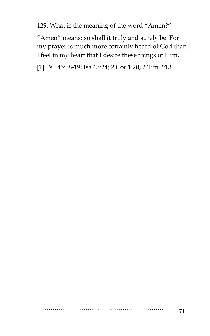129. What is the meaning of the word "Amen?"

"Amen" means: so shall it truly and surely be. For my prayer is much more certainly heard of God than I feel in my heart that I desire these things of Him.[1]

[1] Ps 145:18-19; Isa 65:24; 2 Cor 1:20; 2 Tim 2:13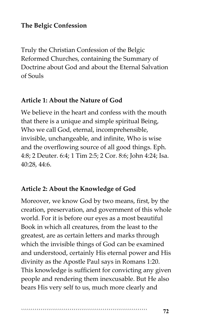#### **The Belgic Confession**

Truly the Christian Confession of the Belgic Reformed Churches, containing the Summary of Doctrine about God and about the Eternal Salvation of Souls

#### **Article 1: About the Nature of God**

We believe in the heart and confess with the mouth that there is a unique and simple spiritual Being, Who we call God, eternal, incomprehensible, invisible, unchangeable, and infinite, Who is wise and the overflowing source of all good things. Eph. 4:8; 2 Deuter. 6:4; 1 Tim 2:5; 2 Cor. 8:6; John 4:24; Isa. 40:28, 44:6.

#### **Article 2: About the Knowledge of God**

Moreover, we know God by two means, first, by the creation, preservation, and government of this whole world. For it is before our eyes as a most beautiful Book in which all creatures, from the least to the greatest, are as certain letters and marks through which the invisible things of God can be examined and understood, certainly His eternal power and His divinity as the Apostle Paul says in Romans 1:20. This knowledge is sufficient for convicting any given people and rendering them inexcusable. But He also bears His very self to us, much more clearly and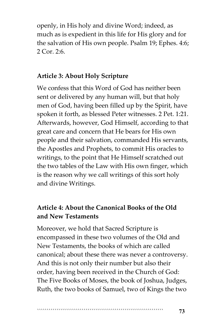openly, in His holy and divine Word; indeed, as much as is expedient in this life for His glory and for the salvation of His own people. Psalm 19; Ephes. 4:6; 2 Cor. 2:6.

### **Article 3: About Holy Scripture**

We confess that this Word of God has neither been sent or delivered by any human will, but that holy men of God, having been filled up by the Spirit, have spoken it forth, as blessed Peter witnesses. 2 Pet. 1:21. Afterwards, however, God Himself, according to that great care and concern that He bears for His own people and their salvation, commanded His servants, the Apostles and Prophets, to commit His oracles to writings, to the point that He Himself scratched out the two tables of the Law with His own finger, which is the reason why we call writings of this sort holy and divine Writings.

# **Article 4: About the Canonical Books of the Old and New Testaments**

Moreover, we hold that Sacred Scripture is encompassed in these two volumes of the Old and New Testaments, the books of which are called canonical; about these there was never a controversy. And this is not only their number but also their order, having been received in the Church of God: The Five Books of Moses, the book of Joshua, Judges, Ruth, the two books of Samuel, two of Kings the two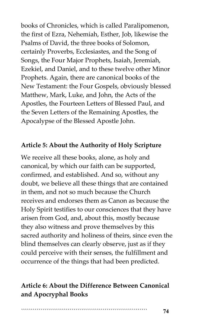books of Chronicles, which is called Paralipomenon, the first of Ezra, Nehemiah, Esther, Job, likewise the Psalms of David, the three books of Solomon, certainly Proverbs, Ecclesiastes, and the Song of Songs, the Four Major Prophets, Isaiah, Jeremiah, Ezekiel, and Daniel, and to these twelve other Minor Prophets. Again, there are canonical books of the New Testament: the Four Gospels, obviously blessed Matthew, Mark, Luke, and John, the Acts of the Apostles, the Fourteen Letters of Blessed Paul, and the Seven Letters of the Remaining Apostles, the Apocalypse of the Blessed Apostle John.

#### **Article 5: About the Authority of Holy Scripture**

We receive all these books, alone, as holy and canonical, by which our faith can be supported, confirmed, and established. And so, without any doubt, we believe all these things that are contained in them, and not so much because the Church receives and endorses them as Canon as because the Holy Spirit testifies to our consciences that they have arisen from God, and, about this, mostly because they also witness and prove themselves by this sacred authority and holiness of theirs, since even the blind themselves can clearly observe, just as if they could perceive with their senses, the fulfillment and occurrence of the things that had been predicted.

# **Article 6: About the Difference Between Canonical and Apocryphal Books**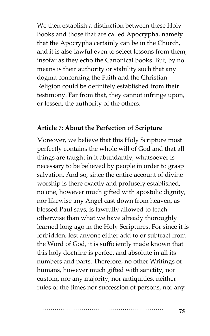We then establish a distinction between these Holy Books and those that are called Apocrypha, namely that the Apocrypha certainly can be in the Church, and it is also lawful even to select lessons from them, insofar as they echo the Canonical books. But, by no means is their authority or stability such that any dogma concerning the Faith and the Christian Religion could be definitely established from their testimony. Far from that, they cannot infringe upon, or lessen, the authority of the others.

#### **Article 7: About the Perfection of Scripture**

Moreover, we believe that this Holy Scripture most perfectly contains the whole will of God and that all things are taught in it abundantly, whatsoever is necessary to be believed by people in order to grasp salvation. And so, since the entire account of divine worship is there exactly and profusely established, no one, however much gifted with apostolic dignity, nor likewise any Angel cast down from heaven, as blessed Paul says, is lawfully allowed to teach otherwise than what we have already thoroughly learned long ago in the Holy Scriptures. For since it is forbidden, lest anyone either add to or subtract from the Word of God, it is sufficiently made known that this holy doctrine is perfect and absolute in all its numbers and parts. Therefore, no other Writings of humans, however much gifted with sanctity, nor custom, nor any majority, nor antiquities, neither rules of the times nor succession of persons, nor any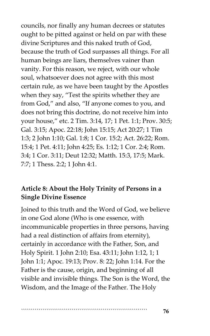councils, nor finally any human decrees or statutes ought to be pitted against or held on par with these divine Scriptures and this naked truth of God, because the truth of God surpasses all things. For all human beings are liars, themselves vainer than vanity. For this reason, we reject, with our whole soul, whatsoever does not agree with this most certain rule, as we have been taught by the Apostles when they say, "Test the spirits whether they are from God," and also, "If anyone comes to you, and does not bring this doctrine, do not receive him into your house," etc. 2 Tim. 3:14, 17; 1 Pet. 1:1; Prov. 30:5; Gal. 3:15; Apoc. 22:18; John 15:15; Act 20:27; 1 Tim 1:3; 2 John 1:10; Gal. 1:8; 1 Cor. 15:2; Act. 26:22; Rom. 15:4; 1 Pet. 4:11; John 4:25; Es. 1:12; 1 Cor. 2:4; Rom. 3:4; 1 Cor. 3:11; Deut 12:32; Matth. 15:3, 17:5; Mark. 7:7; 1 Thess. 2:2; 1 John 4:1.

### **Article 8: About the Holy Trinity of Persons in a Single Divine Essence**

Joined to this truth and the Word of God, we believe in one God alone (Who is one essence, with incommunicable properties in three persons, having had a real distinction of affairs from eternity), certainly in accordance with the Father, Son, and Holy Spirit. 1 John 2:10; Esa. 43:11; John 1:12, 1; 1 John 1:1; Apoc. 19:13; Prov. 8: 22; John 1:14. For the Father is the cause, origin, and beginning of all visible and invisible things. The Son is the Word, the Wisdom, and the Image of the Father. The Holy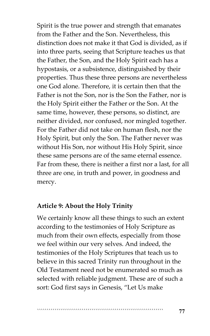Spirit is the true power and strength that emanates from the Father and the Son. Nevertheless, this distinction does not make it that God is divided, as if into three parts, seeing that Scripture teaches us that the Father, the Son, and the Holy Spirit each has a hypostasis, or a subsistence, distinguished by their properties. Thus these three persons are nevertheless one God alone. Therefore, it is certain then that the Father is not the Son, nor is the Son the Father, nor is the Holy Spirit either the Father or the Son. At the same time, however, these persons, so distinct, are neither divided, nor confused, nor mingled together. For the Father did not take on human flesh, nor the Holy Spirit, but only the Son. The Father never was without His Son, nor without His Holy Spirit, since these same persons are of the same eternal essence. Far from these, there is neither a first nor a last, for all three are one, in truth and power, in goodness and mercy.

#### **Article 9: About the Holy Trinity**

We certainly know all these things to such an extent according to the testimonies of Holy Scripture as much from their own effects, especially from those we feel within our very selves. And indeed, the testimonies of the Holy Scriptures that teach us to believe in this sacred Trinity run throughout in the Old Testament need not be enumerated so much as selected with reliable judgment. These are of such a sort: God first says in Genesis, "Let Us make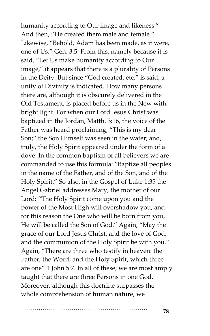humanity according to Our image and likeness." And then, "He created them male and female." Likewise, "Behold, Adam has been made, as it were, one of Us." Gen. 3:5. From this, namely because it is said, "Let Us make humanity according to Our image," it appears that there is a plurality of Persons in the Deity. But since "God created, etc." is said, a unity of Divinity is indicated. How many persons there are, although it is obscurely delivered in the Old Testament, is placed before us in the New with bright light. For when our Lord Jesus Christ was baptized in the Jordan, Matth. 3:16, the voice of the Father was heard proclaiming, "This is my dear Son;" the Son Himself was seen in the water; and, truly, the Holy Spirit appeared under the form of a dove. In the common baptism of all believers we are commanded to use this formula: "Baptize all peoples in the name of the Father, and of the Son, and of the Holy Spirit." So also, in the Gospel of Luke 1:35 the Angel Gabriel addresses Mary, the mother of our Lord: "The Holy Spirit come upon you and the power of the Most High will overshadow you, and for this reason the One who will be born from you, He will be called the Son of God." Again, "May the grace of our Lord Jesus Christ, and the love of God, and the communion of the Holy Spirit be with you." Again, "There are three who testify in heaven: the Father, the Word, and the Holy Spirit, which three are one" 1 John 5:7. In all of these, we are most amply taught that there are three Persons in one God. Moreover, although this doctrine surpasses the whole comprehension of human nature, we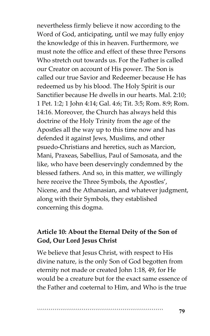nevertheless firmly believe it now according to the Word of God, anticipating, until we may fully enjoy the knowledge of this in heaven. Furthermore, we must note the office and effect of these three Persons Who stretch out towards us. For the Father is called our Creator on account of His power. The Son is called our true Savior and Redeemer because He has redeemed us by his blood. The Holy Spirit is our Sanctifier because He dwells in our hearts. Mal. 2:10; 1 Pet. 1:2; 1 John 4:14; Gal. 4:6; Tit. 3:5; Rom. 8:9; Rom. 14:16. Moreover, the Church has always held this doctrine of the Holy Trinity from the age of the Apostles all the way up to this time now and has defended it against Jews, Muslims, and other psuedo-Christians and heretics, such as Marcion, Mani, Praxeas, Sabellius, Paul of Samosata, and the like, who have been deservingly condemned by the blessed fathers. And so, in this matter, we willingly here receive the Three Symbols, the Apostles', Nicene, and the Athanasian, and whatever judgment, along with their Symbols, they established concerning this dogma.

### **Article 10: About the Eternal Deity of the Son of God, Our Lord Jesus Christ**

We believe that Jesus Christ, with respect to His divine nature, is the only Son of God begotten from eternity not made or created John 1:18, 49, for He would be a creature but for the exact same essence of the Father and coeternal to Him, and Who is the true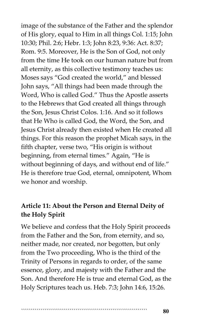image of the substance of the Father and the splendor of His glory, equal to Him in all things Col. 1:15; John 10:30; Phil. 2:6; Hebr. 1:3; John 8:23, 9:36: Act. 8:37; Rom. 9:5. Moreover, He is the Son of God, not only from the time He took on our human nature but from all eternity, as this collective testimony teaches us: Moses says "God created the world," and blessed John says, "All things had been made through the Word, Who is called God." Thus the Apostle asserts to the Hebrews that God created all things through the Son, Jesus Christ Colos. 1:16. And so it follows that He Who is called God, the Word, the Son, and Jesus Christ already then existed when He created all things. For this reason the prophet Micah says, in the fifth chapter, verse two, "His origin is without beginning, from eternal times." Again, "He is without beginning of days, and without end of life." He is therefore true God, eternal, omnipotent, Whom we honor and worship.

### **Article 11: About the Person and Eternal Deity of the Holy Spirit**

We believe and confess that the Holy Spirit proceeds from the Father and the Son, from eternity, and so, neither made, nor created, nor begotten, but only from the Two proceeding, Who is the third of the Trinity of Persons in regards to order, of the same essence, glory, and majesty with the Father and the Son. And therefore He is true and eternal God, as the Holy Scriptures teach us. Heb. 7:3; John 14:6, 15:26.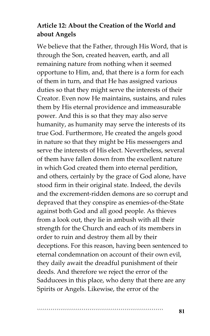# **Article 12: About the Creation of the World and about Angels**

We believe that the Father, through His Word, that is through the Son, created heaven, earth, and all remaining nature from nothing when it seemed opportune to Him, and, that there is a form for each of them in turn, and that He has assigned various duties so that they might serve the interests of their Creator. Even now He maintains, sustains, and rules them by His eternal providence and immeasurable power. And this is so that they may also serve humanity, as humanity may serve the interests of its true God. Furthermore, He created the angels good in nature so that they might be His messengers and serve the interests of His elect. Nevertheless, several of them have fallen down from the excellent nature in which God created them into eternal perdition, and others, certainly by the grace of God alone, have stood firm in their original state. Indeed, the devils and the excrement-ridden demons are so corrupt and depraved that they conspire as enemies-of-the-State against both God and all good people. As thieves from a look out, they lie in ambush with all their strength for the Church and each of its members in order to ruin and destroy them all by their deceptions. For this reason, having been sentenced to eternal condemnation on account of their own evil, they daily await the dreadful punishment of their deeds. And therefore we reject the error of the Sadducees in this place, who deny that there are any Spirits or Angels. Likewise, the error of the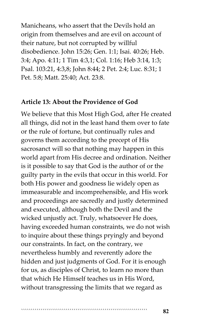Manicheans, who assert that the Devils hold an origin from themselves and are evil on account of their nature, but not corrupted by willful disobedience. John 15:26; Gen. 1:1; Isai. 40:26; Heb. 3:4; Apo. 4:11; 1 Tim 4:3,1; Col. 1:16; Heb 3:14, 1:3; Psal. 103:21, 4:3,8; John 8:44; 2 Pet. 2:4; Luc. 8:31; 1 Pet. 5:8; Matt. 25:40; Act. 23:8.

#### **Article 13: About the Providence of God**

We believe that this Most High God, after He created all things, did not in the least hand them over to fate or the rule of fortune, but continually rules and governs them according to the precept of His sacrosanct will so that nothing may happen in this world apart from His decree and ordination. Neither is it possible to say that God is the author of or the guilty party in the evils that occur in this world. For both His power and goodness lie widely open as immeasurable and incomprehensible, and His work and proceedings are sacredly and justly determined and executed, although both the Devil and the wicked unjustly act. Truly, whatsoever He does, having exceeded human constraints, we do not wish to inquire about these things pryingly and beyond our constraints. In fact, on the contrary, we nevertheless humbly and reverently adore the hidden and just judgments of God. For it is enough for us, as disciples of Christ, to learn no more than that which He Himself teaches us in His Word, without transgressing the limits that we regard as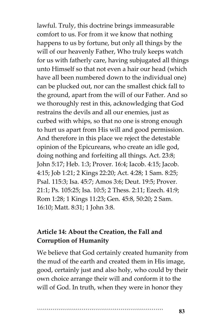lawful. Truly, this doctrine brings immeasurable comfort to us. For from it we know that nothing happens to us by fortune, but only all things by the will of our heavenly Father, Who truly keeps watch for us with fatherly care, having subjugated all things unto Himself so that not even a hair our head (which have all been numbered down to the individual one) can be plucked out, nor can the smallest chick fall to the ground, apart from the will of our Father. And so we thoroughly rest in this, acknowledging that God restrains the devils and all our enemies, just as curbed with whips, so that no one is strong enough to hurt us apart from His will and good permission. And therefore in this place we reject the detestable opinion of the Epicureans, who create an idle god, doing nothing and forfeiting all things. Act. 23:8; John 5:17; Heb. 1:3; Prover. 16:4; Iacob. 4:15; Jacob. 4:15; Job 1:21; 2 Kings 22:20; Act. 4:28; 1 Sam. 8:25; Psal. 115:3; Isa. 45:7; Amos 3:6; Deut. 19:5; Prover. 21:1; Ps. 105:25; Isa. 10:5; 2 Thess. 2:11; Ezech. 41:9; Rom 1:28; 1 Kings 11:23; Gen. 45:8, 50:20; 2 Sam. 16:10; Matt. 8:31; 1 John 3:8.

### **Article 14: About the Creation, the Fall and Corruption of Humanity**

We believe that God certainly created humanity from the mud of the earth and created them in His image, good, certainly just and also holy, who could by their own choice arrange their will and conform it to the will of God. In truth, when they were in honor they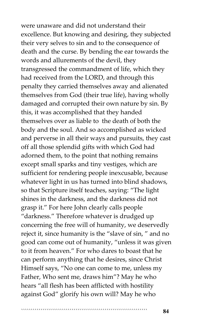were unaware and did not understand their excellence. But knowing and desiring, they subjected their very selves to sin and to the consequence of death and the curse. By bending the ear towards the words and allurements of the devil, they transgressed the commandment of life, which they had received from the LORD, and through this penalty they carried themselves away and alienated themselves from God (their true life), having wholly damaged and corrupted their own nature by sin. By this, it was accomplished that they handed themselves over as liable to the death of both the body and the soul. And so accomplished as wicked and perverse in all their ways and pursuits, they cast off all those splendid gifts with which God had adorned them, to the point that nothing remains except small sparks and tiny vestiges, which are sufficient for rendering people inexcusable, because whatever light in us has turned into blind shadows, so that Scripture itself teaches, saying: "The light shines in the darkness, and the darkness did not grasp it." For here John clearly calls people "darkness." Therefore whatever is drudged up concerning the free will of humanity, we deservedly reject it, since humanity is the "slave of sin, " and no good can come out of humanity, "unless it was given to it from heaven." For who dares to boast that he can perform anything that he desires, since Christ Himself says, "No one can come to me, unless my Father, Who sent me, draws him"? May he who hears "all flesh has been afflicted with hostility against God" glorify his own will? May he who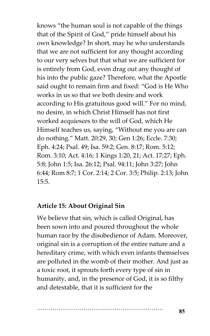knows "the human soul is not capable of the things that of the Spirit of God," pride himself about his own knowledge? In short, may he who understands that we are not sufficient for any thought according to our very selves but that what we are sufficient for is entirely from God, even drag out any thought of his into the public gaze? Therefore, what the Apostle said ought to remain firm and fixed: "God is He Who works in us so that we both desire and work according to His gratuitous good will." For no mind, no desire, in which Christ Himself has not first worked acquiesces to the will of God, which He Himself teaches us, saying, "Without me you are can do nothing." Matt. 20:29, 30; Gen 1:26; Eccle. 7:30; Eph. 4:24; Psal. 49; Isa. 59:2; Gen. 8:17; Rom. 5:12; Rom. 3:10; Act. 4:16; 1 Kings 1:20, 21; Act. 17:27; Eph. 5:8; John 1:5; Isa. 26:12; Psal. 94:11; John 3:27; John 6:44; Rom 8:7; 1 Cor. 2:14; 2 Cor. 3:5; Philip. 2:13; John 15:5.

#### **Article 15: About Original Sin**

We believe that sin, which is called Original, has been sown into and poured throughout the whole human race by the disobedience of Adam. Moreover, original sin is a corruption of the entire nature and a hereditary crime, with which even infants themselves are polluted in the womb of their mother. And just as a toxic root, it sprouts forth every type of sin in humanity, and, in the presence of God, it is so filthy and detestable, that it is sufficient for the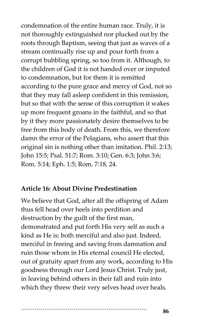condemnation of the entire human race. Truly, it is not thoroughly extinguished nor plucked out by the roots through Baptism, seeing that just as waves of a stream continually rise up and pour forth from a corrupt bubbling spring, so too from it. Although, to the children of God it is not handed over or imputed to condemnation, but for them it is remitted according to the pure grace and mercy of God, not so that they may fall asleep confident in this remission, but so that with the sense of this corruption it wakes up more frequent groans in the faithful, and so that by it they more passionately desire themselves to be free from this body of death. From this, we therefore damn the error of the Pelagians, who assert that this original sin is nothing other than imitation. Phil. 2:13; John 15:5; Psal. 51:7; Rom. 3:10; Gen. 6:3; John 3:6; Rom. 5:14; Eph. 1:5; Rom. 7:18, 24.

#### **Article 16: About Divine Predestination**

We believe that God, after all the offspring of Adam thus fell head over heels into perdition and destruction by the guilt of the first man, demonstrated and put forth His very self as such a kind as He is: both merciful and also just. Indeed, merciful in freeing and saving from damnation and ruin those whom in His eternal council He elected, out of gratuity apart from any work, according to His goodness through our Lord Jesus Christ. Truly just, in leaving behind others in their fall and ruin into which they threw their very selves head over heals.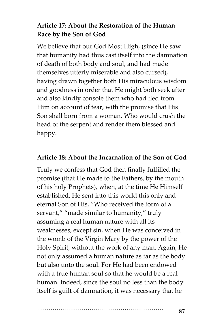# **Article 17: About the Restoration of the Human Race by the Son of God**

We believe that our God Most High, (since He saw that humanity had thus cast itself into the damnation of death of both body and soul, and had made themselves utterly miserable and also cursed), having drawn together both His miraculous wisdom and goodness in order that He might both seek after and also kindly console them who had fled from Him on account of fear, with the promise that His Son shall born from a woman, Who would crush the head of the serpent and render them blessed and happy.

### **Article 18: About the Incarnation of the Son of God**

Truly we confess that God then finally fulfilled the promise (that He made to the Fathers, by the mouth of his holy Prophets), when, at the time He Himself established, He sent into this world this only and eternal Son of His, "Who received the form of a servant," "made similar to humanity," truly assuming a real human nature with all its weaknesses, except sin, when He was conceived in the womb of the Virgin Mary by the power of the Holy Spirit, without the work of any man. Again, He not only assumed a human nature as far as the body but also unto the soul. For He had been endowed with a true human soul so that he would be a real human. Indeed, since the soul no less than the body itself is guilt of damnation, it was necessary that he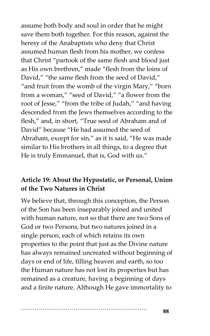assume both body and soul in order that he might save them both together. For this reason, against the heresy of the Anabaptists who deny that Christ assumed human flesh from his mother, we confess that Christ "partook of the same flesh and blood just as His own brethren," made "flesh from the loins of David," "the same flesh from the seed of David," "and fruit from the womb of the virgin Mary," "born from a woman," "seed of David," "a flower from the root of Jesse," "from the tribe of Judah," "and having descended from the Jews themselves according to the flesh," and, in short, "True seed of Abraham and of David" because "He had assumed the seed of Abraham, except for sin," as it is said, "He was made similar to His brothers in all things, to a degree that He is truly Emmanuel, that is, God with us."

### **Article 19: About the Hypostatic, or Personal, Union of the Two Natures in Christ**

We believe that, through this conception, the Person of the Son has been inseparably joined and united with human nature, not so that there are two Sons of God or two Persons, but two natures joined in a single person, each of which retains its own properties to the point that just as the Divine nature has always remained uncreated without beginning of days or end of life, filling heaven and earth, so too the Human nature has not lost its properties but has remained as a creature, having a beginning of days and a finite nature. Although He gave immortality to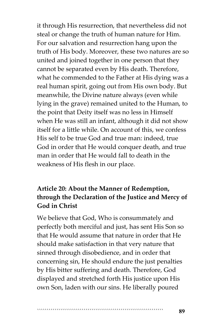it through His resurrection, that nevertheless did not steal or change the truth of human nature for Him. For our salvation and resurrection hang upon the truth of His body. Moreover, these two natures are so united and joined together in one person that they cannot be separated even by His death. Therefore, what he commended to the Father at His dying was a real human spirit, going out from His own body. But meanwhile, the Divine nature always (even while lying in the grave) remained united to the Human, to the point that Deity itself was no less in Himself when He was still an infant, although it did not show itself for a little while. On account of this, we confess His self to be true God and true man: indeed, true God in order that He would conquer death, and true man in order that He would fall to death in the weakness of His flesh in our place.

### **Article 20: About the Manner of Redemption, through the Declaration of the Justice and Mercy of God in Christ**

We believe that God, Who is consummately and perfectly both merciful and just, has sent His Son so that He would assume that nature in order that He should make satisfaction in that very nature that sinned through disobedience, and in order that concerning sin, He should endure the just penalties by His bitter suffering and death. Therefore, God displayed and stretched forth His justice upon His own Son, laden with our sins. He liberally poured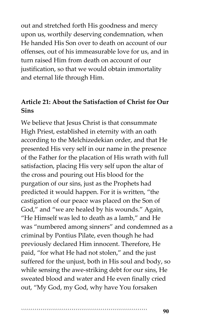out and stretched forth His goodness and mercy upon us, worthily deserving condemnation, when He handed His Son over to death on account of our offenses, out of his immeasurable love for us, and in turn raised Him from death on account of our justification, so that we would obtain immortality and eternal life through Him.

### **Article 21: About the Satisfaction of Christ for Our Sins**

We believe that Jesus Christ is that consummate High Priest, established in eternity with an oath according to the Melchizedekian order, and that He presented His very self in our name in the presence of the Father for the placation of His wrath with full satisfaction, placing His very self upon the altar of the cross and pouring out His blood for the purgation of our sins, just as the Prophets had predicted it would happen. For it is written, "the castigation of our peace was placed on the Son of God," and "we are healed by his wounds." Again, "He Himself was led to death as a lamb," and He was "numbered among sinners" and condemned as a criminal by Pontius Pilate, even though he had previously declared Him innocent. Therefore, He paid, "for what He had not stolen," and the just suffered for the unjust, both in His soul and body, so while sensing the awe-striking debt for our sins, He sweated blood and water and He even finally cried out, "My God, my God, why have You forsaken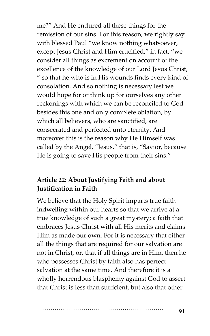me?" And He endured all these things for the remission of our sins. For this reason, we rightly say with blessed Paul "we know nothing whatsoever, except Jesus Christ and Him crucified," in fact, "we consider all things as excrement on account of the excellence of the knowledge of our Lord Jesus Christ, " so that he who is in His wounds finds every kind of consolation. And so nothing is necessary lest we would hope for or think up for ourselves any other reckonings with which we can be reconciled to God besides this one and only complete oblation, by which all believers, who are sanctified, are consecrated and perfected unto eternity. And moreover this is the reason why He Himself was called by the Angel, "Jesus," that is, "Savior, because He is going to save His people from their sins."

# **Article 22: About Justifying Faith and about Justification in Faith**

We believe that the Holy Spirit imparts true faith indwelling within our hearts so that we arrive at a true knowledge of such a great mystery; a faith that embraces Jesus Christ with all His merits and claims Him as made our own. For it is necessary that either all the things that are required for our salvation are not in Christ, or, that if all things are in Him, then he who possesses Christ by faith also has perfect salvation at the same time. And therefore it is a wholly horrendous blasphemy against God to assert that Christ is less than sufficient, but also that other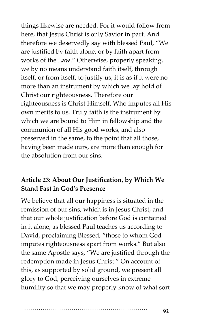things likewise are needed. For it would follow from here, that Jesus Christ is only Savior in part. And therefore we deservedly say with blessed Paul, "We are justified by faith alone, or by faith apart from works of the Law." Otherwise, properly speaking, we by no means understand faith itself, through itself, or from itself, to justify us; it is as if it were no more than an instrument by which we lay hold of Christ our righteousness. Therefore our righteousness is Christ Himself, Who imputes all His own merits to us. Truly faith is the instrument by which we are bound to Him in fellowship and the communion of all His good works, and also preserved in the same, to the point that all those, having been made ours, are more than enough for the absolution from our sins.

### **Article 23: About Our Justification, by Which We Stand Fast in God's Presence**

We believe that all our happiness is situated in the remission of our sins, which is in Jesus Christ, and that our whole justification before God is contained in it alone, as blessed Paul teaches us according to David, proclaiming Blessed, "those to whom God imputes righteousness apart from works." But also the same Apostle says, "We are justified through the redemption made in Jesus Christ." On account of this, as supported by solid ground, we present all glory to God, perceiving ourselves in extreme humility so that we may properly know of what sort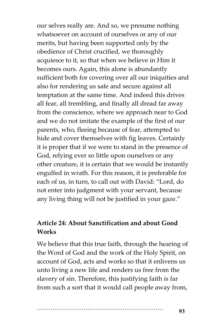our selves really are. And so, we presume nothing whatsoever on account of ourselves or any of our merits, but having been supported only by the obedience of Christ crucified, we thoroughly acquiesce to it, so that when we believe in Him it becomes ours. Again, this alone is abundantly sufficient both for covering over all our iniquities and also for rendering us safe and secure against all temptation at the same time. And indeed this drives all fear, all trembling, and finally all dread far away from the conscience, where we approach near to God and we do not imitate the example of the first of our parents, who, fleeing because of fear, attempted to hide and cover themselves with fig leaves. Certainly it is proper that if we were to stand in the presence of God, relying ever so little upon ourselves or any other creature, it is certain that we would be instantly engulfed in wrath. For this reason, it is preferable for each of us, in turn, to call out with David: "Lord, do not enter into judgment with your servant, because any living thing will not be justified in your gaze."

# **Article 24: About Sanctification and about Good Works**

We believe that this true faith, through the hearing of the Word of God and the work of the Holy Spirit, on account of God, acts and works so that it enlivens us unto living a new life and renders us free from the slavery of sin. Therefore, this justifying faith is far from such a sort that it would call people away from,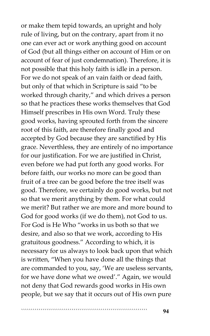or make them tepid towards, an upright and holy rule of living, but on the contrary, apart from it no one can ever act or work anything good on account of God (but all things either on account of Him or on account of fear of just condemnation). Therefore, it is not possible that this holy faith is idle in a person. For we do not speak of an vain faith or dead faith, but only of that which in Scripture is said "to be worked through charity," and which drives a person so that he practices these works themselves that God Himself prescribes in His own Word. Truly these good works, having sprouted forth from the sincere root of this faith, are therefore finally good and accepted by God because they are sanctified by His grace. Neverthless, they are entirely of no importance for our justification. For we are justified in Christ, even before we had put forth any good works. For before faith, our works no more can be good than fruit of a tree can be good before the tree itself was good. Therefore, we certainly do good works, but not so that we merit anything by them. For what could we merit? But rather we are more and more bound to God for good works (if we do them), not God to us. For God is He Who "works in us both so that we desire, and also so that we work, according to His gratuitous goodness." According to which, it is necessary for us always to look back upon that which is written, "When you have done all the things that are commanded to you, say, 'We are useless servants, for we have done what we owed'." Again, we would not deny that God rewards good works in His own people, but we say that it occurs out of His own pure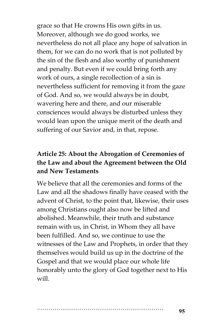grace so that He crowns His own gifts in us. Moreover, although we do good works, we nevertheless do not all place any hope of salvation in them, for we can do no work that is not polluted by the sin of the flesh and also worthy of punishment and penalty. But even if we could bring forth any work of ours, a single recollection of a sin is nevertheless sufficient for removing it from the gaze of God. And so, we would always be in doubt, wavering here and there, and our miserable consciences would always be disturbed unless they would lean upon the unique merit of the death and suffering of our Savior and, in that, repose.

# **Article 25: About the Abrogation of Ceremonies of the Law and about the Agreement between the Old and New Testaments**

We believe that all the ceremonies and forms of the Law and all the shadows finally have ceased with the advent of Christ, to the point that, likewise, their uses among Christians ought also now be lifted and abolished. Meanwhile, their truth and substance remain with us, in Christ, in Whom they all have been fulfilled. And so, we continue to use the witnesses of the Law and Prophets, in order that they themselves would build us up in the doctrine of the Gospel and that we would place our whole life honorably unto the glory of God together next to His will.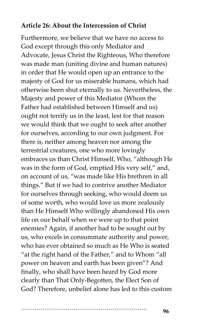#### **Article 26: About the Intercession of Christ**

Furthermore, we believe that we have no access to God except through this only Mediator and Advocate, Jesus Christ the Righteous, Who therefore was made man (uniting divine and human natures) in order that He would open up an entrance to the majesty of God for us miserable humans, which had otherwise been shut eternally to us. Nevertheless, the Majesty and power of this Mediator (Whom the Father had established between Himself and us) ought not terrify us in the least, lest for that reason we would think that we ought to seek after another for ourselves, according to our own judgment. For there is, neither among heaven nor among the terrestrial creatures, one who more lovingly embraces us than Christ Himself, Who, "although He was in the form of God, emptied His very self," and, on account of us, "was made like His brethren in all things." But if we had to contrive another Mediator for ourselves through seeking, who would deem us of some worth, who would love us more zealously than He Himself Who willingly abandoned His own life on our behalf when we were up to that point enemies? Again, if another had to be sought out by us, who excels in consummate authority and power, who has ever obtained so much as He Who is seated "at the right hand of the Father," and to Whom "all power on heaven and earth has been given"? And finally, who shall have been heard by God more clearly than That Only-Begotten, the Elect Son of God? Therefore, unbelief alone has led to this custom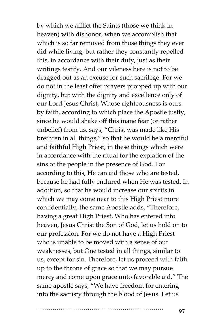by which we afflict the Saints (those we think in heaven) with dishonor, when we accomplish that which is so far removed from those things they ever did while living, but rather they constantly repelled this, in accordance with their duty, just as their writings testify. And our vileness here is not to be dragged out as an excuse for such sacrilege. For we do not in the least offer prayers propped up with our dignity, but with the dignity and excellence only of our Lord Jesus Christ, Whose righteousness is ours by faith, according to which place the Apostle justly, since he would shake off this inane fear (or rather unbelief) from us, says, "Christ was made like His brethren in all things," so that he would be a merciful and faithful High Priest, in these things which were in accordance with the ritual for the expiation of the sins of the people in the presence of God. For according to this, He can aid those who are tested, because he had fully endured when He was tested. In addition, so that he would increase our spirits in which we may come near to this High Priest more confidentially, the same Apostle adds, "Therefore, having a great High Priest, Who has entered into heaven, Jesus Christ the Son of God, let us hold on to our profession. For we do not have a High Priest who is unable to be moved with a sense of our weaknesses, but One tested in all things, similar to us, except for sin. Therefore, let us proceed with faith up to the throne of grace so that we may pursue mercy and come upon grace unto favorable aid." The same apostle says, "We have freedom for entering into the sacristy through the blood of Jesus. Let us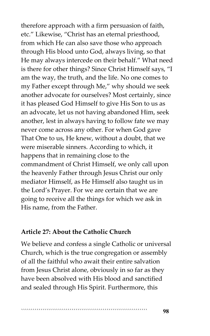therefore approach with a firm persuasion of faith, etc." Likewise, "Christ has an eternal priesthood, from which He can also save those who approach through His blood unto God, always living, so that He may always intercede on their behalf." What need is there for other things? Since Christ Himself says, "I am the way, the truth, and the life. No one comes to my Father except through Me," why should we seek another advocate for ourselves? Most certainly, since it has pleased God Himself to give His Son to us as an advocate, let us not having abandoned Him, seek another, lest in always having to follow fate we may never come across any other. For when God gave That One to us, He knew, without a doubt, that we were miserable sinners. According to which, it happens that in remaining close to the commandment of Christ Himself, we only call upon the heavenly Father through Jesus Christ our only mediator Himself, as He Himself also taught us in the Lord's Prayer. For we are certain that we are going to receive all the things for which we ask in His name, from the Father.

#### **Article 27: About the Catholic Church**

We believe and confess a single Catholic or universal Church, which is the true congregation or assembly of all the faithful who await their entire salvation from Jesus Christ alone, obviously in so far as they have been absolved with His blood and sanctified and sealed through His Spirit. Furthermore, this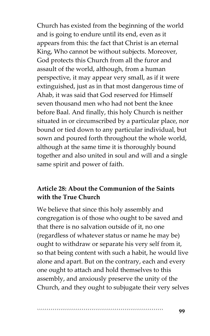Church has existed from the beginning of the world and is going to endure until its end, even as it appears from this: the fact that Christ is an eternal King, Who cannot be without subjects. Moreover, God protects this Church from all the furor and assault of the world, although, from a human perspective, it may appear very small, as if it were extinguished, just as in that most dangerous time of Ahab, it was said that God reserved for Himself seven thousand men who had not bent the knee before Baal. And finally, this holy Church is neither situated in or circumscribed by a particular place, nor bound or tied down to any particular individual, but sown and poured forth throughout the whole world, although at the same time it is thoroughly bound together and also united in soul and will and a single same spirit and power of faith.

# **Article 28: About the Communion of the Saints with the True Church**

We believe that since this holy assembly and congregation is of those who ought to be saved and that there is no salvation outside of it, no one (regardless of whatever status or name he may be) ought to withdraw or separate his very self from it, so that being content with such a habit, he would live alone and apart. But on the contrary, each and every one ought to attach and hold themselves to this assembly, and anxiously preserve the unity of the Church, and they ought to subjugate their very selves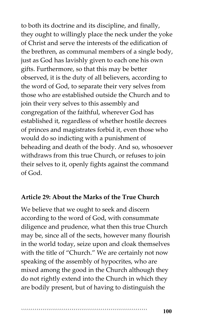to both its doctrine and its discipline, and finally, they ought to willingly place the neck under the yoke of Christ and serve the interests of the edification of the brethren, as communal members of a single body, just as God has lavishly given to each one his own gifts. Furthermore, so that this may be better observed, it is the duty of all believers, according to the word of God, to separate their very selves from those who are established outside the Church and to join their very selves to this assembly and congregation of the faithful, wherever God has established it, regardless of whether hostile decrees of princes and magistrates forbid it, even those who would do so indicting with a punishment of beheading and death of the body. And so, whosoever withdraws from this true Church, or refuses to join their selves to it, openly fights against the command of God.

#### **Article 29: About the Marks of the True Church**

We believe that we ought to seek and discern according to the word of God, with consummate diligence and prudence, what then this true Church may be, since all of the sects, however many flourish in the world today, seize upon and cloak themselves with the title of "Church." We are certainly not now speaking of the assembly of hypocrites, who are mixed among the good in the Church although they do not rightly extend into the Church in which they are bodily present, but of having to distinguish the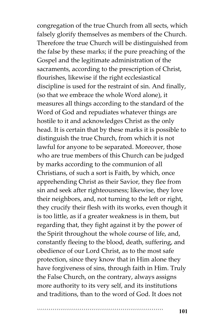congregation of the true Church from all sects, which falsely glorify themselves as members of the Church. Therefore the true Church will be distinguished from the false by these marks; if the pure preaching of the Gospel and the legitimate administration of the sacraments, according to the prescription of Christ, flourishes, likewise if the right ecclesiastical discipline is used for the restraint of sin. And finally, (so that we embrace the whole Word alone), it measures all things according to the standard of the Word of God and repudiates whatever things are hostile to it and acknowledges Christ as the only head. It is certain that by these marks it is possible to distinguish the true Church, from which it is not lawful for anyone to be separated. Moreover, those who are true members of this Church can be judged by marks according to the communion of all Christians, of such a sort is Faith, by which, once apprehending Christ as their Savior, they flee from sin and seek after righteousness; likewise, they love their neighbors, and, not turning to the left or right, they crucify their flesh with its works, even though it is too little, as if a greater weakness is in them, but regarding that, they fight against it by the power of the Spirit throughout the whole course of life, and, constantly fleeing to the blood, death, suffering, and obedience of our Lord Christ, as to the most safe protection, since they know that in Him alone they have forgiveness of sins, through faith in Him. Truly the False Church, on the contrary, always assigns more authority to its very self, and its institutions and traditions, than to the word of God. It does not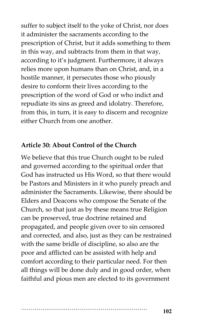suffer to subject itself to the yoke of Christ, nor does it administer the sacraments according to the prescription of Christ, but it adds something to them in this way, and subtracts from them in that way, according to it's judgment. Furthermore, it always relies more upon humans than on Christ, and, in a hostile manner, it persecutes those who piously desire to conform their lives according to the prescription of the word of God or who indict and repudiate its sins as greed and idolatry. Therefore, from this, in turn, it is easy to discern and recognize either Church from one another.

#### **Article 30: About Control of the Church**

We believe that this true Church ought to be ruled and governed according to the spiritual order that God has instructed us His Word, so that there would be Pastors and Ministers in it who purely preach and administer the Sacraments. Likewise, there should be Elders and Deacons who compose the Senate of the Church, so that just as by these means true Religion can be preserved, true doctrine retained and propagated, and people given over to sin censored and corrected, and also, just as they can be restrained with the same bridle of discipline, so also are the poor and afflicted can be assisted with help and comfort according to their particular need. For then all things will be done duly and in good order, when faithful and pious men are elected to its government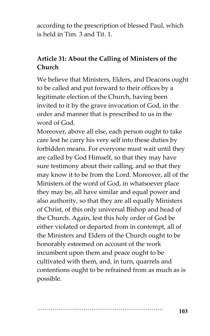according to the prescription of blessed Paul, which is held in Tim. 3 and Tit. 1.

# **Article 31: About the Calling of Ministers of the Church**

We believe that Ministers, Elders, and Deacons ought to be called and put forward to their offices by a legitimate election of the Church, having been invited to it by the grave invocation of God, in the order and manner that is prescribed to us in the word of God.

Moreover, above all else, each person ought to take care lest he carry his very self into these duties by forbidden means. For everyone must wait until they are called by God Himself, so that they may have sure testimony about their calling, and so that they may know it to be from the Lord. Moreover, all of the Ministers of the word of God, in whatsoever place they may be, all have similar and equal power and also authority, so that they are all equally Ministers of Christ, of this only universal Bishop and head of the Church. Again, lest this holy order of God be either violated or departed from in contempt, all of the Ministers and Elders of the Church ought to be honorably esteemed on account of the work incumbent upon them and peace ought to be cultivated with them, and, in turn, quarrels and contentions ought to be refrained from as much as is possible.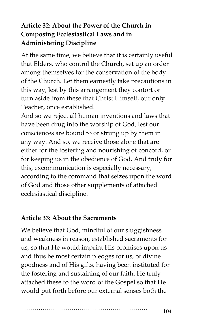# **Article 32: About the Power of the Church in Composing Ecclesiastical Laws and in Administering Discipline**

At the same time, we believe that it is certainly useful that Elders, who control the Church, set up an order among themselves for the conservation of the body of the Church. Let them earnestly take precautions in this way, lest by this arrangement they contort or turn aside from these that Christ Himself, our only Teacher, once established.

And so we reject all human inventions and laws that have been drug into the worship of God, lest our consciences are bound to or strung up by them in any way. And so, we receive those alone that are either for the fostering and nourishing of concord, or for keeping us in the obedience of God. And truly for this, excommunication is especially necessary, according to the command that seizes upon the word of God and those other supplements of attached ecclesiastical discipline.

### **Article 33: About the Sacraments**

We believe that God, mindful of our sluggishness and weakness in reason, established sacraments for us, so that He would imprint His promises upon us and thus be most certain pledges for us, of divine goodness and of His gifts, having been instituted for the fostering and sustaining of our faith. He truly attached these to the word of the Gospel so that He would put forth before our external senses both the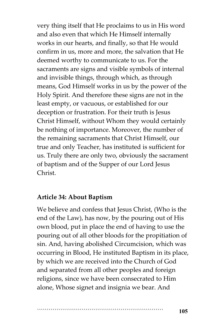very thing itself that He proclaims to us in His word and also even that which He Himself internally works in our hearts, and finally, so that He would confirm in us, more and more, the salvation that He deemed worthy to communicate to us. For the sacraments are signs and visible symbols of internal and invisible things, through which, as through means, God Himself works in us by the power of the Holy Spirit. And therefore these signs are not in the least empty, or vacuous, or established for our deception or frustration. For their truth is Jesus Christ Himself, without Whom they would certainly be nothing of importance. Moreover, the number of the remaining sacraments that Christ Himself, our true and only Teacher, has instituted is sufficient for us. Truly there are only two, obviously the sacrament of baptism and of the Supper of our Lord Jesus Christ.

### **Article 34: About Baptism**

We believe and confess that Jesus Christ, (Who is the end of the Law), has now, by the pouring out of His own blood, put in place the end of having to use the pouring out of all other bloods for the propitiation of sin. And, having abolished Circumcision, which was occurring in Blood, He instituted Baptism in its place, by which we are received into the Church of God and separated from all other peoples and foreign religions, since we have been consecrated to Him alone, Whose signet and insignia we bear. And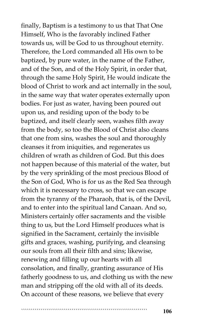finally, Baptism is a testimony to us that That One Himself, Who is the favorably inclined Father towards us, will be God to us throughout eternity. Therefore, the Lord commanded all His own to be baptized, by pure water, in the name of the Father, and of the Son, and of the Holy Spirit, in order that, through the same Holy Spirit, He would indicate the blood of Christ to work and act internally in the soul, in the same way that water operates externally upon bodies. For just as water, having been poured out upon us, and residing upon of the body to be baptized, and itself clearly seen, washes filth away from the body, so too the Blood of Christ also cleans that one from sins, washes the soul and thoroughly cleanses it from iniquities, and regenerates us children of wrath as children of God. But this does not happen because of this material of the water, but by the very sprinkling of the most precious Blood of the Son of God, Who is for us as the Red Sea through which it is necessary to cross, so that we can escape from the tyranny of the Pharaoh, that is, of the Devil, and to enter into the spiritual land Canaan. And so, Ministers certainly offer sacraments and the visible thing to us, but the Lord Himself produces what is signified in the Sacrament, certainly the invisible gifts and graces, washing, purifying, and cleansing our souls from all their filth and sins; likewise, renewing and filling up our hearts with all consolation, and finally, granting assurance of His fatherly goodness to us, and clothing us with the new man and stripping off the old with all of its deeds. On account of these reasons, we believe that every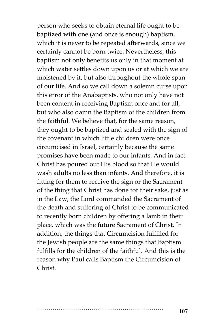person who seeks to obtain eternal life ought to be baptized with one (and once is enough) baptism, which it is never to be repeated afterwards, since we certainly cannot be born twice. Nevertheless, this baptism not only benefits us only in that moment at which water settles down upon us or at which we are moistened by it, but also throughout the whole span of our life. And so we call down a solemn curse upon this error of the Anabaptists, who not only have not been content in receiving Baptism once and for all, but who also damn the Baptism of the children from the faithful. We believe that, for the same reason, they ought to be baptized and sealed with the sign of the covenant in which little children were once circumcised in Israel, certainly because the same promises have been made to our infants. And in fact Christ has poured out His blood so that He would wash adults no less than infants. And therefore, it is fitting for them to receive the sign or the Sacrament of the thing that Christ has done for their sake, just as in the Law, the Lord commanded the Sacrament of the death and suffering of Christ to be communicated to recently born children by offering a lamb in their place, which was the future Sacrament of Christ. In addition, the things that Circumcision fulfilled for the Jewish people are the same things that Baptism fulfills for the children of the faithful. And this is the reason why Paul calls Baptism the Circumcision of Christ.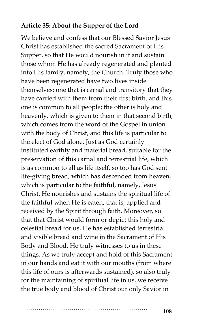### **Article 35: About the Supper of the Lord**

We believe and confess that our Blessed Savior Jesus Christ has established the sacred Sacrament of His Supper, so that He would nourish in it and sustain those whom He has already regenerated and planted into His family, namely, the Church. Truly those who have been regenerated have two lives inside themselves: one that is carnal and transitory that they have carried with them from their first birth, and this one is common to all people; the other is holy and heavenly, which is given to them in that second birth, which comes from the word of the Gospel in union with the body of Christ, and this life is particular to the elect of God alone. Just as God certainly instituted earthly and material bread, suitable for the preservation of this carnal and terrestrial life, which is as common to all as life itself, so too has God sent life-giving bread, which has descended from heaven, which is particular to the faithful, namely, Jesus Christ. He nourishes and sustains the spiritual life of the faithful when He is eaten, that is, applied and received by the Spirit through faith. Moreover, so that that Christ would form or depict this holy and celestial bread for us, He has established terrestrial and visible bread and wine in the Sacrament of His Body and Blood. He truly witnesses to us in these things. As we truly accept and hold of this Sacrament in our hands and eat it with our mouths (from where this life of ours is afterwards sustained), so also truly for the maintaining of spiritual life in us, we receive the true body and blood of Christ our only Savior in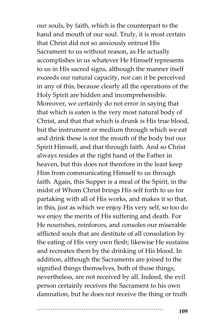our souls, by faith, which is the counterpart to the hand and mouth of our soul. Truly, it is most certain that Christ did not so anxiously entrust His Sacrament to us without reason, as He actually accomplishes in us whatever He Himself represents to us in His sacred signs, although the manner itself exceeds our natural capacity, nor can it be perceived in any of this, because clearly all the operations of the Holy Spirit are hidden and incomprehensible. Moreover, we certainly do not error in saying that that which is eaten is the very most natural body of Christ, and that that which is drunk is His true blood, but the instrument or medium through which we eat and drink these is not the mouth of the body but our Spirit Himself, and that through faith. And so Christ always resides at the right hand of the Father in heaven, but this does not therefore in the least keep Him from communicating Himself to us through faith. Again, this Supper is a meal of the Spirit, in the midst of Whom Christ brings His self forth to us for partaking with all of His works, and makes it so that, in this, just as which we enjoy His very self, so too do we enjoy the merits of His suffering and death. For He nourishes, reinforces, and consoles our miserable afflicted souls that are destitute of all consolation by the eating of His very own flesh; likewise He sustains and recreates them by the drinking of His blood. In addition, although the Sacraments are joined to the signified things themselves, both of those things, nevertheless, are not received by all. Indeed, the evil person certainly receives the Sacrament to his own damnation, but he does not receive the thing or truth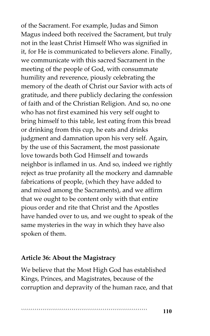of the Sacrament. For example, Judas and Simon Magus indeed both received the Sacrament, but truly not in the least Christ Himself Who was signified in it, for He is communicated to believers alone. Finally, we communicate with this sacred Sacrament in the meeting of the people of God, with consummate humility and reverence, piously celebrating the memory of the death of Christ our Savior with acts of gratitude, and there publicly declaring the confession of faith and of the Christian Religion. And so, no one who has not first examined his very self ought to bring himself to this table, lest eating from this bread or drinking from this cup, he eats and drinks judgment and damnation upon his very self. Again, by the use of this Sacrament, the most passionate love towards both God Himself and towards neighbor is inflamed in us. And so, indeed we rightly reject as true profanity all the mockery and damnable fabrications of people, (which they have added to and mixed among the Sacraments), and we affirm that we ought to be content only with that entire pious order and rite that Christ and the Apostles have handed over to us, and we ought to speak of the same mysteries in the way in which they have also spoken of them.

#### **Article 36: About the Magistracy**

We believe that the Most High God has established Kings, Princes, and Magistrates, because of the corruption and depravity of the human race, and that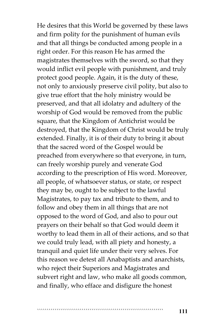He desires that this World be governed by these laws and firm polity for the punishment of human evils and that all things be conducted among people in a right order. For this reason He has armed the magistrates themselves with the sword, so that they would inflict evil people with punishment, and truly protect good people. Again, it is the duty of these, not only to anxiously preserve civil polity, but also to give true effort that the holy ministry would be preserved, and that all idolatry and adultery of the worship of God would be removed from the public square, that the Kingdom of Antichrist would be destroyed, that the Kingdom of Christ would be truly extended. Finally, it is of their duty to bring it about that the sacred word of the Gospel would be preached from everywhere so that everyone, in turn, can freely worship purely and venerate God according to the prescription of His word. Moreover, all people, of whatsoever status, or state, or respect they may be, ought to be subject to the lawful Magistrates, to pay tax and tribute to them, and to follow and obey them in all things that are not opposed to the word of God, and also to pour out prayers on their behalf so that God would deem it worthy to lead them in all of their actions, and so that we could truly lead, with all piety and honesty, a tranquil and quiet life under their very selves. For this reason we detest all Anabaptists and anarchists, who reject their Superiors and Magistrates and subvert right and law, who make all goods common, and finally, who efface and disfigure the honest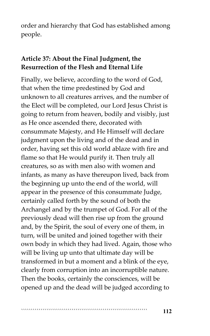order and hierarchy that God has established among people.

## **Article 37: About the Final Judgment, the Resurrection of the Flesh and Eternal Life**

Finally, we believe, according to the word of God, that when the time predestined by God and unknown to all creatures arrives, and the number of the Elect will be completed, our Lord Jesus Christ is going to return from heaven, bodily and visibly, just as He once ascended there, decorated with consummate Majesty, and He Himself will declare judgment upon the living and of the dead and in order, having set this old world ablaze with fire and flame so that He would purify it. Then truly all creatures, so as with men also with women and infants, as many as have thereupon lived, back from the beginning up unto the end of the world, will appear in the presence of this consummate Judge, certainly called forth by the sound of both the Archangel and by the trumpet of God. For all of the previously dead will then rise up from the ground and, by the Spirit, the soul of every one of them, in turn, will be united and joined together with their own body in which they had lived. Again, those who will be living up unto that ultimate day will be transformed in but a moment and a blink of the eye, clearly from corruption into an incorruptible nature. Then the books, certainly the consciences, will be opened up and the dead will be judged according to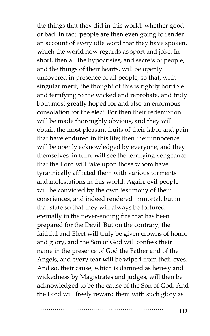the things that they did in this world, whether good or bad. In fact, people are then even going to render an account of every idle word that they have spoken, which the world now regards as sport and joke. In short, then all the hypocrisies, and secrets of people, and the things of their hearts, will be openly uncovered in presence of all people, so that, with singular merit, the thought of this is rightly horrible and terrifying to the wicked and reprobate, and truly both most greatly hoped for and also an enormous consolation for the elect. For then their redemption will be made thoroughly obvious, and they will obtain the most pleasant fruits of their labor and pain that have endured in this life; then their innocence will be openly acknowledged by everyone, and they themselves, in turn, will see the terrifying vengeance that the Lord will take upon those whom have tyrannically afflicted them with various torments and molestations in this world. Again, evil people will be convicted by the own testimony of their consciences, and indeed rendered immortal, but in that state so that they will always be tortured eternally in the never-ending fire that has been prepared for the Devil. But on the contrary, the faithful and Elect will truly be given crowns of honor and glory, and the Son of God will confess their name in the presence of God the Father and of the Angels, and every tear will be wiped from their eyes. And so, their cause, which is damned as heresy and wickedness by Magistrates and judges, will then be acknowledged to be the cause of the Son of God. And the Lord will freely reward them with such glory as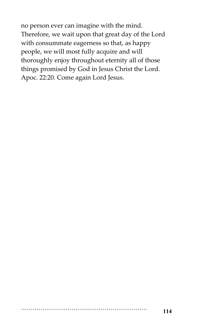no person ever can imagine with the mind. Therefore, we wait upon that great day of the Lord with consummate eagerness so that, as happy people, we will most fully acquire and will thoroughly enjoy throughout eternity all of those things promised by God in Jesus Christ the Lord. Apoc. 22:20. Come again Lord Jesus.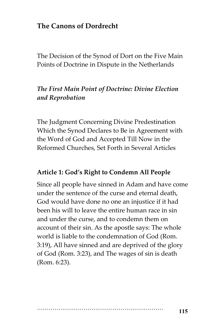## **The Canons of Dordrecht**

The Decision of the Synod of Dort on the Five Main Points of Doctrine in Dispute in the Netherlands

## *The First Main Point of Doctrine: Divine Election and Reprobation*

The Judgment Concerning Divine Predestination Which the Synod Declares to Be in Agreement with the Word of God and Accepted Till Now in the Reformed Churches, Set Forth in Several Articles

#### **Article 1: God's Right to Condemn All People**

Since all people have sinned in Adam and have come under the sentence of the curse and eternal death, God would have done no one an injustice if it had been his will to leave the entire human race in sin and under the curse, and to condemn them on account of their sin. As the apostle says: The whole world is liable to the condemnation of God (Rom. 3:19), All have sinned and are deprived of the glory of God (Rom. 3:23), and The wages of sin is death (Rom. 6:23).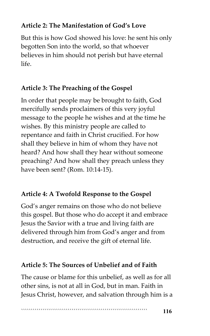# **Article 2: The Manifestation of God's Love**

But this is how God showed his love: he sent his only begotten Son into the world, so that whoever believes in him should not perish but have eternal life.

# **Article 3: The Preaching of the Gospel**

In order that people may be brought to faith, God mercifully sends proclaimers of this very joyful message to the people he wishes and at the time he wishes. By this ministry people are called to repentance and faith in Christ crucified. For how shall they believe in him of whom they have not heard? And how shall they hear without someone preaching? And how shall they preach unless they have been sent? (Rom. 10:14-15).

# **Article 4: A Twofold Response to the Gospel**

God's anger remains on those who do not believe this gospel. But those who do accept it and embrace Jesus the Savior with a true and living faith are delivered through him from God's anger and from destruction, and receive the gift of eternal life.

# **Article 5: The Sources of Unbelief and of Faith**

The cause or blame for this unbelief, as well as for all other sins, is not at all in God, but in man. Faith in Jesus Christ, however, and salvation through him is a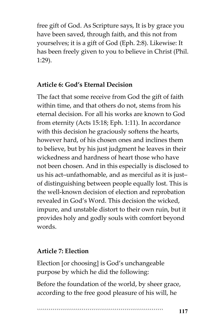free gift of God. As Scripture says, It is by grace you have been saved, through faith, and this not from yourselves; it is a gift of God (Eph. 2:8). Likewise: It has been freely given to you to believe in Christ (Phil. 1:29).

## **Article 6: God's Eternal Decision**

The fact that some receive from God the gift of faith within time, and that others do not, stems from his eternal decision. For all his works are known to God from eternity (Acts 15:18; Eph. 1:11). In accordance with this decision he graciously softens the hearts, however hard, of his chosen ones and inclines them to believe, but by his just judgment he leaves in their wickedness and hardness of heart those who have not been chosen. And in this especially is disclosed to us his act–unfathomable, and as merciful as it is just– of distinguishing between people equally lost. This is the well-known decision of election and reprobation revealed in God's Word. This decision the wicked, impure, and unstable distort to their own ruin, but it provides holy and godly souls with comfort beyond words.

## **Article 7: Election**

Election [or choosing] is God's unchangeable purpose by which he did the following:

Before the foundation of the world, by sheer grace, according to the free good pleasure of his will, he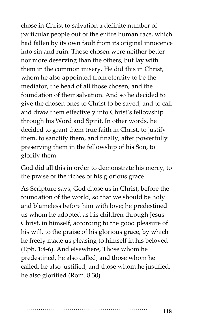chose in Christ to salvation a definite number of particular people out of the entire human race, which had fallen by its own fault from its original innocence into sin and ruin. Those chosen were neither better nor more deserving than the others, but lay with them in the common misery. He did this in Christ, whom he also appointed from eternity to be the mediator, the head of all those chosen, and the foundation of their salvation. And so he decided to give the chosen ones to Christ to be saved, and to call and draw them effectively into Christ's fellowship through his Word and Spirit. In other words, he decided to grant them true faith in Christ, to justify them, to sanctify them, and finally, after powerfully preserving them in the fellowship of his Son, to glorify them.

God did all this in order to demonstrate his mercy, to the praise of the riches of his glorious grace.

As Scripture says, God chose us in Christ, before the foundation of the world, so that we should be holy and blameless before him with love; he predestined us whom he adopted as his children through Jesus Christ, in himself, according to the good pleasure of his will, to the praise of his glorious grace, by which he freely made us pleasing to himself in his beloved (Eph. 1:4-6). And elsewhere, Those whom he predestined, he also called; and those whom he called, he also justified; and those whom he justified, he also glorified (Rom. 8:30).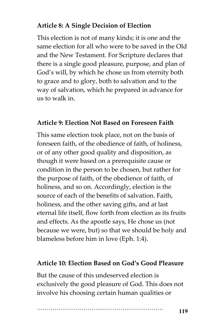## **Article 8: A Single Decision of Election**

This election is not of many kinds; it is one and the same election for all who were to be saved in the Old and the New Testament. For Scripture declares that there is a single good pleasure, purpose, and plan of God's will, by which he chose us from eternity both to grace and to glory, both to salvation and to the way of salvation, which he prepared in advance for us to walk in.

#### **Article 9: Election Not Based on Foreseen Faith**

This same election took place, not on the basis of foreseen faith, of the obedience of faith, of holiness, or of any other good quality and disposition, as though it were based on a prerequisite cause or condition in the person to be chosen, but rather for the purpose of faith, of the obedience of faith, of holiness, and so on. Accordingly, election is the source of each of the benefits of salvation. Faith, holiness, and the other saving gifts, and at last eternal life itself, flow forth from election as its fruits and effects. As the apostle says, He chose us (not because we were, but) so that we should be holy and blameless before him in love (Eph. 1:4).

#### **Article 10: Election Based on God's Good Pleasure**

But the cause of this undeserved election is exclusively the good pleasure of God. This does not involve his choosing certain human qualities or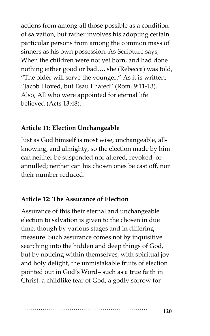actions from among all those possible as a condition of salvation, but rather involves his adopting certain particular persons from among the common mass of sinners as his own possession. As Scripture says, When the children were not yet born, and had done nothing either good or bad…, she (Rebecca) was told, "The older will serve the younger." As it is written, "Jacob I loved, but Esau I hated" (Rom. 9:11-13). Also, All who were appointed for eternal life believed (Acts 13:48).

#### **Article 11: Election Unchangeable**

Just as God himself is most wise, unchangeable, allknowing, and almighty, so the election made by him can neither be suspended nor altered, revoked, or annulled; neither can his chosen ones be cast off, nor their number reduced.

#### **Article 12: The Assurance of Election**

Assurance of this their eternal and unchangeable election to salvation is given to the chosen in due time, though by various stages and in differing measure. Such assurance comes not by inquisitive searching into the hidden and deep things of God, but by noticing within themselves, with spiritual joy and holy delight, the unmistakable fruits of election pointed out in God's Word– such as a true faith in Christ, a childlike fear of God, a godly sorrow for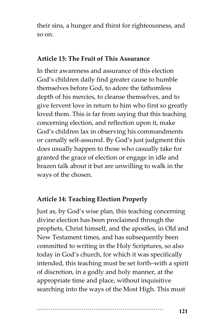their sins, a hunger and thirst for righteousness, and so on.

### **Article 13: The Fruit of This Assurance**

In their awareness and assurance of this election God's children daily find greater cause to humble themselves before God, to adore the fathomless depth of his mercies, to cleanse themselves, and to give fervent love in return to him who first so greatly loved them. This is far from saying that this teaching concerning election, and reflection upon it, make God's children lax in observing his commandments or carnally self-assured. By God's just judgment this does usually happen to those who casually take for granted the grace of election or engage in idle and brazen talk about it but are unwilling to walk in the ways of the chosen.

## **Article 14: Teaching Election Properly**

Just as, by God's wise plan, this teaching concerning divine election has been proclaimed through the prophets, Christ himself, and the apostles, in Old and New Testament times, and has subsequently been committed to writing in the Holy Scriptures, so also today in God's church, for which it was specifically intended, this teaching must be set forth–with a spirit of discretion, in a godly and holy manner, at the appropriate time and place, without inquisitive searching into the ways of the Most High. This must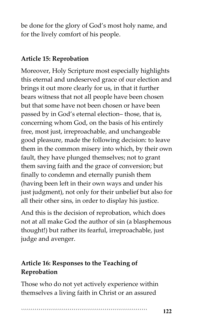be done for the glory of God's most holy name, and for the lively comfort of his people.

## **Article 15: Reprobation**

Moreover, Holy Scripture most especially highlights this eternal and undeserved grace of our election and brings it out more clearly for us, in that it further bears witness that not all people have been chosen but that some have not been chosen or have been passed by in God's eternal election– those, that is, concerning whom God, on the basis of his entirely free, most just, irreproachable, and unchangeable good pleasure, made the following decision: to leave them in the common misery into which, by their own fault, they have plunged themselves; not to grant them saving faith and the grace of conversion; but finally to condemn and eternally punish them (having been left in their own ways and under his just judgment), not only for their unbelief but also for all their other sins, in order to display his justice.

And this is the decision of reprobation, which does not at all make God the author of sin (a blasphemous thought!) but rather its fearful, irreproachable, just judge and avenger.

# **Article 16: Responses to the Teaching of Reprobation**

Those who do not yet actively experience within themselves a living faith in Christ or an assured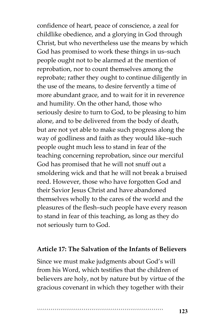confidence of heart, peace of conscience, a zeal for childlike obedience, and a glorying in God through Christ, but who nevertheless use the means by which God has promised to work these things in us–such people ought not to be alarmed at the mention of reprobation, nor to count themselves among the reprobate; rather they ought to continue diligently in the use of the means, to desire fervently a time of more abundant grace, and to wait for it in reverence and humility. On the other hand, those who seriously desire to turn to God, to be pleasing to him alone, and to be delivered from the body of death, but are not yet able to make such progress along the way of godliness and faith as they would like–such people ought much less to stand in fear of the teaching concerning reprobation, since our merciful God has promised that he will not snuff out a smoldering wick and that he will not break a bruised reed. However, those who have forgotten God and their Savior Jesus Christ and have abandoned themselves wholly to the cares of the world and the pleasures of the flesh–such people have every reason to stand in fear of this teaching, as long as they do not seriously turn to God.

#### **Article 17: The Salvation of the Infants of Believers**

Since we must make judgments about God's will from his Word, which testifies that the children of believers are holy, not by nature but by virtue of the gracious covenant in which they together with their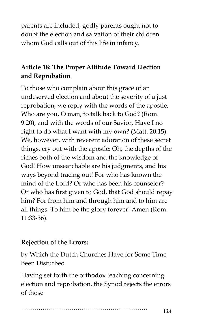parents are included, godly parents ought not to doubt the election and salvation of their children whom God calls out of this life in infancy.

## **Article 18: The Proper Attitude Toward Election and Reprobation**

To those who complain about this grace of an undeserved election and about the severity of a just reprobation, we reply with the words of the apostle, Who are you, O man, to talk back to God? (Rom. 9:20), and with the words of our Savior, Have I no right to do what I want with my own? (Matt. 20:15). We, however, with reverent adoration of these secret things, cry out with the apostle: Oh, the depths of the riches both of the wisdom and the knowledge of God! How unsearchable are his judgments, and his ways beyond tracing out! For who has known the mind of the Lord? Or who has been his counselor? Or who has first given to God, that God should repay him? For from him and through him and to him are all things. To him be the glory forever! Amen (Rom. 11:33-36).

## **Rejection of the Errors:**

by Which the Dutch Churches Have for Some Time Been Disturbed

Having set forth the orthodox teaching concerning election and reprobation, the Synod rejects the errors of those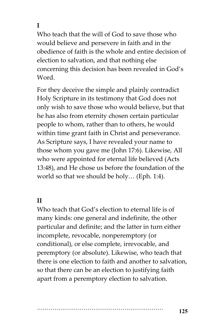**I**

Who teach that the will of God to save those who would believe and persevere in faith and in the obedience of faith is the whole and entire decision of election to salvation, and that nothing else concerning this decision has been revealed in God's Word.

For they deceive the simple and plainly contradict Holy Scripture in its testimony that God does not only wish to save those who would believe, but that he has also from eternity chosen certain particular people to whom, rather than to others, he would within time grant faith in Christ and perseverance. As Scripture says, I have revealed your name to those whom you gave me (John 17:6). Likewise, All who were appointed for eternal life believed (Acts 13:48), and He chose us before the foundation of the world so that we should be holy… (Eph. 1:4).

#### **II**

Who teach that God's election to eternal life is of many kinds: one general and indefinite, the other particular and definite; and the latter in turn either incomplete, revocable, nonperemptory (or conditional), or else complete, irrevocable, and peremptory (or absolute). Likewise, who teach that there is one election to faith and another to salvation, so that there can be an election to justifying faith apart from a peremptory election to salvation.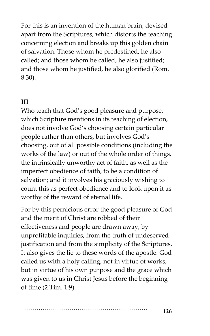For this is an invention of the human brain, devised apart from the Scriptures, which distorts the teaching concerning election and breaks up this golden chain of salvation: Those whom he predestined, he also called; and those whom he called, he also justified; and those whom he justified, he also glorified (Rom. 8:30).

#### **III**

Who teach that God's good pleasure and purpose, which Scripture mentions in its teaching of election, does not involve God's choosing certain particular people rather than others, but involves God's choosing, out of all possible conditions (including the works of the law) or out of the whole order of things, the intrinsically unworthy act of faith, as well as the imperfect obedience of faith, to be a condition of salvation; and it involves his graciously wishing to count this as perfect obedience and to look upon it as worthy of the reward of eternal life.

For by this pernicious error the good pleasure of God and the merit of Christ are robbed of their effectiveness and people are drawn away, by unprofitable inquiries, from the truth of undeserved justification and from the simplicity of the Scriptures. It also gives the lie to these words of the apostle: God called us with a holy calling, not in virtue of works, but in virtue of his own purpose and the grace which was given to us in Christ Jesus before the beginning of time (2 Tim. 1:9).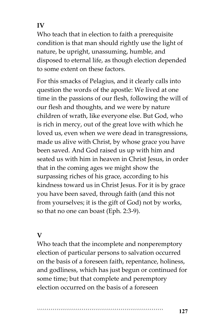Who teach that in election to faith a prerequisite condition is that man should rightly use the light of nature, be upright, unassuming, humble, and disposed to eternal life, as though election depended to some extent on these factors.

For this smacks of Pelagius, and it clearly calls into question the words of the apostle: We lived at one time in the passions of our flesh, following the will of our flesh and thoughts, and we were by nature children of wrath, like everyone else. But God, who is rich in mercy, out of the great love with which he loved us, even when we were dead in transgressions, made us alive with Christ, by whose grace you have been saved. And God raised us up with him and seated us with him in heaven in Christ Jesus, in order that in the coming ages we might show the surpassing riches of his grace, according to his kindness toward us in Christ Jesus. For it is by grace you have been saved, through faith (and this not from yourselves; it is the gift of God) not by works, so that no one can boast (Eph. 2:3-9).

#### **V**

Who teach that the incomplete and nonperemptory election of particular persons to salvation occurred on the basis of a foreseen faith, repentance, holiness, and godliness, which has just begun or continued for some time; but that complete and peremptory election occurred on the basis of a foreseen

#### **IV**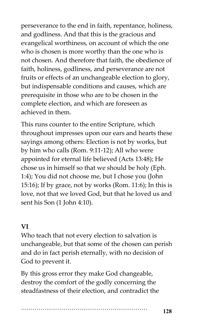perseverance to the end in faith, repentance, holiness, and godliness. And that this is the gracious and evangelical worthiness, on account of which the one who is chosen is more worthy than the one who is not chosen. And therefore that faith, the obedience of faith, holiness, godliness, and perseverance are not fruits or effects of an unchangeable election to glory, but indispensable conditions and causes, which are prerequisite in those who are to be chosen in the complete election, and which are foreseen as achieved in them.

This runs counter to the entire Scripture, which throughout impresses upon our ears and hearts these sayings among others: Election is not by works, but by him who calls (Rom. 9:11-12); All who were appointed for eternal life believed (Acts 13:48); He chose us in himself so that we should be holy (Eph. 1:4); You did not choose me, but I chose you (John 15:16); If by grace, not by works (Rom. 11:6); In this is love, not that we loved God, but that he loved us and sent his Son (1 John 4:10).

## **VI**

Who teach that not every election to salvation is unchangeable, but that some of the chosen can perish and do in fact perish eternally, with no decision of God to prevent it.

By this gross error they make God changeable, destroy the comfort of the godly concerning the steadfastness of their election, and contradict the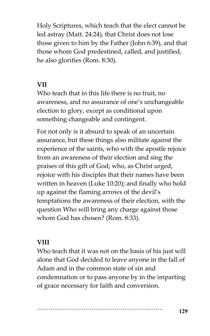Holy Scriptures, which teach that the elect cannot be led astray (Matt. 24:24), that Christ does not lose those given to him by the Father (John 6:39), and that those whom God predestined, called, and justified, he also glorifies (Rom. 8:30).

#### **VII**

Who teach that in this life there is no fruit, no awareness, and no assurance of one's unchangeable election to glory, except as conditional upon something changeable and contingent.

For not only is it absurd to speak of an uncertain assurance, but these things also militate against the experience of the saints, who with the apostle rejoice from an awareness of their election and sing the praises of this gift of God; who, as Christ urged, rejoice with his disciples that their names have been written in heaven (Luke 10:20); and finally who hold up against the flaming arrows of the devil's temptations the awareness of their election, with the question Who will bring any charge against those whom God has chosen? (Rom. 8:33).

#### **VIII**

Who teach that it was not on the basis of his just will alone that God decided to leave anyone in the fall of Adam and in the common state of sin and condemnation or to pass anyone by in the imparting of grace necessary for faith and conversion.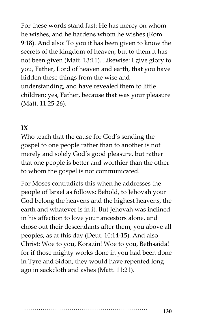For these words stand fast: He has mercy on whom he wishes, and he hardens whom he wishes (Rom. 9:18). And also: To you it has been given to know the secrets of the kingdom of heaven, but to them it has not been given (Matt. 13:11). Likewise: I give glory to you, Father, Lord of heaven and earth, that you have hidden these things from the wise and understanding, and have revealed them to little children; yes, Father, because that was your pleasure (Matt. 11:25-26).

#### **IX**

Who teach that the cause for God's sending the gospel to one people rather than to another is not merely and solely God's good pleasure, but rather that one people is better and worthier than the other to whom the gospel is not communicated.

For Moses contradicts this when he addresses the people of Israel as follows: Behold, to Jehovah your God belong the heavens and the highest heavens, the earth and whatever is in it. But Jehovah was inclined in his affection to love your ancestors alone, and chose out their descendants after them, you above all peoples, as at this day (Deut. 10:14-15). And also Christ: Woe to you, Korazin! Woe to you, Bethsaida! for if those mighty works done in you had been done in Tyre and Sidon, they would have repented long ago in sackcloth and ashes (Matt. 11:21).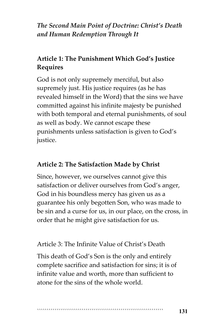## *The Second Main Point of Doctrine: Christ's Death and Human Redemption Through It*

# **Article 1: The Punishment Which God's Justice Requires**

God is not only supremely merciful, but also supremely just. His justice requires (as he has revealed himself in the Word) that the sins we have committed against his infinite majesty be punished with both temporal and eternal punishments, of soul as well as body. We cannot escape these punishments unless satisfaction is given to God's justice.

### **Article 2: The Satisfaction Made by Christ**

Since, however, we ourselves cannot give this satisfaction or deliver ourselves from God's anger, God in his boundless mercy has given us as a guarantee his only begotten Son, who was made to be sin and a curse for us, in our place, on the cross, in order that he might give satisfaction for us.

Article 3: The Infinite Value of Christ's Death

This death of God's Son is the only and entirely complete sacrifice and satisfaction for sins; it is of infinite value and worth, more than sufficient to atone for the sins of the whole world.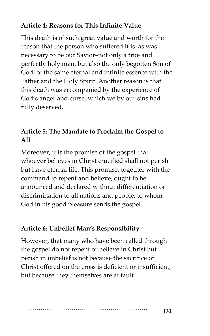## **Article 4: Reasons for This Infinite Value**

This death is of such great value and worth for the reason that the person who suffered it is–as was necessary to be our Savior–not only a true and perfectly holy man, but also the only begotten Son of God, of the same eternal and infinite essence with the Father and the Holy Spirit. Another reason is that this death was accompanied by the experience of God's anger and curse, which we by our sins had fully deserved.

# **Article 5: The Mandate to Proclaim the Gospel to All**

Moreover, it is the promise of the gospel that whoever believes in Christ crucified shall not perish but have eternal life. This promise, together with the command to repent and believe, ought to be announced and declared without differentiation or discrimination to all nations and people, to whom God in his good pleasure sends the gospel.

# **Article 6: Unbelief Man's Responsibility**

However, that many who have been called through the gospel do not repent or believe in Christ but perish in unbelief is not because the sacrifice of Christ offered on the cross is deficient or insufficient, but because they themselves are at fault.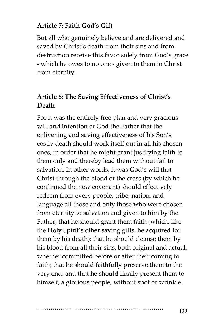## **Article 7: Faith God's Gift**

But all who genuinely believe and are delivered and saved by Christ's death from their sins and from destruction receive this favor solely from God's grace - which he owes to no one - given to them in Christ from eternity.

# **Article 8: The Saving Effectiveness of Christ's Death**

For it was the entirely free plan and very gracious will and intention of God the Father that the enlivening and saving effectiveness of his Son's costly death should work itself out in all his chosen ones, in order that he might grant justifying faith to them only and thereby lead them without fail to salvation. In other words, it was God's will that Christ through the blood of the cross (by which he confirmed the new covenant) should effectively redeem from every people, tribe, nation, and language all those and only those who were chosen from eternity to salvation and given to him by the Father; that he should grant them faith (which, like the Holy Spirit's other saving gifts, he acquired for them by his death); that he should cleanse them by his blood from all their sins, both original and actual, whether committed before or after their coming to faith; that he should faithfully preserve them to the very end; and that he should finally present them to himself, a glorious people, without spot or wrinkle.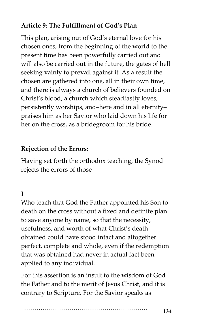# **Article 9: The Fulfillment of God's Plan**

This plan, arising out of God's eternal love for his chosen ones, from the beginning of the world to the present time has been powerfully carried out and will also be carried out in the future, the gates of hell seeking vainly to prevail against it. As a result the chosen are gathered into one, all in their own time, and there is always a church of believers founded on Christ's blood, a church which steadfastly loves, persistently worships, and–here and in all eternity– praises him as her Savior who laid down his life for her on the cross, as a bridegroom for his bride.

## **Rejection of the Errors:**

Having set forth the orthodox teaching, the Synod rejects the errors of those

# **I**

Who teach that God the Father appointed his Son to death on the cross without a fixed and definite plan to save anyone by name, so that the necessity, usefulness, and worth of what Christ's death obtained could have stood intact and altogether perfect, complete and whole, even if the redemption that was obtained had never in actual fact been applied to any individual.

For this assertion is an insult to the wisdom of God the Father and to the merit of Jesus Christ, and it is contrary to Scripture. For the Savior speaks as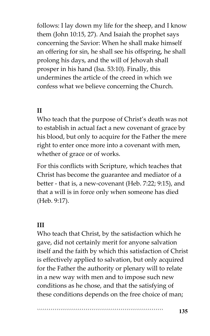follows: I lay down my life for the sheep, and I know them (John 10:15, 27). And Isaiah the prophet says concerning the Savior: When he shall make himself an offering for sin, he shall see his offspring, he shall prolong his days, and the will of Jehovah shall prosper in his hand (Isa. 53:10). Finally, this undermines the article of the creed in which we confess what we believe concerning the Church.

## **II**

Who teach that the purpose of Christ's death was not to establish in actual fact a new covenant of grace by his blood, but only to acquire for the Father the mere right to enter once more into a covenant with men, whether of grace or of works.

For this conflicts with Scripture, which teaches that Christ has become the guarantee and mediator of a better - that is, a new-covenant (Heb. 7:22; 9:15), and that a will is in force only when someone has died (Heb. 9:17).

#### **III**

Who teach that Christ, by the satisfaction which he gave, did not certainly merit for anyone salvation itself and the faith by which this satisfaction of Christ is effectively applied to salvation, but only acquired for the Father the authority or plenary will to relate in a new way with men and to impose such new conditions as he chose, and that the satisfying of these conditions depends on the free choice of man;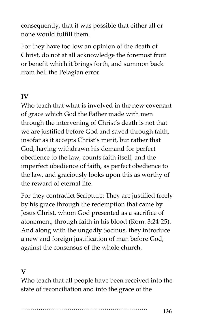consequently, that it was possible that either all or none would fulfill them.

For they have too low an opinion of the death of Christ, do not at all acknowledge the foremost fruit or benefit which it brings forth, and summon back from hell the Pelagian error.

### **IV**

Who teach that what is involved in the new covenant of grace which God the Father made with men through the intervening of Christ's death is not that we are justified before God and saved through faith, insofar as it accepts Christ's merit, but rather that God, having withdrawn his demand for perfect obedience to the law, counts faith itself, and the imperfect obedience of faith, as perfect obedience to the law, and graciously looks upon this as worthy of the reward of eternal life.

For they contradict Scripture: They are justified freely by his grace through the redemption that came by Jesus Christ, whom God presented as a sacrifice of atonement, through faith in his blood (Rom. 3:24-25). And along with the ungodly Socinus, they introduce a new and foreign justification of man before God, against the consensus of the whole church.

**V**

Who teach that all people have been received into the state of reconciliation and into the grace of the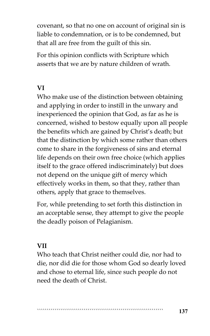covenant, so that no one on account of original sin is liable to condemnation, or is to be condemned, but that all are free from the guilt of this sin.

For this opinion conflicts with Scripture which asserts that we are by nature children of wrath.

## **VI**

Who make use of the distinction between obtaining and applying in order to instill in the unwary and inexperienced the opinion that God, as far as he is concerned, wished to bestow equally upon all people the benefits which are gained by Christ's death; but that the distinction by which some rather than others come to share in the forgiveness of sins and eternal life depends on their own free choice (which applies itself to the grace offered indiscriminately) but does not depend on the unique gift of mercy which effectively works in them, so that they, rather than others, apply that grace to themselves.

For, while pretending to set forth this distinction in an acceptable sense, they attempt to give the people the deadly poison of Pelagianism.

#### **VII**

Who teach that Christ neither could die, nor had to die, nor did die for those whom God so dearly loved and chose to eternal life, since such people do not need the death of Christ.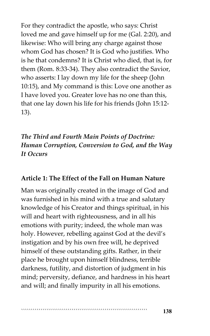For they contradict the apostle, who says: Christ loved me and gave himself up for me (Gal. 2:20), and likewise: Who will bring any charge against those whom God has chosen? It is God who justifies. Who is he that condemns? It is Christ who died, that is, for them (Rom. 8:33-34). They also contradict the Savior, who asserts: I lay down my life for the sheep (John 10:15), and My command is this: Love one another as I have loved you. Greater love has no one than this, that one lay down his life for his friends (John 15:12- 13).

# *The Third and Fourth Main Points of Doctrine: Human Corruption, Conversion to God, and the Way It Occurs*

#### **Article 1: The Effect of the Fall on Human Nature**

Man was originally created in the image of God and was furnished in his mind with a true and salutary knowledge of his Creator and things spiritual, in his will and heart with righteousness, and in all his emotions with purity; indeed, the whole man was holy. However, rebelling against God at the devil's instigation and by his own free will, he deprived himself of these outstanding gifts. Rather, in their place he brought upon himself blindness, terrible darkness, futility, and distortion of judgment in his mind; perversity, defiance, and hardness in his heart and will; and finally impurity in all his emotions.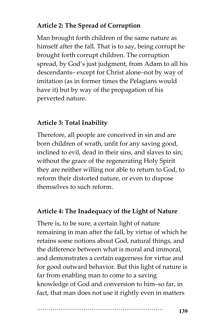# **Article 2: The Spread of Corruption**

Man brought forth children of the same nature as himself after the fall. That is to say, being corrupt he brought forth corrupt children. The corruption spread, by God's just judgment, from Adam to all his descendants– except for Christ alone–not by way of imitation (as in former times the Pelagians would have it) but by way of the propagation of his perverted nature.

### **Article 3: Total Inability**

Therefore, all people are conceived in sin and are born children of wrath, unfit for any saving good, inclined to evil, dead in their sins, and slaves to sin; without the grace of the regenerating Holy Spirit they are neither willing nor able to return to God, to reform their distorted nature, or even to dispose themselves to such reform.

## **Article 4: The Inadequacy of the Light of Nature**

There is, to be sure, a certain light of nature remaining in man after the fall, by virtue of which he retains some notions about God, natural things, and the difference between what is moral and immoral, and demonstrates a certain eagerness for virtue and for good outward behavior. But this light of nature is far from enabling man to come to a saving knowledge of God and conversion to him–so far, in fact, that man does not use it rightly even in matters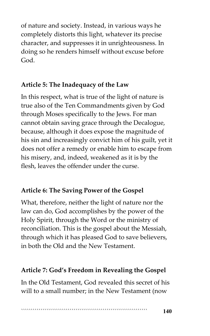of nature and society. Instead, in various ways he completely distorts this light, whatever its precise character, and suppresses it in unrighteousness. In doing so he renders himself without excuse before God.

## **Article 5: The Inadequacy of the Law**

In this respect, what is true of the light of nature is true also of the Ten Commandments given by God through Moses specifically to the Jews. For man cannot obtain saving grace through the Decalogue, because, although it does expose the magnitude of his sin and increasingly convict him of his guilt, yet it does not offer a remedy or enable him to escape from his misery, and, indeed, weakened as it is by the flesh, leaves the offender under the curse.

## **Article 6: The Saving Power of the Gospel**

What, therefore, neither the light of nature nor the law can do, God accomplishes by the power of the Holy Spirit, through the Word or the ministry of reconciliation. This is the gospel about the Messiah, through which it has pleased God to save believers, in both the Old and the New Testament.

## **Article 7: God's Freedom in Revealing the Gospel**

In the Old Testament, God revealed this secret of his will to a small number; in the New Testament (now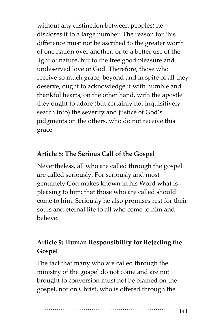without any distinction between peoples) he discloses it to a large number. The reason for this difference must not be ascribed to the greater worth of one nation over another, or to a better use of the light of nature, but to the free good pleasure and undeserved love of God. Therefore, those who receive so much grace, beyond and in spite of all they deserve, ought to acknowledge it with humble and thankful hearts; on the other hand, with the apostle they ought to adore (but certainly not inquisitively search into) the severity and justice of God's judgments on the others, who do not receive this grace.

## **Article 8: The Serious Call of the Gospel**

Nevertheless, all who are called through the gospel are called seriously. For seriously and most genuinely God makes known in his Word what is pleasing to him: that those who are called should come to him. Seriously he also promises rest for their souls and eternal life to all who come to him and believe.

# **Article 9: Human Responsibility for Rejecting the Gospel**

The fact that many who are called through the ministry of the gospel do not come and are not brought to conversion must not be blamed on the gospel, nor on Christ, who is offered through the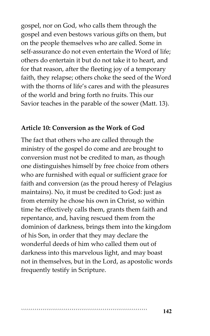gospel, nor on God, who calls them through the gospel and even bestows various gifts on them, but on the people themselves who are called. Some in self-assurance do not even entertain the Word of life; others do entertain it but do not take it to heart, and for that reason, after the fleeting joy of a temporary faith, they relapse; others choke the seed of the Word with the thorns of life's cares and with the pleasures of the world and bring forth no fruits. This our Savior teaches in the parable of the sower (Matt. 13).

#### **Article 10: Conversion as the Work of God**

The fact that others who are called through the ministry of the gospel do come and are brought to conversion must not be credited to man, as though one distinguishes himself by free choice from others who are furnished with equal or sufficient grace for faith and conversion (as the proud heresy of Pelagius maintains). No, it must be credited to God: just as from eternity he chose his own in Christ, so within time he effectively calls them, grants them faith and repentance, and, having rescued them from the dominion of darkness, brings them into the kingdom of his Son, in order that they may declare the wonderful deeds of him who called them out of darkness into this marvelous light, and may boast not in themselves, but in the Lord, as apostolic words frequently testify in Scripture.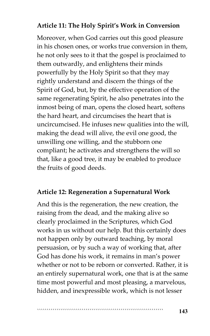## **Article 11: The Holy Spirit's Work in Conversion**

Moreover, when God carries out this good pleasure in his chosen ones, or works true conversion in them, he not only sees to it that the gospel is proclaimed to them outwardly, and enlightens their minds powerfully by the Holy Spirit so that they may rightly understand and discern the things of the Spirit of God, but, by the effective operation of the same regenerating Spirit, he also penetrates into the inmost being of man, opens the closed heart, softens the hard heart, and circumcises the heart that is uncircumcised. He infuses new qualities into the will, making the dead will alive, the evil one good, the unwilling one willing, and the stubborn one compliant; he activates and strengthens the will so that, like a good tree, it may be enabled to produce the fruits of good deeds.

#### **Article 12: Regeneration a Supernatural Work**

And this is the regeneration, the new creation, the raising from the dead, and the making alive so clearly proclaimed in the Scriptures, which God works in us without our help. But this certainly does not happen only by outward teaching, by moral persuasion, or by such a way of working that, after God has done his work, it remains in man's power whether or not to be reborn or converted. Rather, it is an entirely supernatural work, one that is at the same time most powerful and most pleasing, a marvelous, hidden, and inexpressible work, which is not lesser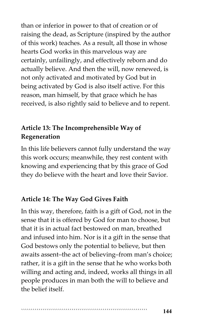than or inferior in power to that of creation or of raising the dead, as Scripture (inspired by the author of this work) teaches. As a result, all those in whose hearts God works in this marvelous way are certainly, unfailingly, and effectively reborn and do actually believe. And then the will, now renewed, is not only activated and motivated by God but in being activated by God is also itself active. For this reason, man himself, by that grace which he has received, is also rightly said to believe and to repent.

# **Article 13: The Incomprehensible Way of Regeneration**

In this life believers cannot fully understand the way this work occurs; meanwhile, they rest content with knowing and experiencing that by this grace of God they do believe with the heart and love their Savior.

## **Article 14: The Way God Gives Faith**

In this way, therefore, faith is a gift of God, not in the sense that it is offered by God for man to choose, but that it is in actual fact bestowed on man, breathed and infused into him. Nor is it a gift in the sense that God bestows only the potential to believe, but then awaits assent–the act of believing–from man's choice; rather, it is a gift in the sense that he who works both willing and acting and, indeed, works all things in all people produces in man both the will to believe and the belief itself.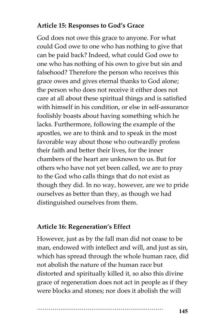## **Article 15: Responses to God's Grace**

God does not owe this grace to anyone. For what could God owe to one who has nothing to give that can be paid back? Indeed, what could God owe to one who has nothing of his own to give but sin and falsehood? Therefore the person who receives this grace owes and gives eternal thanks to God alone; the person who does not receive it either does not care at all about these spiritual things and is satisfied with himself in his condition, or else in self-assurance foolishly boasts about having something which he lacks. Furthermore, following the example of the apostles, we are to think and to speak in the most favorable way about those who outwardly profess their faith and better their lives, for the inner chambers of the heart are unknown to us. But for others who have not yet been called, we are to pray to the God who calls things that do not exist as though they did. In no way, however, are we to pride ourselves as better than they, as though we had distinguished ourselves from them.

### **Article 16: Regeneration's Effect**

However, just as by the fall man did not cease to be man, endowed with intellect and will, and just as sin, which has spread through the whole human race, did not abolish the nature of the human race but distorted and spiritually killed it, so also this divine grace of regeneration does not act in people as if they were blocks and stones; nor does it abolish the will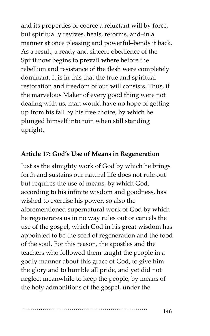and its properties or coerce a reluctant will by force, but spiritually revives, heals, reforms, and–in a manner at once pleasing and powerful–bends it back. As a result, a ready and sincere obedience of the Spirit now begins to prevail where before the rebellion and resistance of the flesh were completely dominant. It is in this that the true and spiritual restoration and freedom of our will consists. Thus, if the marvelous Maker of every good thing were not dealing with us, man would have no hope of getting up from his fall by his free choice, by which he plunged himself into ruin when still standing upright.

#### **Article 17: God's Use of Means in Regeneration**

Just as the almighty work of God by which he brings forth and sustains our natural life does not rule out but requires the use of means, by which God, according to his infinite wisdom and goodness, has wished to exercise his power, so also the aforementioned supernatural work of God by which he regenerates us in no way rules out or cancels the use of the gospel, which God in his great wisdom has appointed to be the seed of regeneration and the food of the soul. For this reason, the apostles and the teachers who followed them taught the people in a godly manner about this grace of God, to give him the glory and to humble all pride, and yet did not neglect meanwhile to keep the people, by means of the holy admonitions of the gospel, under the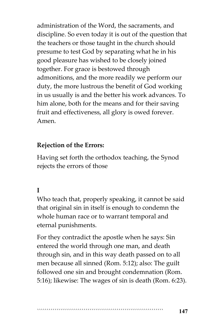administration of the Word, the sacraments, and discipline. So even today it is out of the question that the teachers or those taught in the church should presume to test God by separating what he in his good pleasure has wished to be closely joined together. For grace is bestowed through admonitions, and the more readily we perform our duty, the more lustrous the benefit of God working in us usually is and the better his work advances. To him alone, both for the means and for their saving fruit and effectiveness, all glory is owed forever. Amen.

## **Rejection of the Errors:**

Having set forth the orthodox teaching, the Synod rejects the errors of those

# **I**

Who teach that, properly speaking, it cannot be said that original sin in itself is enough to condemn the whole human race or to warrant temporal and eternal punishments.

For they contradict the apostle when he says: Sin entered the world through one man, and death through sin, and in this way death passed on to all men because all sinned (Rom. 5:12); also: The guilt followed one sin and brought condemnation (Rom. 5:16); likewise: The wages of sin is death (Rom. 6:23).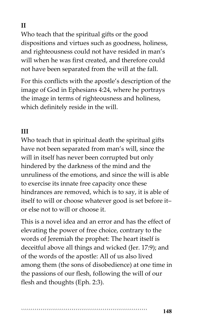Who teach that the spiritual gifts or the good dispositions and virtues such as goodness, holiness, and righteousness could not have resided in man's will when he was first created, and therefore could not have been separated from the will at the fall.

For this conflicts with the apostle's description of the image of God in Ephesians 4:24, where he portrays the image in terms of righteousness and holiness, which definitely reside in the will.

# **III**

Who teach that in spiritual death the spiritual gifts have not been separated from man's will, since the will in itself has never been corrupted but only hindered by the darkness of the mind and the unruliness of the emotions, and since the will is able to exercise its innate free capacity once these hindrances are removed, which is to say, it is able of itself to will or choose whatever good is set before it– or else not to will or choose it.

This is a novel idea and an error and has the effect of elevating the power of free choice, contrary to the words of Jeremiah the prophet: The heart itself is deceitful above all things and wicked (Jer. 17:9); and of the words of the apostle: All of us also lived among them (the sons of disobedience) at one time in the passions of our flesh, following the will of our flesh and thoughts (Eph. 2:3).

# **II**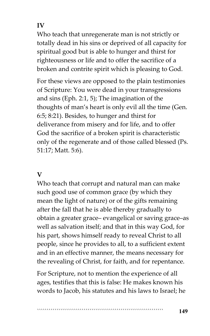Who teach that unregenerate man is not strictly or totally dead in his sins or deprived of all capacity for spiritual good but is able to hunger and thirst for righteousness or life and to offer the sacrifice of a broken and contrite spirit which is pleasing to God.

For these views are opposed to the plain testimonies of Scripture: You were dead in your transgressions and sins (Eph. 2:1, 5); The imagination of the thoughts of man's heart is only evil all the time (Gen. 6:5; 8:21). Besides, to hunger and thirst for deliverance from misery and for life, and to offer God the sacrifice of a broken spirit is characteristic only of the regenerate and of those called blessed (Ps. 51:17; Matt. 5:6).

### **V**

Who teach that corrupt and natural man can make such good use of common grace (by which they mean the light of nature) or of the gifts remaining after the fall that he is able thereby gradually to obtain a greater grace– evangelical or saving grace–as well as salvation itself; and that in this way God, for his part, shows himself ready to reveal Christ to all people, since he provides to all, to a sufficient extent and in an effective manner, the means necessary for the revealing of Christ, for faith, and for repentance.

For Scripture, not to mention the experience of all ages, testifies that this is false: He makes known his words to Jacob, his statutes and his laws to Israel; he

#### **IV**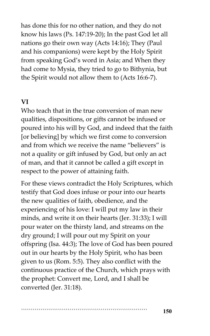has done this for no other nation, and they do not know his laws (Ps. 147:19-20); In the past God let all nations go their own way (Acts 14:16); They (Paul and his companions) were kept by the Holy Spirit from speaking God's word in Asia; and When they had come to Mysia, they tried to go to Bithynia, but the Spirit would not allow them to (Acts 16:6-7).

#### **VI**

Who teach that in the true conversion of man new qualities, dispositions, or gifts cannot be infused or poured into his will by God, and indeed that the faith [or believing] by which we first come to conversion and from which we receive the name "believers" is not a quality or gift infused by God, but only an act of man, and that it cannot be called a gift except in respect to the power of attaining faith.

For these views contradict the Holy Scriptures, which testify that God does infuse or pour into our hearts the new qualities of faith, obedience, and the experiencing of his love: I will put my law in their minds, and write it on their hearts (Jer. 31:33); I will pour water on the thirsty land, and streams on the dry ground; I will pour out my Spirit on your offspring (Isa. 44:3); The love of God has been poured out in our hearts by the Holy Spirit, who has been given to us (Rom. 5:5). They also conflict with the continuous practice of the Church, which prays with the prophet: Convert me, Lord, and I shall be converted (Jer. 31:18).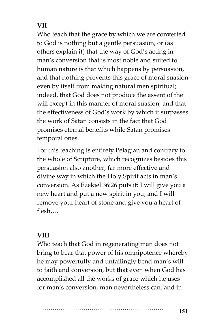## **VII**

Who teach that the grace by which we are converted to God is nothing but a gentle persuasion, or (as others explain it) that the way of God's acting in man's conversion that is most noble and suited to human nature is that which happens by persuasion, and that nothing prevents this grace of moral suasion even by itself from making natural men spiritual; indeed, that God does not produce the assent of the will except in this manner of moral suasion, and that the effectiveness of God's work by which it surpasses the work of Satan consists in the fact that God promises eternal benefits while Satan promises temporal ones.

For this teaching is entirely Pelagian and contrary to the whole of Scripture, which recognizes besides this persuasion also another, far more effective and divine way in which the Holy Spirit acts in man's conversion. As Ezekiel 36:26 puts it: I will give you a new heart and put a new spirit in you; and I will remove your heart of stone and give you a heart of flesh….

#### **VIII**

Who teach that God in regenerating man does not bring to bear that power of his omnipotence whereby he may powerfully and unfailingly bend man's will to faith and conversion, but that even when God has accomplished all the works of grace which he uses for man's conversion, man nevertheless can, and in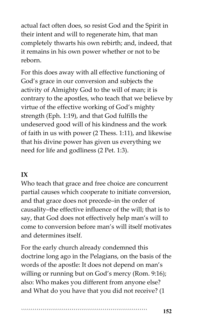actual fact often does, so resist God and the Spirit in their intent and will to regenerate him, that man completely thwarts his own rebirth; and, indeed, that it remains in his own power whether or not to be reborn.

For this does away with all effective functioning of God's grace in our conversion and subjects the activity of Almighty God to the will of man; it is contrary to the apostles, who teach that we believe by virtue of the effective working of God's mighty strength (Eph. 1:19), and that God fulfills the undeserved good will of his kindness and the work of faith in us with power (2 Thess. 1:11), and likewise that his divine power has given us everything we need for life and godliness (2 Pet. 1:3).

## **IX**

Who teach that grace and free choice are concurrent partial causes which cooperate to initiate conversion, and that grace does not precede–in the order of causality–the effective influence of the will; that is to say, that God does not effectively help man's will to come to conversion before man's will itself motivates and determines itself.

For the early church already condemned this doctrine long ago in the Pelagians, on the basis of the words of the apostle: It does not depend on man's willing or running but on God's mercy (Rom. 9:16); also: Who makes you different from anyone else? and What do you have that you did not receive? (1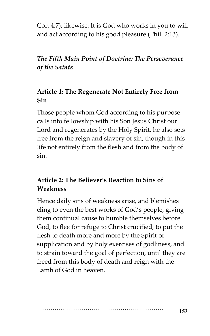Cor. 4:7); likewise: It is God who works in you to will and act according to his good pleasure (Phil. 2:13).

*The Fifth Main Point of Doctrine: The Perseverance of the Saints*

# **Article 1: The Regenerate Not Entirely Free from Sin**

Those people whom God according to his purpose calls into fellowship with his Son Jesus Christ our Lord and regenerates by the Holy Spirit, he also sets free from the reign and slavery of sin, though in this life not entirely from the flesh and from the body of sin.

# **Article 2: The Believer's Reaction to Sins of Weakness**

Hence daily sins of weakness arise, and blemishes cling to even the best works of God's people, giving them continual cause to humble themselves before God, to flee for refuge to Christ crucified, to put the flesh to death more and more by the Spirit of supplication and by holy exercises of godliness, and to strain toward the goal of perfection, until they are freed from this body of death and reign with the Lamb of God in heaven.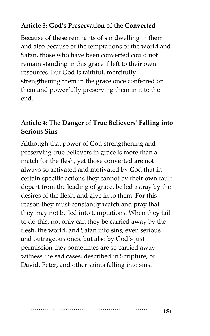## **Article 3: God's Preservation of the Converted**

Because of these remnants of sin dwelling in them and also because of the temptations of the world and Satan, those who have been converted could not remain standing in this grace if left to their own resources. But God is faithful, mercifully strengthening them in the grace once conferred on them and powerfully preserving them in it to the end.

## **Article 4: The Danger of True Believers' Falling into Serious Sins**

Although that power of God strengthening and preserving true believers in grace is more than a match for the flesh, yet those converted are not always so activated and motivated by God that in certain specific actions they cannot by their own fault depart from the leading of grace, be led astray by the desires of the flesh, and give in to them. For this reason they must constantly watch and pray that they may not be led into temptations. When they fail to do this, not only can they be carried away by the flesh, the world, and Satan into sins, even serious and outrageous ones, but also by God's just permission they sometimes are so carried away– witness the sad cases, described in Scripture, of David, Peter, and other saints falling into sins.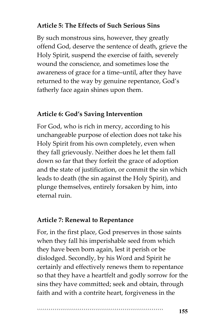## **Article 5: The Effects of Such Serious Sins**

By such monstrous sins, however, they greatly offend God, deserve the sentence of death, grieve the Holy Spirit, suspend the exercise of faith, severely wound the conscience, and sometimes lose the awareness of grace for a time–until, after they have returned to the way by genuine repentance, God's fatherly face again shines upon them.

### **Article 6: God's Saving Intervention**

For God, who is rich in mercy, according to his unchangeable purpose of election does not take his Holy Spirit from his own completely, even when they fall grievously. Neither does he let them fall down so far that they forfeit the grace of adoption and the state of justification, or commit the sin which leads to death (the sin against the Holy Spirit), and plunge themselves, entirely forsaken by him, into eternal ruin.

#### **Article 7: Renewal to Repentance**

For, in the first place, God preserves in those saints when they fall his imperishable seed from which they have been born again, lest it perish or be dislodged. Secondly, by his Word and Spirit he certainly and effectively renews them to repentance so that they have a heartfelt and godly sorrow for the sins they have committed; seek and obtain, through faith and with a contrite heart, forgiveness in the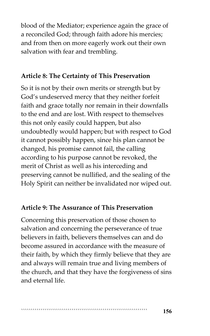blood of the Mediator; experience again the grace of a reconciled God; through faith adore his mercies; and from then on more eagerly work out their own salvation with fear and trembling.

#### **Article 8: The Certainty of This Preservation**

So it is not by their own merits or strength but by God's undeserved mercy that they neither forfeit faith and grace totally nor remain in their downfalls to the end and are lost. With respect to themselves this not only easily could happen, but also undoubtedly would happen; but with respect to God it cannot possibly happen, since his plan cannot be changed, his promise cannot fail, the calling according to his purpose cannot be revoked, the merit of Christ as well as his interceding and preserving cannot be nullified, and the sealing of the Holy Spirit can neither be invalidated nor wiped out.

### **Article 9: The Assurance of This Preservation**

Concerning this preservation of those chosen to salvation and concerning the perseverance of true believers in faith, believers themselves can and do become assured in accordance with the measure of their faith, by which they firmly believe that they are and always will remain true and living members of the church, and that they have the forgiveness of sins and eternal life.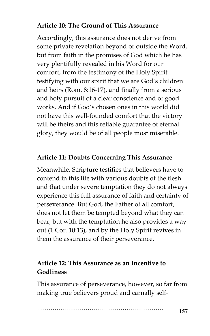## **Article 10: The Ground of This Assurance**

Accordingly, this assurance does not derive from some private revelation beyond or outside the Word, but from faith in the promises of God which he has very plentifully revealed in his Word for our comfort, from the testimony of the Holy Spirit testifying with our spirit that we are God's children and heirs (Rom. 8:16-17), and finally from a serious and holy pursuit of a clear conscience and of good works. And if God's chosen ones in this world did not have this well-founded comfort that the victory will be theirs and this reliable guarantee of eternal glory, they would be of all people most miserable.

## **Article 11: Doubts Concerning This Assurance**

Meanwhile, Scripture testifies that believers have to contend in this life with various doubts of the flesh and that under severe temptation they do not always experience this full assurance of faith and certainty of perseverance. But God, the Father of all comfort, does not let them be tempted beyond what they can bear, but with the temptation he also provides a way out (1 Cor. 10:13), and by the Holy Spirit revives in them the assurance of their perseverance.

## **Article 12: This Assurance as an Incentive to Godliness**

This assurance of perseverance, however, so far from making true believers proud and carnally self-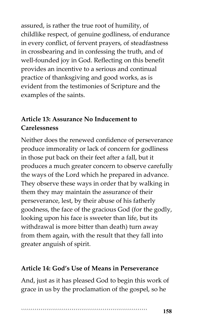assured, is rather the true root of humility, of childlike respect, of genuine godliness, of endurance in every conflict, of fervent prayers, of steadfastness in crossbearing and in confessing the truth, and of well-founded joy in God. Reflecting on this benefit provides an incentive to a serious and continual practice of thanksgiving and good works, as is evident from the testimonies of Scripture and the examples of the saints.

## **Article 13: Assurance No Inducement to Carelessness**

Neither does the renewed confidence of perseverance produce immorality or lack of concern for godliness in those put back on their feet after a fall, but it produces a much greater concern to observe carefully the ways of the Lord which he prepared in advance. They observe these ways in order that by walking in them they may maintain the assurance of their perseverance, lest, by their abuse of his fatherly goodness, the face of the gracious God (for the godly, looking upon his face is sweeter than life, but its withdrawal is more bitter than death) turn away from them again, with the result that they fall into greater anguish of spirit.

### **Article 14: God's Use of Means in Perseverance**

And, just as it has pleased God to begin this work of grace in us by the proclamation of the gospel, so he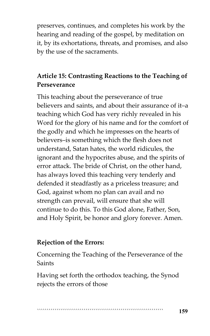preserves, continues, and completes his work by the hearing and reading of the gospel, by meditation on it, by its exhortations, threats, and promises, and also by the use of the sacraments.

# **Article 15: Contrasting Reactions to the Teaching of Perseverance**

This teaching about the perseverance of true believers and saints, and about their assurance of it–a teaching which God has very richly revealed in his Word for the glory of his name and for the comfort of the godly and which he impresses on the hearts of believers–is something which the flesh does not understand, Satan hates, the world ridicules, the ignorant and the hypocrites abuse, and the spirits of error attack. The bride of Christ, on the other hand, has always loved this teaching very tenderly and defended it steadfastly as a priceless treasure; and God, against whom no plan can avail and no strength can prevail, will ensure that she will continue to do this. To this God alone, Father, Son, and Holy Spirit, be honor and glory forever. Amen.

### **Rejection of the Errors:**

Concerning the Teaching of the Perseverance of the Saints

Having set forth the orthodox teaching, the Synod rejects the errors of those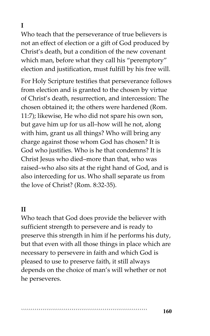**I**

Who teach that the perseverance of true believers is not an effect of election or a gift of God produced by Christ's death, but a condition of the new covenant which man, before what they call his "peremptory" election and justification, must fulfill by his free will.

For Holy Scripture testifies that perseverance follows from election and is granted to the chosen by virtue of Christ's death, resurrection, and intercession: The chosen obtained it; the others were hardened (Rom. 11:7); likewise, He who did not spare his own son, but gave him up for us all–how will he not, along with him, grant us all things? Who will bring any charge against those whom God has chosen? It is God who justifies. Who is he that condemns? It is Christ Jesus who died–more than that, who was raised–who also sits at the right hand of God, and is also interceding for us. Who shall separate us from the love of Christ? (Rom. 8:32-35).

**II**

Who teach that God does provide the believer with sufficient strength to persevere and is ready to preserve this strength in him if he performs his duty, but that even with all those things in place which are necessary to persevere in faith and which God is pleased to use to preserve faith, it still always depends on the choice of man's will whether or not he perseveres.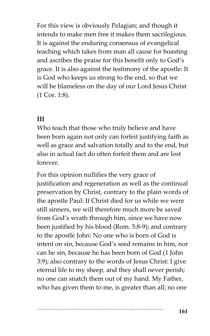For this view is obviously Pelagian; and though it intends to make men free it makes them sacrilegious. It is against the enduring consensus of evangelical teaching which takes from man all cause for boasting and ascribes the praise for this benefit only to God's grace. It is also against the testimony of the apostle: It is God who keeps us strong to the end, so that we will be blameless on the day of our Lord Jesus Christ (1 Cor. 1:8).

#### **III**

Who teach that those who truly believe and have been born again not only can forfeit justifying faith as well as grace and salvation totally and to the end, but also in actual fact do often forfeit them and are lost forever.

For this opinion nullifies the very grace of justification and regeneration as well as the continual preservation by Christ, contrary to the plain words of the apostle Paul: If Christ died for us while we were still sinners, we will therefore much more be saved from God's wrath through him, since we have now been justified by his blood (Rom. 5:8-9); and contrary to the apostle John: No one who is born of God is intent on sin, because God's seed remains in him, nor can he sin, because he has been born of God (1 John 3:9); also contrary to the words of Jesus Christ: I give eternal life to my sheep, and they shall never perish; no one can snatch them out of my hand. My Father, who has given them to me, is greater than all; no one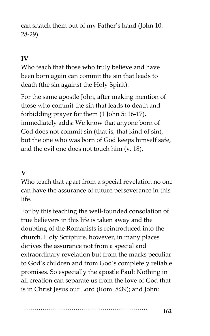can snatch them out of my Father's hand (John 10: 28-29).

# **IV**

Who teach that those who truly believe and have been born again can commit the sin that leads to death (the sin against the Holy Spirit).

For the same apostle John, after making mention of those who commit the sin that leads to death and forbidding prayer for them (1 John 5: 16-17), immediately adds: We know that anyone born of God does not commit sin (that is, that kind of sin), but the one who was born of God keeps himself safe, and the evil one does not touch him (v. 18).

#### **V**

Who teach that apart from a special revelation no one can have the assurance of future perseverance in this life.

For by this teaching the well-founded consolation of true believers in this life is taken away and the doubting of the Romanists is reintroduced into the church. Holy Scripture, however, in many places derives the assurance not from a special and extraordinary revelation but from the marks peculiar to God's children and from God's completely reliable promises. So especially the apostle Paul: Nothing in all creation can separate us from the love of God that is in Christ Jesus our Lord (Rom. 8:39); and John: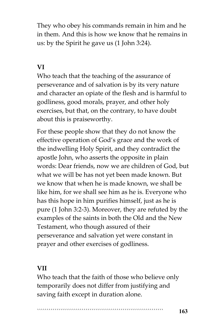They who obey his commands remain in him and he in them. And this is how we know that he remains in us: by the Spirit he gave us (1 John 3:24).

## **VI**

Who teach that the teaching of the assurance of perseverance and of salvation is by its very nature and character an opiate of the flesh and is harmful to godliness, good morals, prayer, and other holy exercises, but that, on the contrary, to have doubt about this is praiseworthy.

For these people show that they do not know the effective operation of God's grace and the work of the indwelling Holy Spirit, and they contradict the apostle John, who asserts the opposite in plain words: Dear friends, now we are children of God, but what we will be has not yet been made known. But we know that when he is made known, we shall be like him, for we shall see him as he is. Everyone who has this hope in him purifies himself, just as he is pure (1 John 3:2-3). Moreover, they are refuted by the examples of the saints in both the Old and the New Testament, who though assured of their perseverance and salvation yet were constant in prayer and other exercises of godliness.

#### **VII**

Who teach that the faith of those who believe only temporarily does not differ from justifying and saving faith except in duration alone.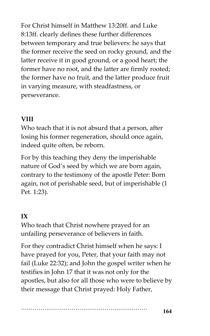For Christ himself in Matthew 13:20ff. and Luke 8:13ff. clearly defines these further differences between temporary and true believers: he says that the former receive the seed on rocky ground, and the latter receive it in good ground, or a good heart; the former have no root, and the latter are firmly rooted; the former have no fruit, and the latter produce fruit in varying measure, with steadfastness, or perseverance.

## **VIII**

Who teach that it is not absurd that a person, after losing his former regeneration, should once again, indeed quite often, be reborn.

For by this teaching they deny the imperishable nature of God's seed by which we are born again, contrary to the testimony of the apostle Peter: Born again, not of perishable seed, but of imperishable (1 Pet. 1:23).

# **IX**

Who teach that Christ nowhere prayed for an unfailing perseverance of believers in faith.

For they contradict Christ himself when he says: I have prayed for you, Peter, that your faith may not fail (Luke 22:32); and John the gospel writer when he testifies in John 17 that it was not only for the apostles, but also for all those who were to believe by their message that Christ prayed: Holy Father,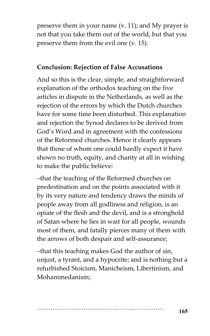preserve them in your name (v. 11); and My prayer is not that you take them out of the world, but that you preserve them from the evil one (v. 15).

### **Conclusion: Rejection of False Accusations**

And so this is the clear, simple, and straightforward explanation of the orthodox teaching on the five articles in dispute in the Netherlands, as well as the rejection of the errors by which the Dutch churches have for some time been disturbed. This explanation and rejection the Synod declares to be derived from God's Word and in agreement with the confessions of the Reformed churches. Hence it clearly appears that those of whom one could hardly expect it have shown no truth, equity, and charity at all in wishing to make the public believe:

–that the teaching of the Reformed churches on predestination and on the points associated with it by its very nature and tendency draws the minds of people away from all godliness and religion, is an opiate of the flesh and the devil, and is a stronghold of Satan where he lies in wait for all people, wounds most of them, and fatally pierces many of them with the arrows of both despair and self-assurance;

–that this teaching makes God the author of sin, unjust, a tyrant, and a hypocrite; and is nothing but a refurbished Stoicism, Manicheism, Libertinism, and Mohammedanism;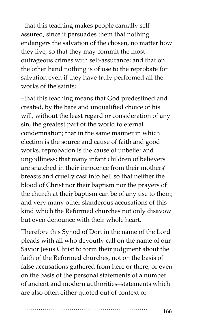–that this teaching makes people carnally selfassured, since it persuades them that nothing endangers the salvation of the chosen, no matter how they live, so that they may commit the most outrageous crimes with self-assurance; and that on the other hand nothing is of use to the reprobate for salvation even if they have truly performed all the works of the saints;

–that this teaching means that God predestined and created, by the bare and unqualified choice of his will, without the least regard or consideration of any sin, the greatest part of the world to eternal condemnation; that in the same manner in which election is the source and cause of faith and good works, reprobation is the cause of unbelief and ungodliness; that many infant children of believers are snatched in their innocence from their mothers' breasts and cruelly cast into hell so that neither the blood of Christ nor their baptism nor the prayers of the church at their baptism can be of any use to them; and very many other slanderous accusations of this kind which the Reformed churches not only disavow but even denounce with their whole heart.

Therefore this Synod of Dort in the name of the Lord pleads with all who devoutly call on the name of our Savior Jesus Christ to form their judgment about the faith of the Reformed churches, not on the basis of false accusations gathered from here or there, or even on the basis of the personal statements of a number of ancient and modern authorities–statements which are also often either quoted out of context or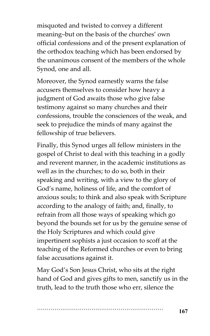misquoted and twisted to convey a different meaning–but on the basis of the churches' own official confessions and of the present explanation of the orthodox teaching which has been endorsed by the unanimous consent of the members of the whole Synod, one and all.

Moreover, the Synod earnestly warns the false accusers themselves to consider how heavy a judgment of God awaits those who give false testimony against so many churches and their confessions, trouble the consciences of the weak, and seek to prejudice the minds of many against the fellowship of true believers.

Finally, this Synod urges all fellow ministers in the gospel of Christ to deal with this teaching in a godly and reverent manner, in the academic institutions as well as in the churches; to do so, both in their speaking and writing, with a view to the glory of God's name, holiness of life, and the comfort of anxious souls; to think and also speak with Scripture according to the analogy of faith; and, finally, to refrain from all those ways of speaking which go beyond the bounds set for us by the genuine sense of the Holy Scriptures and which could give impertinent sophists a just occasion to scoff at the teaching of the Reformed churches or even to bring false accusations against it.

May God's Son Jesus Christ, who sits at the right hand of God and gives gifts to men, sanctify us in the truth, lead to the truth those who err, silence the